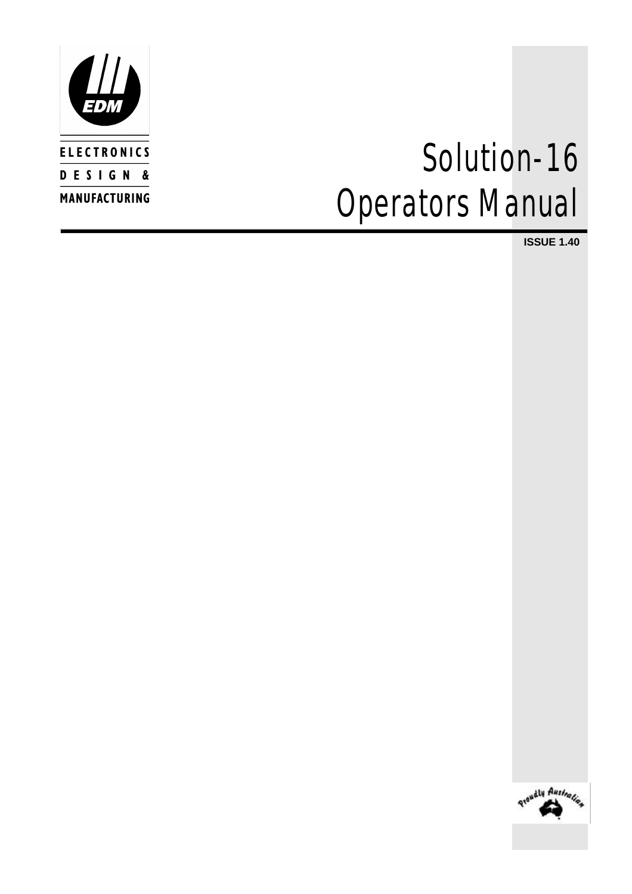

# *Solution-16 Operators Manual*

**ISSUE 1.40**

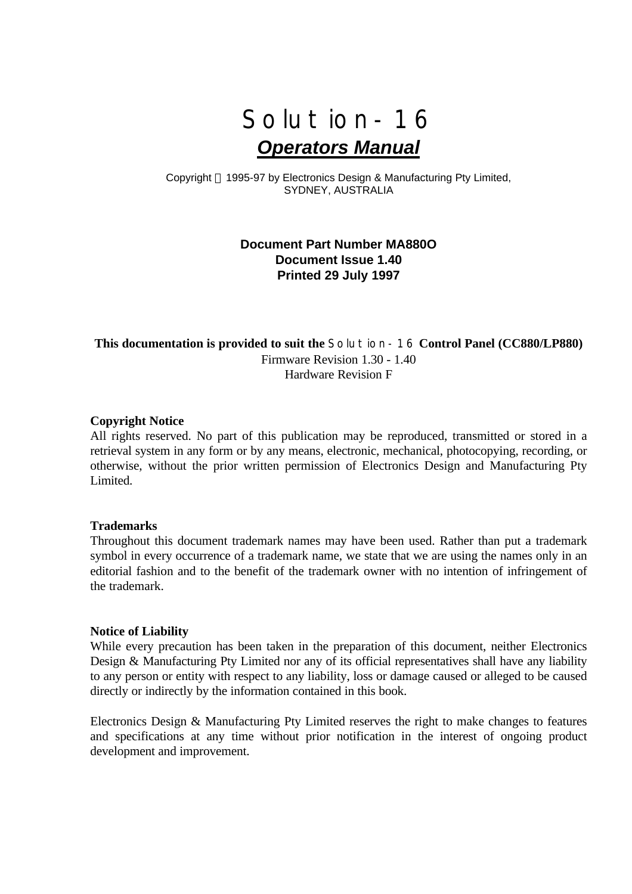

Copyright © 1995-97 by Electronics Design & Manufacturing Pty Limited, SYDNEY, AUSTRALIA

### **Document Part Number MA880O Document Issue 1.40 Printed 29 July 1997**

### **This documentation is provided to suit the** *Solution-16* **Control Panel (CC880/LP880)** Firmware Revision 1.30 - 1.40 Hardware Revision F

#### **Copyright Notice**

All rights reserved. No part of this publication may be reproduced, transmitted or stored in a retrieval system in any form or by any means, electronic, mechanical, photocopying, recording, or otherwise, without the prior written permission of Electronics Design and Manufacturing Pty Limited.

#### **Trademarks**

Throughout this document trademark names may have been used. Rather than put a trademark symbol in every occurrence of a trademark name, we state that we are using the names only in an editorial fashion and to the benefit of the trademark owner with no intention of infringement of the trademark.

#### **Notice of Liability**

While every precaution has been taken in the preparation of this document, neither Electronics Design & Manufacturing Pty Limited nor any of its official representatives shall have any liability to any person or entity with respect to any liability, loss or damage caused or alleged to be caused directly or indirectly by the information contained in this book.

Electronics Design & Manufacturing Pty Limited reserves the right to make changes to features and specifications at any time without prior notification in the interest of ongoing product development and improvement.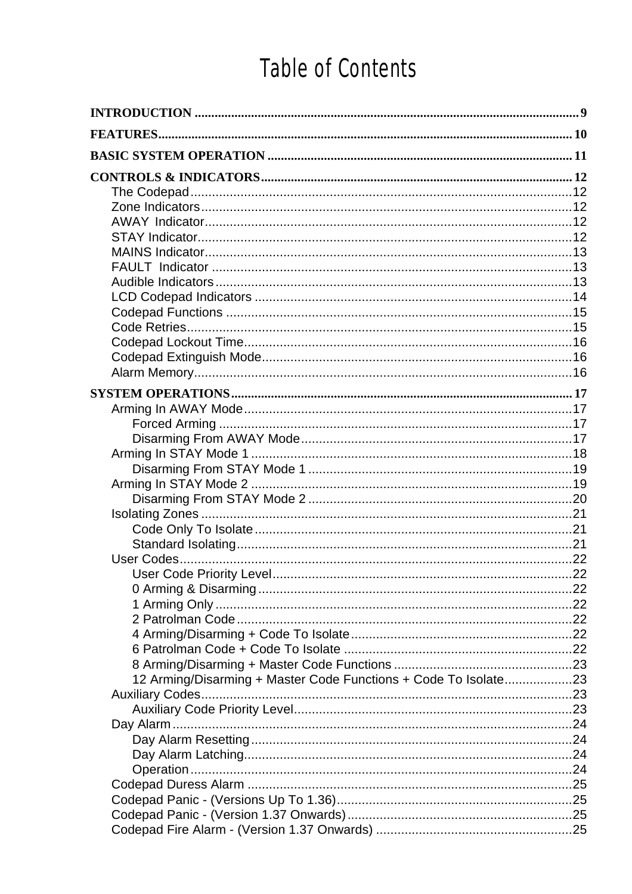# Table of Contents

| <b>FEATURES</b>                                                 |  |
|-----------------------------------------------------------------|--|
|                                                                 |  |
|                                                                 |  |
|                                                                 |  |
|                                                                 |  |
|                                                                 |  |
|                                                                 |  |
|                                                                 |  |
|                                                                 |  |
|                                                                 |  |
|                                                                 |  |
|                                                                 |  |
|                                                                 |  |
|                                                                 |  |
|                                                                 |  |
|                                                                 |  |
|                                                                 |  |
|                                                                 |  |
|                                                                 |  |
|                                                                 |  |
|                                                                 |  |
|                                                                 |  |
|                                                                 |  |
|                                                                 |  |
|                                                                 |  |
|                                                                 |  |
|                                                                 |  |
|                                                                 |  |
|                                                                 |  |
|                                                                 |  |
|                                                                 |  |
|                                                                 |  |
|                                                                 |  |
|                                                                 |  |
| 12 Arming/Disarming + Master Code Functions + Code To Isolate23 |  |
|                                                                 |  |
|                                                                 |  |
|                                                                 |  |
|                                                                 |  |
|                                                                 |  |
|                                                                 |  |
|                                                                 |  |
|                                                                 |  |
|                                                                 |  |
|                                                                 |  |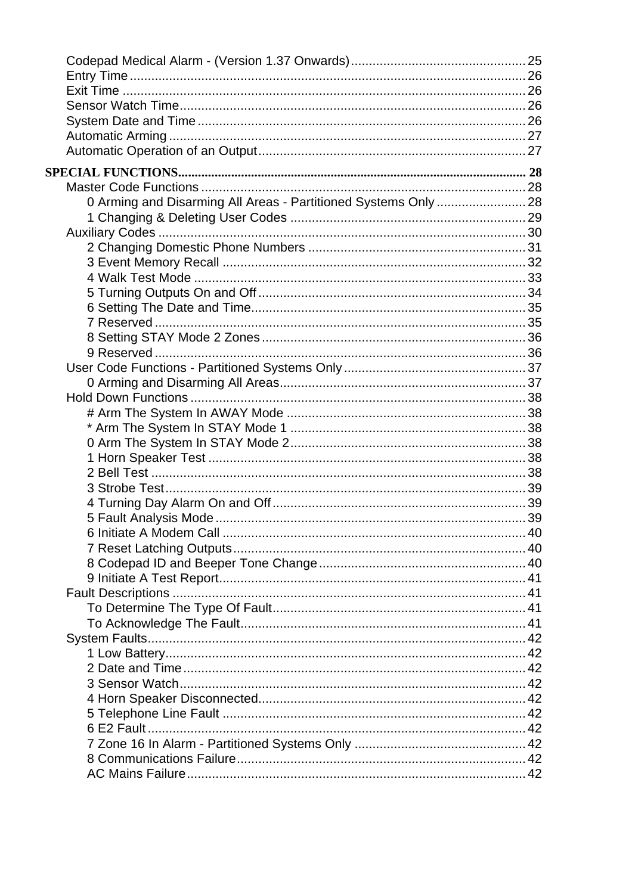| 0 Arming and Disarming All Areas - Partitioned Systems Only  28 |  |
|-----------------------------------------------------------------|--|
|                                                                 |  |
|                                                                 |  |
|                                                                 |  |
|                                                                 |  |
|                                                                 |  |
|                                                                 |  |
|                                                                 |  |
|                                                                 |  |
|                                                                 |  |
|                                                                 |  |
|                                                                 |  |
|                                                                 |  |
|                                                                 |  |
|                                                                 |  |
|                                                                 |  |
|                                                                 |  |
|                                                                 |  |
|                                                                 |  |
|                                                                 |  |
|                                                                 |  |
|                                                                 |  |
|                                                                 |  |
|                                                                 |  |
|                                                                 |  |
|                                                                 |  |
|                                                                 |  |
|                                                                 |  |
|                                                                 |  |
|                                                                 |  |
|                                                                 |  |
|                                                                 |  |
|                                                                 |  |
|                                                                 |  |
|                                                                 |  |
|                                                                 |  |
|                                                                 |  |
|                                                                 |  |
|                                                                 |  |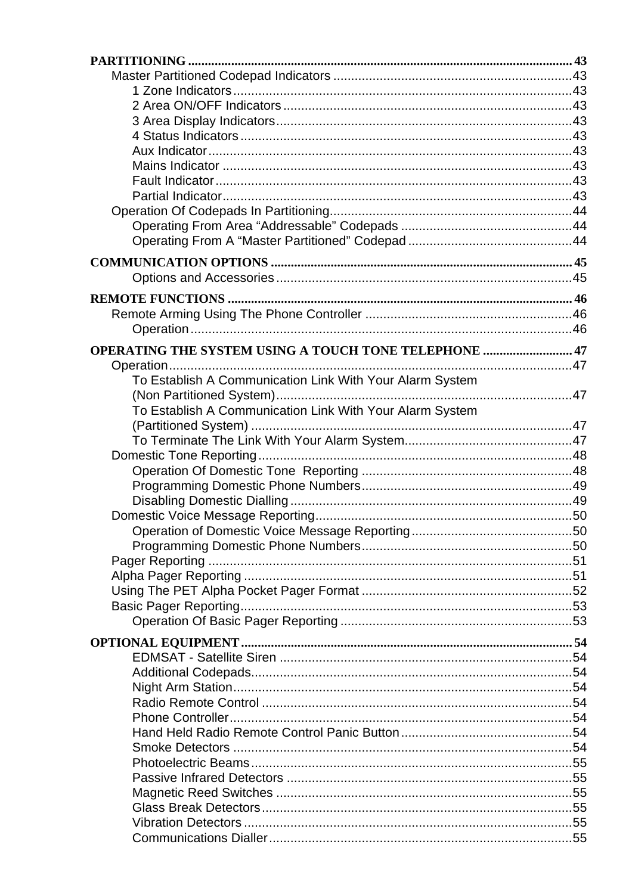| <b>OPERATING THE SYSTEM USING A TOUCH TONE TELEPHONE  47</b> |  |
|--------------------------------------------------------------|--|
|                                                              |  |
| To Establish A Communication Link With Your Alarm System     |  |
|                                                              |  |
| To Establish A Communication Link With Your Alarm System     |  |
|                                                              |  |
|                                                              |  |
|                                                              |  |
|                                                              |  |
|                                                              |  |
|                                                              |  |
|                                                              |  |
|                                                              |  |
|                                                              |  |
|                                                              |  |
|                                                              |  |
|                                                              |  |
|                                                              |  |
|                                                              |  |
|                                                              |  |
|                                                              |  |
|                                                              |  |
|                                                              |  |
|                                                              |  |
|                                                              |  |
|                                                              |  |
|                                                              |  |
|                                                              |  |
|                                                              |  |
|                                                              |  |
|                                                              |  |
|                                                              |  |
|                                                              |  |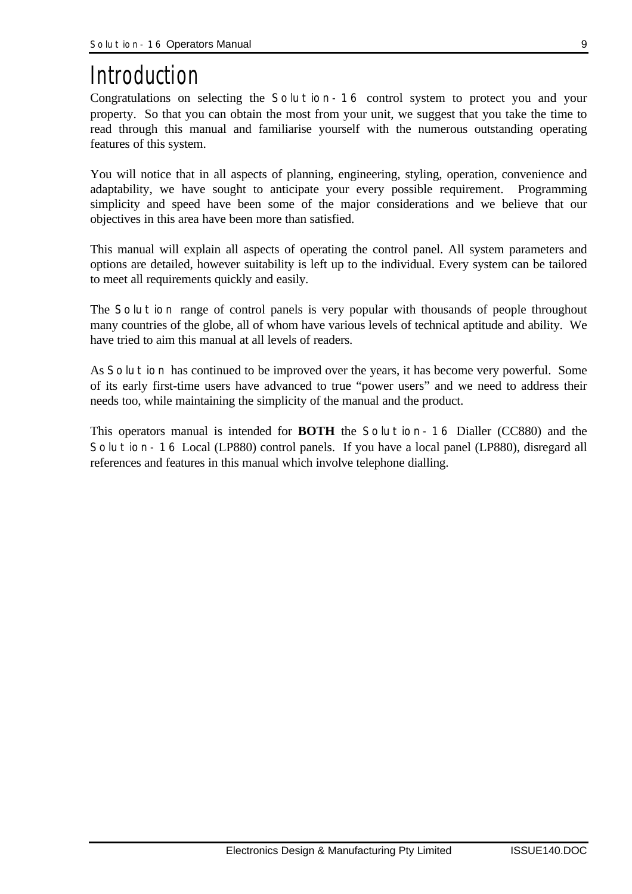# *Introduction*

Congratulations on selecting the *Solution-16* control system to protect you and your property. So that you can obtain the most from your unit, we suggest that you take the time to read through this manual and familiarise yourself with the numerous outstanding operating features of this system.

You will notice that in all aspects of planning, engineering, styling, operation, convenience and adaptability, we have sought to anticipate your every possible requirement. Programming simplicity and speed have been some of the major considerations and we believe that our objectives in this area have been more than satisfied.

This manual will explain all aspects of operating the control panel. All system parameters and options are detailed, however suitability is left up to the individual. Every system can be tailored to meet all requirements quickly and easily.

The *Solution* range of control panels is very popular with thousands of people throughout many countries of the globe, all of whom have various levels of technical aptitude and ability. We have tried to aim this manual at all levels of readers.

As *Solution* has continued to be improved over the years, it has become very powerful. Some of its early first-time users have advanced to true "power users" and we need to address their needs too, while maintaining the simplicity of the manual and the product.

This operators manual is intended for **BOTH** the *Solution-16* Dialler (CC880) and the *Solution-16* Local (LP880) control panels. If you have a local panel (LP880), disregard all references and features in this manual which involve telephone dialling.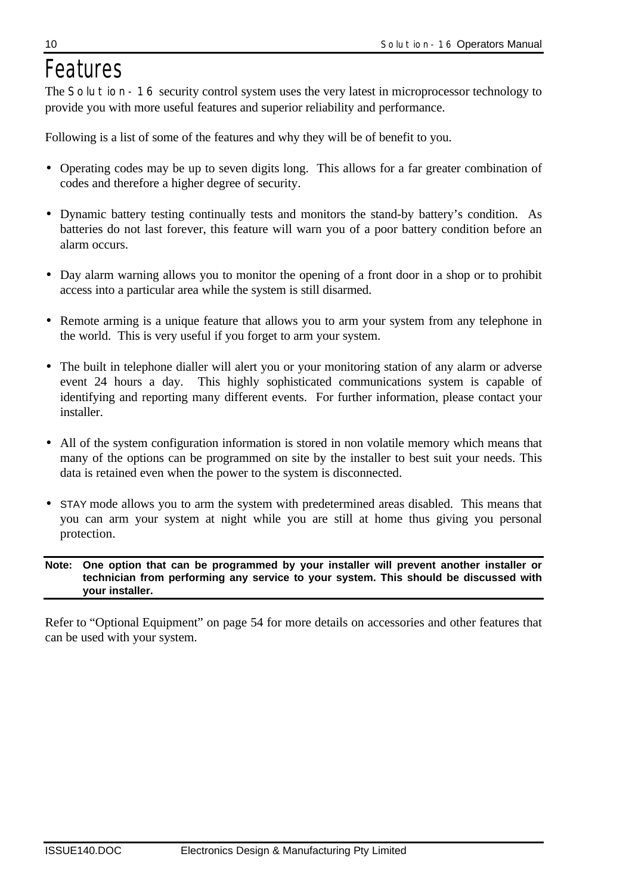# *Features*

The **Solution-16** security control system uses the very latest in microprocessor technology to provide you with more useful features and superior reliability and performance.

Following is a list of some of the features and why they will be of benefit to you.

- Operating codes may be up to seven digits long. This allows for a far greater combination of codes and therefore a higher degree of security.
- Dynamic battery testing continually tests and monitors the stand-by battery's condition. As batteries do not last forever, this feature will warn you of a poor battery condition before an alarm occurs.
- Day alarm warning allows you to monitor the opening of a front door in a shop or to prohibit access into a particular area while the system is still disarmed.
- Remote arming is a unique feature that allows you to arm your system from any telephone in the world. This is very useful if you forget to arm your system.
- The built in telephone dialler will alert you or your monitoring station of any alarm or adverse event 24 hours a day. This highly sophisticated communications system is capable of identifying and reporting many different events. For further information, please contact your installer.
- All of the system configuration information is stored in non volatile memory which means that many of the options can be programmed on site by the installer to best suit your needs. This data is retained even when the power to the system is disconnected.
- STAY mode allows you to arm the system with predetermined areas disabled. This means that you can arm your system at night while you are still at home thus giving you personal protection.

#### **Note: One option that can be programmed by your installer will prevent another installer or technician from performing any service to your system. This should be discussed with your installer.**

Refer to "Optional Equipment" on page 54 for more details on accessories and other features that can be used with your system.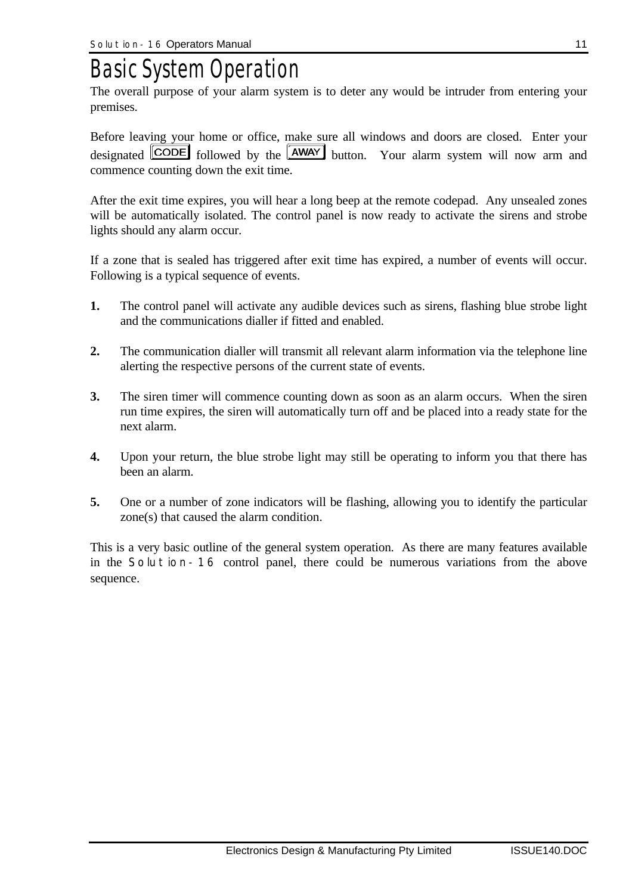# *Basic System Operation*

The overall purpose of your alarm system is to deter any would be intruder from entering your premises.

Before leaving your home or office, make sure all windows and doors are closed. Enter your designated  $\boxed{\text{CODE}}$  followed by the  $\boxed{\text{AWAY}}$  button. Your alarm system will now arm and commence counting down the exit time.

After the exit time expires, you will hear a long beep at the remote codepad. Any unsealed zones will be automatically isolated. The control panel is now ready to activate the sirens and strobe lights should any alarm occur.

If a zone that is sealed has triggered after exit time has expired, a number of events will occur. Following is a typical sequence of events.

- **1.** The control panel will activate any audible devices such as sirens, flashing blue strobe light and the communications dialler if fitted and enabled.
- **2.** The communication dialler will transmit all relevant alarm information via the telephone line alerting the respective persons of the current state of events.
- **3.** The siren timer will commence counting down as soon as an alarm occurs. When the siren run time expires, the siren will automatically turn off and be placed into a ready state for the next alarm.
- **4.** Upon your return, the blue strobe light may still be operating to inform you that there has been an alarm.
- **5.** One or a number of zone indicators will be flashing, allowing you to identify the particular zone(s) that caused the alarm condition.

This is a very basic outline of the general system operation. As there are many features available in the *Solution-16* control panel, there could be numerous variations from the above sequence.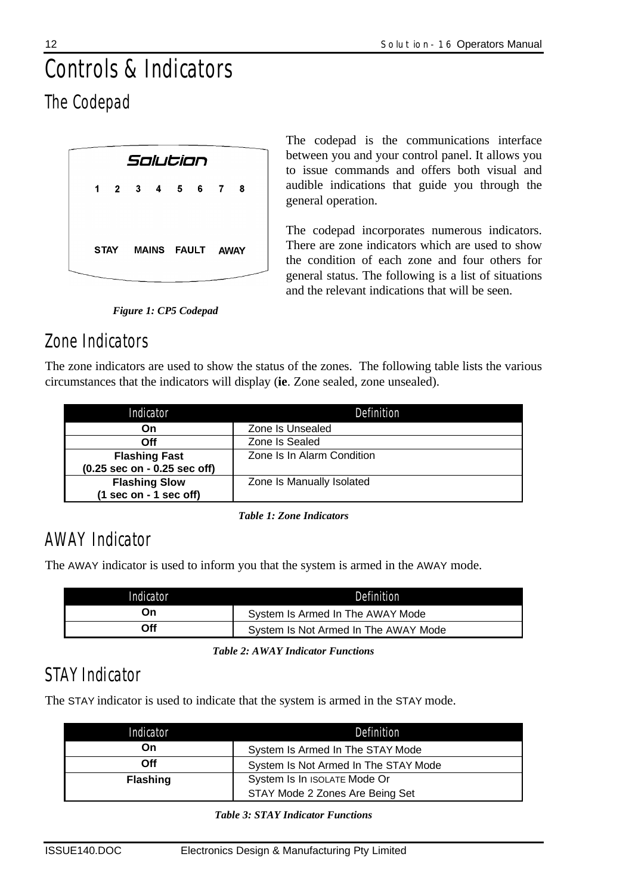# *Controls & Indicators The Codepad*

|  |             | Solution |                  |  |  |
|--|-------------|----------|------------------|--|--|
|  |             |          | 1 2 3 4 5 6 7 8  |  |  |
|  |             |          |                  |  |  |
|  | <b>STAY</b> |          | MAINS FAULT AWAY |  |  |
|  |             |          |                  |  |  |

The codepad is the communications interface between you and your control panel. It allows you to issue commands and offers both visual and audible indications that guide you through the general operation.

The codepad incorporates numerous indicators. There are zone indicators which are used to show the condition of each zone and four others for general status. The following is a list of situations and the relevant indications that will be seen.

*Figure 1: CP5 Codepad*

# *Zone Indicators*

The zone indicators are used to show the status of the zones. The following table lists the various circumstances that the indicators will display (**ie**. Zone sealed, zone unsealed).

| Indicator                                      | Definition                 |
|------------------------------------------------|----------------------------|
| On                                             | Zone Is Unsealed           |
| Off                                            | Zone Is Sealed             |
| <b>Flashing Fast</b>                           | Zone Is In Alarm Condition |
| $(0.25 \text{ sec on} - 0.25 \text{ sec off})$ |                            |
| <b>Flashing Slow</b>                           | Zone Is Manually Isolated  |
| $(1 sec on - 1 sec off)$                       |                            |

*Table 1: Zone Indicators*

# *AWAY Indicator*

The AWAY indicator is used to inform you that the system is armed in the AWAY mode.

| Indicator | Definition                           |
|-----------|--------------------------------------|
| On        | System Is Armed In The AWAY Mode     |
| Off       | System Is Not Armed In The AWAY Mode |

*Table 2: AWAY Indicator Functions*

# *STAY Indicator*

The STAY indicator is used to indicate that the system is armed in the STAY mode.

| Indicator       | Definition                           |
|-----------------|--------------------------------------|
| On              | System Is Armed In The STAY Mode     |
| Off             | System Is Not Armed In The STAY Mode |
| <b>Flashing</b> | System Is In ISOLATE Mode Or         |
|                 | STAY Mode 2 Zones Are Being Set      |

*Table 3: STAY Indicator Functions*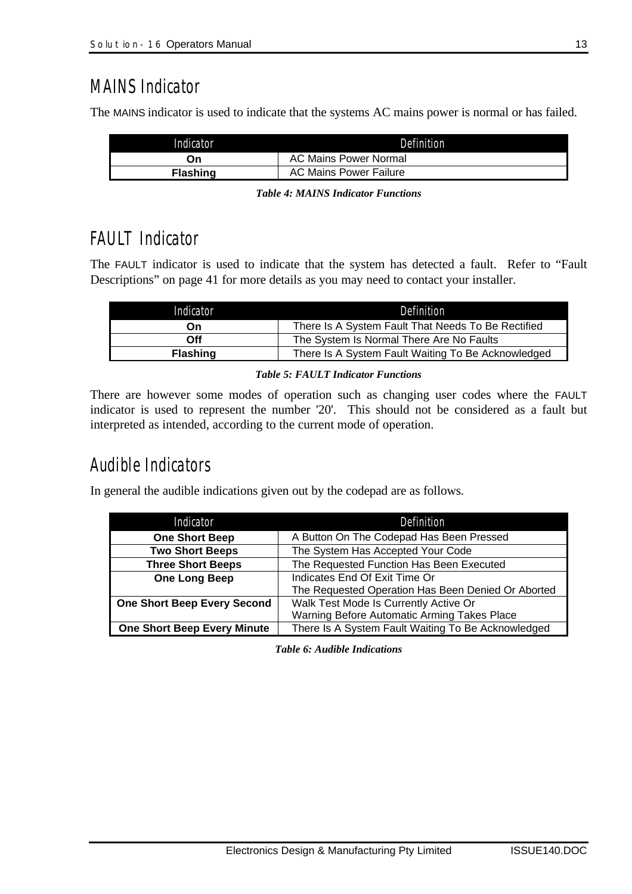## *MAINS Indicator*

The MAINS indicator is used to indicate that the systems AC mains power is normal or has failed.

| Indicator       | Definition             |
|-----------------|------------------------|
| Эn              | AC Mains Power Normal  |
| <b>Flashing</b> | AC Mains Power Failure |

|  |  |  | <b>Table 4: MAINS Indicator Functions</b> |
|--|--|--|-------------------------------------------|
|--|--|--|-------------------------------------------|

# *FAULT Indicator*

The FAULT indicator is used to indicate that the system has detected a fault. Refer to "Fault Descriptions" on page 41 for more details as you may need to contact your installer.

| Indicator       | Definition                                         |
|-----------------|----------------------------------------------------|
| On              | There Is A System Fault That Needs To Be Rectified |
| Off             | The System Is Normal There Are No Faults           |
| <b>Flashing</b> | There Is A System Fault Waiting To Be Acknowledged |

#### *Table 5: FAULT Indicator Functions*

There are however some modes of operation such as changing user codes where the FAULT indicator is used to represent the number '20'. This should not be considered as a fault but interpreted as intended, according to the current mode of operation.

# *Audible Indicators*

In general the audible indications given out by the codepad are as follows.

| Indicator                          | Definition                                         |
|------------------------------------|----------------------------------------------------|
| <b>One Short Beep</b>              | A Button On The Codepad Has Been Pressed           |
| <b>Two Short Beeps</b>             | The System Has Accepted Your Code                  |
| <b>Three Short Beeps</b>           | The Requested Function Has Been Executed           |
| <b>One Long Beep</b>               | Indicates End Of Exit Time Or                      |
|                                    | The Requested Operation Has Been Denied Or Aborted |
| <b>One Short Beep Every Second</b> | Walk Test Mode Is Currently Active Or              |
|                                    | Warning Before Automatic Arming Takes Place        |
| <b>One Short Beep Every Minute</b> | There Is A System Fault Waiting To Be Acknowledged |

*Table 6: Audible Indications*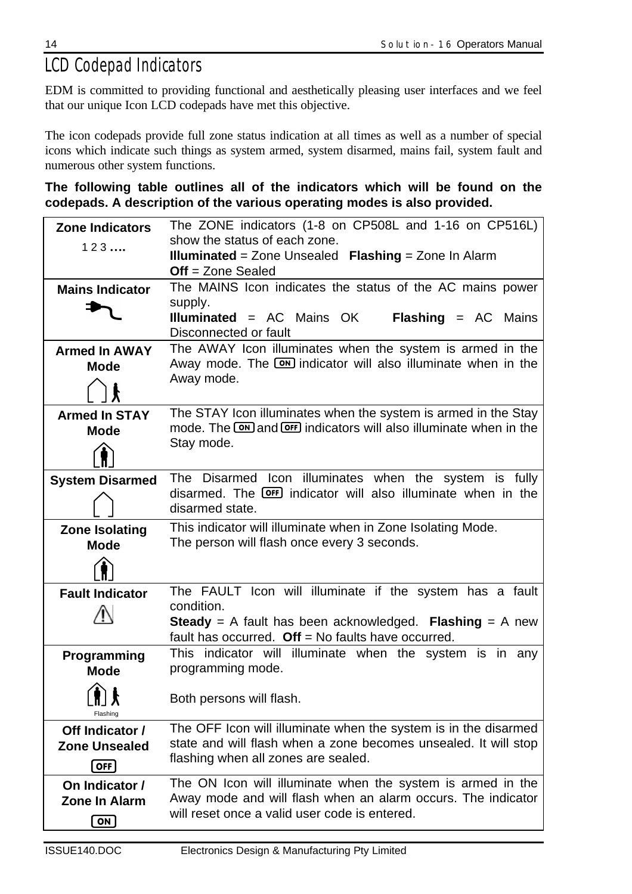# *LCD Codepad Indicators*

EDM is committed to providing functional and aesthetically pleasing user interfaces and we feel that our unique Icon LCD codepads have met this objective.

The icon codepads provide full zone status indication at all times as well as a number of special icons which indicate such things as system armed, system disarmed, mains fail, system fault and numerous other system functions.

**The following table outlines all of the indicators which will be found on the codepads. A description of the various operating modes is also provided.**

| show the status of each zone.<br>123<br><b>Illuminated</b> = Zone Unsealed Flashing = Zone In Alarm<br>$Off = Zone$ Sealed<br>The MAINS Icon indicates the status of the AC mains power<br><b>Mains Indicator</b><br>supply.<br><b>Illuminated</b> = AC Mains OK<br><b>Flashing = AC Mains</b><br>Disconnected or fault<br>The AWAY Icon illuminates when the system is armed in the<br><b>Armed In AWAY</b><br>Away mode. The <b>ON</b> indicator will also illuminate when in the<br><b>Mode</b><br>Away mode.<br>The STAY Icon illuminates when the system is armed in the Stay<br><b>Armed In STAY</b><br>mode. The ON and OFF indicators will also illuminate when in the<br><b>Mode</b><br>Stay mode.<br>The Disarmed Icon illuminates when the system is fully<br><b>System Disarmed</b><br>disarmed. The <b>OFF</b> indicator will also illuminate when in the<br>disarmed state.<br>This indicator will illuminate when in Zone Isolating Mode.<br><b>Zone Isolating</b><br>The person will flash once every 3 seconds.<br><b>Mode</b><br>The FAULT Icon will illuminate if the system has a fault<br><b>Fault Indicator</b><br>condition.<br><b>Steady</b> = A fault has been acknowledged. Flashing = A new<br>fault has occurred. $Off = No$ faults have occurred.<br>This indicator will illuminate when the system is in any<br>Programming<br>programming mode.<br><b>Mode</b><br>$\bigtriangleup$ :<br>Both persons will flash.<br>人 LTL<br>Flashing | <b>Zone Indicators</b> | The ZONE indicators (1-8 on CP508L and 1-16 on CP516L)          |
|----------------------------------------------------------------------------------------------------------------------------------------------------------------------------------------------------------------------------------------------------------------------------------------------------------------------------------------------------------------------------------------------------------------------------------------------------------------------------------------------------------------------------------------------------------------------------------------------------------------------------------------------------------------------------------------------------------------------------------------------------------------------------------------------------------------------------------------------------------------------------------------------------------------------------------------------------------------------------------------------------------------------------------------------------------------------------------------------------------------------------------------------------------------------------------------------------------------------------------------------------------------------------------------------------------------------------------------------------------------------------------------------------------------------------------------------------------------------|------------------------|-----------------------------------------------------------------|
|                                                                                                                                                                                                                                                                                                                                                                                                                                                                                                                                                                                                                                                                                                                                                                                                                                                                                                                                                                                                                                                                                                                                                                                                                                                                                                                                                                                                                                                                      |                        |                                                                 |
|                                                                                                                                                                                                                                                                                                                                                                                                                                                                                                                                                                                                                                                                                                                                                                                                                                                                                                                                                                                                                                                                                                                                                                                                                                                                                                                                                                                                                                                                      |                        |                                                                 |
|                                                                                                                                                                                                                                                                                                                                                                                                                                                                                                                                                                                                                                                                                                                                                                                                                                                                                                                                                                                                                                                                                                                                                                                                                                                                                                                                                                                                                                                                      |                        |                                                                 |
|                                                                                                                                                                                                                                                                                                                                                                                                                                                                                                                                                                                                                                                                                                                                                                                                                                                                                                                                                                                                                                                                                                                                                                                                                                                                                                                                                                                                                                                                      |                        |                                                                 |
|                                                                                                                                                                                                                                                                                                                                                                                                                                                                                                                                                                                                                                                                                                                                                                                                                                                                                                                                                                                                                                                                                                                                                                                                                                                                                                                                                                                                                                                                      |                        |                                                                 |
|                                                                                                                                                                                                                                                                                                                                                                                                                                                                                                                                                                                                                                                                                                                                                                                                                                                                                                                                                                                                                                                                                                                                                                                                                                                                                                                                                                                                                                                                      |                        |                                                                 |
|                                                                                                                                                                                                                                                                                                                                                                                                                                                                                                                                                                                                                                                                                                                                                                                                                                                                                                                                                                                                                                                                                                                                                                                                                                                                                                                                                                                                                                                                      |                        |                                                                 |
|                                                                                                                                                                                                                                                                                                                                                                                                                                                                                                                                                                                                                                                                                                                                                                                                                                                                                                                                                                                                                                                                                                                                                                                                                                                                                                                                                                                                                                                                      |                        |                                                                 |
|                                                                                                                                                                                                                                                                                                                                                                                                                                                                                                                                                                                                                                                                                                                                                                                                                                                                                                                                                                                                                                                                                                                                                                                                                                                                                                                                                                                                                                                                      |                        |                                                                 |
|                                                                                                                                                                                                                                                                                                                                                                                                                                                                                                                                                                                                                                                                                                                                                                                                                                                                                                                                                                                                                                                                                                                                                                                                                                                                                                                                                                                                                                                                      |                        |                                                                 |
|                                                                                                                                                                                                                                                                                                                                                                                                                                                                                                                                                                                                                                                                                                                                                                                                                                                                                                                                                                                                                                                                                                                                                                                                                                                                                                                                                                                                                                                                      |                        |                                                                 |
|                                                                                                                                                                                                                                                                                                                                                                                                                                                                                                                                                                                                                                                                                                                                                                                                                                                                                                                                                                                                                                                                                                                                                                                                                                                                                                                                                                                                                                                                      |                        |                                                                 |
|                                                                                                                                                                                                                                                                                                                                                                                                                                                                                                                                                                                                                                                                                                                                                                                                                                                                                                                                                                                                                                                                                                                                                                                                                                                                                                                                                                                                                                                                      |                        |                                                                 |
|                                                                                                                                                                                                                                                                                                                                                                                                                                                                                                                                                                                                                                                                                                                                                                                                                                                                                                                                                                                                                                                                                                                                                                                                                                                                                                                                                                                                                                                                      |                        |                                                                 |
|                                                                                                                                                                                                                                                                                                                                                                                                                                                                                                                                                                                                                                                                                                                                                                                                                                                                                                                                                                                                                                                                                                                                                                                                                                                                                                                                                                                                                                                                      |                        |                                                                 |
|                                                                                                                                                                                                                                                                                                                                                                                                                                                                                                                                                                                                                                                                                                                                                                                                                                                                                                                                                                                                                                                                                                                                                                                                                                                                                                                                                                                                                                                                      |                        |                                                                 |
|                                                                                                                                                                                                                                                                                                                                                                                                                                                                                                                                                                                                                                                                                                                                                                                                                                                                                                                                                                                                                                                                                                                                                                                                                                                                                                                                                                                                                                                                      |                        |                                                                 |
|                                                                                                                                                                                                                                                                                                                                                                                                                                                                                                                                                                                                                                                                                                                                                                                                                                                                                                                                                                                                                                                                                                                                                                                                                                                                                                                                                                                                                                                                      |                        |                                                                 |
|                                                                                                                                                                                                                                                                                                                                                                                                                                                                                                                                                                                                                                                                                                                                                                                                                                                                                                                                                                                                                                                                                                                                                                                                                                                                                                                                                                                                                                                                      |                        |                                                                 |
|                                                                                                                                                                                                                                                                                                                                                                                                                                                                                                                                                                                                                                                                                                                                                                                                                                                                                                                                                                                                                                                                                                                                                                                                                                                                                                                                                                                                                                                                      |                        |                                                                 |
|                                                                                                                                                                                                                                                                                                                                                                                                                                                                                                                                                                                                                                                                                                                                                                                                                                                                                                                                                                                                                                                                                                                                                                                                                                                                                                                                                                                                                                                                      |                        |                                                                 |
|                                                                                                                                                                                                                                                                                                                                                                                                                                                                                                                                                                                                                                                                                                                                                                                                                                                                                                                                                                                                                                                                                                                                                                                                                                                                                                                                                                                                                                                                      |                        |                                                                 |
|                                                                                                                                                                                                                                                                                                                                                                                                                                                                                                                                                                                                                                                                                                                                                                                                                                                                                                                                                                                                                                                                                                                                                                                                                                                                                                                                                                                                                                                                      |                        |                                                                 |
|                                                                                                                                                                                                                                                                                                                                                                                                                                                                                                                                                                                                                                                                                                                                                                                                                                                                                                                                                                                                                                                                                                                                                                                                                                                                                                                                                                                                                                                                      |                        |                                                                 |
|                                                                                                                                                                                                                                                                                                                                                                                                                                                                                                                                                                                                                                                                                                                                                                                                                                                                                                                                                                                                                                                                                                                                                                                                                                                                                                                                                                                                                                                                      |                        |                                                                 |
|                                                                                                                                                                                                                                                                                                                                                                                                                                                                                                                                                                                                                                                                                                                                                                                                                                                                                                                                                                                                                                                                                                                                                                                                                                                                                                                                                                                                                                                                      |                        |                                                                 |
|                                                                                                                                                                                                                                                                                                                                                                                                                                                                                                                                                                                                                                                                                                                                                                                                                                                                                                                                                                                                                                                                                                                                                                                                                                                                                                                                                                                                                                                                      |                        |                                                                 |
|                                                                                                                                                                                                                                                                                                                                                                                                                                                                                                                                                                                                                                                                                                                                                                                                                                                                                                                                                                                                                                                                                                                                                                                                                                                                                                                                                                                                                                                                      | Off Indicator /        | The OFF Icon will illuminate when the system is in the disarmed |
| state and will flash when a zone becomes unsealed. It will stop<br><b>Zone Unsealed</b>                                                                                                                                                                                                                                                                                                                                                                                                                                                                                                                                                                                                                                                                                                                                                                                                                                                                                                                                                                                                                                                                                                                                                                                                                                                                                                                                                                              |                        |                                                                 |
| flashing when all zones are sealed.                                                                                                                                                                                                                                                                                                                                                                                                                                                                                                                                                                                                                                                                                                                                                                                                                                                                                                                                                                                                                                                                                                                                                                                                                                                                                                                                                                                                                                  |                        |                                                                 |
| OFF                                                                                                                                                                                                                                                                                                                                                                                                                                                                                                                                                                                                                                                                                                                                                                                                                                                                                                                                                                                                                                                                                                                                                                                                                                                                                                                                                                                                                                                                  |                        |                                                                 |
| The ON Icon will illuminate when the system is armed in the<br>On Indicator /                                                                                                                                                                                                                                                                                                                                                                                                                                                                                                                                                                                                                                                                                                                                                                                                                                                                                                                                                                                                                                                                                                                                                                                                                                                                                                                                                                                        |                        |                                                                 |
| Away mode and will flash when an alarm occurs. The indicator<br><b>Zone In Alarm</b>                                                                                                                                                                                                                                                                                                                                                                                                                                                                                                                                                                                                                                                                                                                                                                                                                                                                                                                                                                                                                                                                                                                                                                                                                                                                                                                                                                                 |                        |                                                                 |
| will reset once a valid user code is entered.<br>ON                                                                                                                                                                                                                                                                                                                                                                                                                                                                                                                                                                                                                                                                                                                                                                                                                                                                                                                                                                                                                                                                                                                                                                                                                                                                                                                                                                                                                  |                        |                                                                 |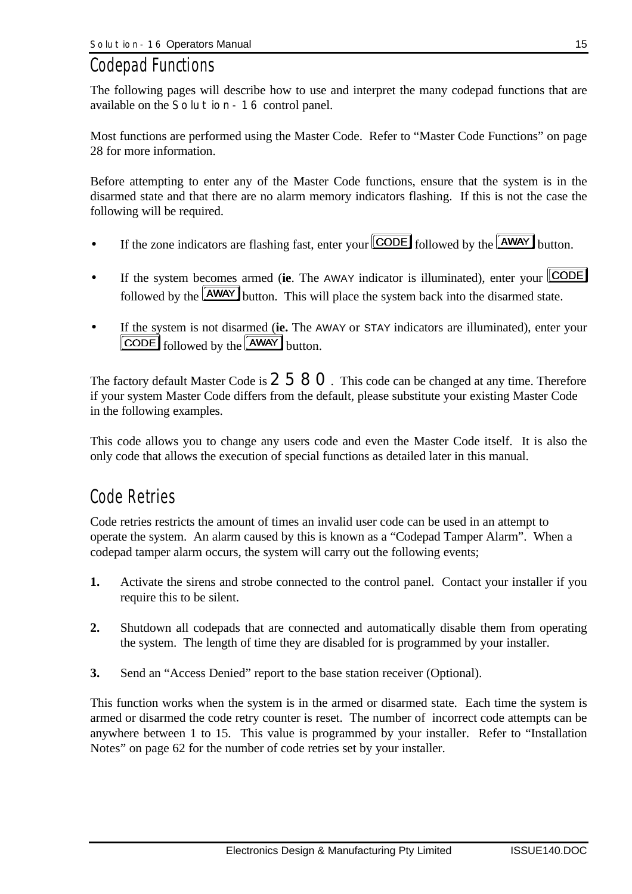## *Codepad Functions*

The following pages will describe how to use and interpret the many codepad functions that are available on the *Solution-16* control panel.

Most functions are performed using the Master Code. Refer to "Master Code Functions" on page 28 for more information.

Before attempting to enter any of the Master Code functions, ensure that the system is in the disarmed state and that there are no alarm memory indicators flashing. If this is not the case the following will be required.

- If the zone indicators are flashing fast, enter your  $\boxed{\text{CODE}}$  followed by the  $\boxed{\text{AWAY}}$  button.
- If the system becomes armed (**ie**. The AWAY indicator is illuminated), enter your **CODE** followed by the  $\sqrt{\text{AWAY}}$  button. This will place the system back into the disarmed state.
- If the system is not disarmed (**ie.** The AWAY or STAY indicators are illuminated), enter your **CODE** followed by the **AWAY** button.

The factory default Master Code is  $2580$ . This code can be changed at any time. Therefore if your system Master Code differs from the default, please substitute your existing Master Code in the following examples.

This code allows you to change any users code and even the Master Code itself. It is also the only code that allows the execution of special functions as detailed later in this manual.

## *Code Retries*

Code retries restricts the amount of times an invalid user code can be used in an attempt to operate the system. An alarm caused by this is known as a "Codepad Tamper Alarm". When a codepad tamper alarm occurs, the system will carry out the following events;

- **1.** Activate the sirens and strobe connected to the control panel. Contact your installer if you require this to be silent.
- **2.** Shutdown all codepads that are connected and automatically disable them from operating the system. The length of time they are disabled for is programmed by your installer.
- **3.** Send an "Access Denied" report to the base station receiver (Optional).

This function works when the system is in the armed or disarmed state. Each time the system is armed or disarmed the code retry counter is reset. The number of incorrect code attempts can be anywhere between 1 to 15. This value is programmed by your installer. Refer to "Installation Notes" on page 62 for the number of code retries set by your installer.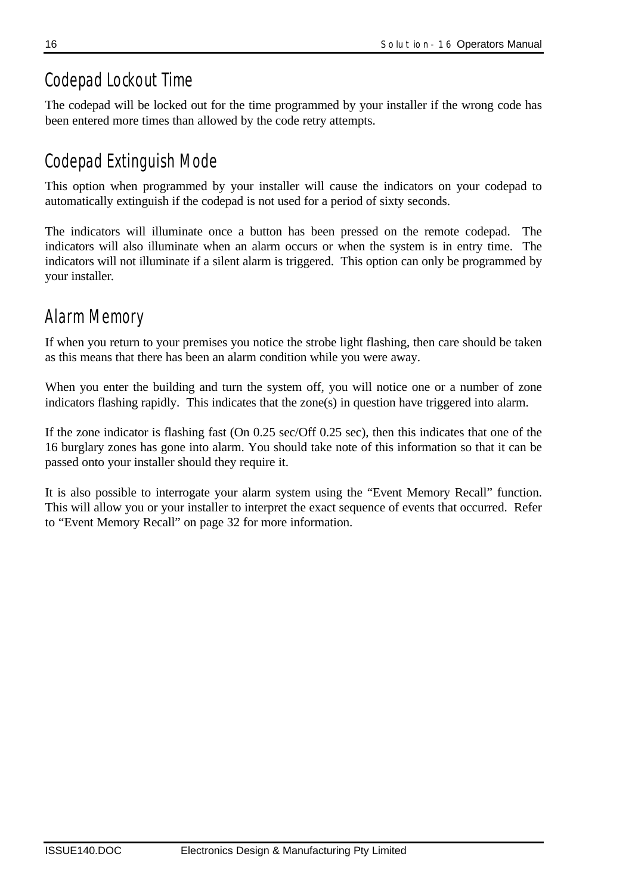# *Codepad Lockout Time*

The codepad will be locked out for the time programmed by your installer if the wrong code has been entered more times than allowed by the code retry attempts.

# *Codepad Extinguish Mode*

This option when programmed by your installer will cause the indicators on your codepad to automatically extinguish if the codepad is not used for a period of sixty seconds.

The indicators will illuminate once a button has been pressed on the remote codepad. The indicators will also illuminate when an alarm occurs or when the system is in entry time. The indicators will not illuminate if a silent alarm is triggered. This option can only be programmed by your installer*.*

# *Alarm Memory*

If when you return to your premises you notice the strobe light flashing, then care should be taken as this means that there has been an alarm condition while you were away.

When you enter the building and turn the system off, you will notice one or a number of zone indicators flashing rapidly. This indicates that the zone(s) in question have triggered into alarm.

If the zone indicator is flashing fast (On 0.25 sec/Off 0.25 sec), then this indicates that one of the 16 burglary zones has gone into alarm. You should take note of this information so that it can be passed onto your installer should they require it.

It is also possible to interrogate your alarm system using the "Event Memory Recall" function. This will allow you or your installer to interpret the exact sequence of events that occurred. Refer to "Event Memory Recall" on page 32 for more information.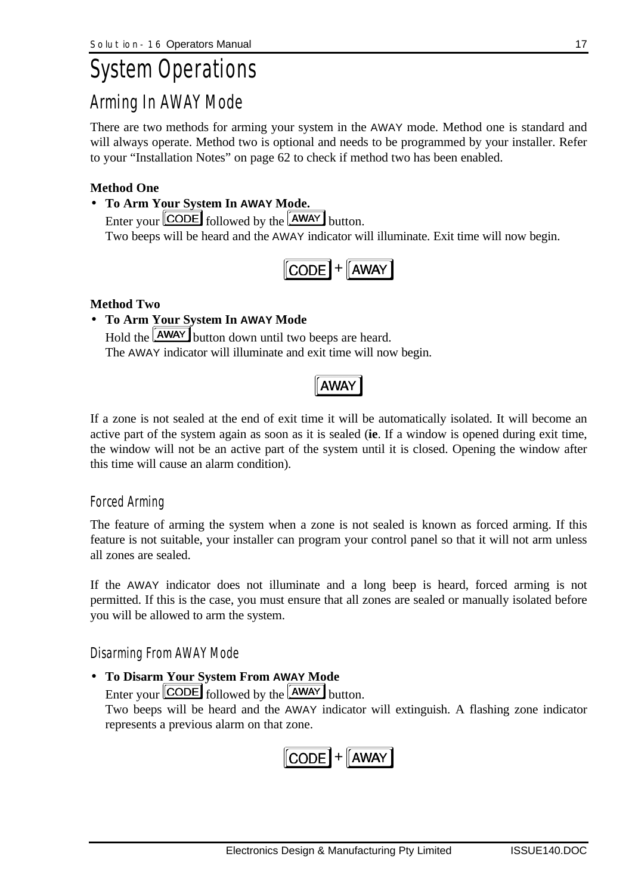# *System Operations Arming In AWAY Mode*

There are two methods for arming your system in the AWAY mode. Method one is standard and will always operate. Method two is optional and needs to be programmed by your installer. Refer to your "Installation Notes" on page 62 to check if method two has been enabled.

### **Method One**

### • **To Arm Your System In AWAY Mode.**

Enter your  $\boxed{\text{CODE}}$  followed by the  $\boxed{\text{AWAY}}$  button. Two beeps will be heard and the AWAY indicator will illuminate. Exit time will now begin.

|--|--|

### **Method Two**

## • **To Arm Your System In AWAY Mode**

Hold the **AWAY** button down until two beeps are heard. The AWAY indicator will illuminate and exit time will now begin.

**AWAY** 

If a zone is not sealed at the end of exit time it will be automatically isolated. It will become an active part of the system again as soon as it is sealed (**ie**. If a window is opened during exit time, the window will not be an active part of the system until it is closed. Opening the window after this time will cause an alarm condition).

## *Forced Arming*

The feature of arming the system when a zone is not sealed is known as forced arming. If this feature is not suitable, your installer can program your control panel so that it will not arm unless all zones are sealed.

If the AWAY indicator does not illuminate and a long beep is heard, forced arming is not permitted. If this is the case, you must ensure that all zones are sealed or manually isolated before you will be allowed to arm the system.

## *Disarming From AWAY Mode*

## • **To Disarm Your System From AWAY Mode**

Enter your  $\boxed{\text{CODE}}$  followed by the  $\boxed{\text{AWAY}}$  button.

Two beeps will be heard and the AWAY indicator will extinguish. A flashing zone indicator represents a previous alarm on that zone.

$$
[CODE] + [AWAY]
$$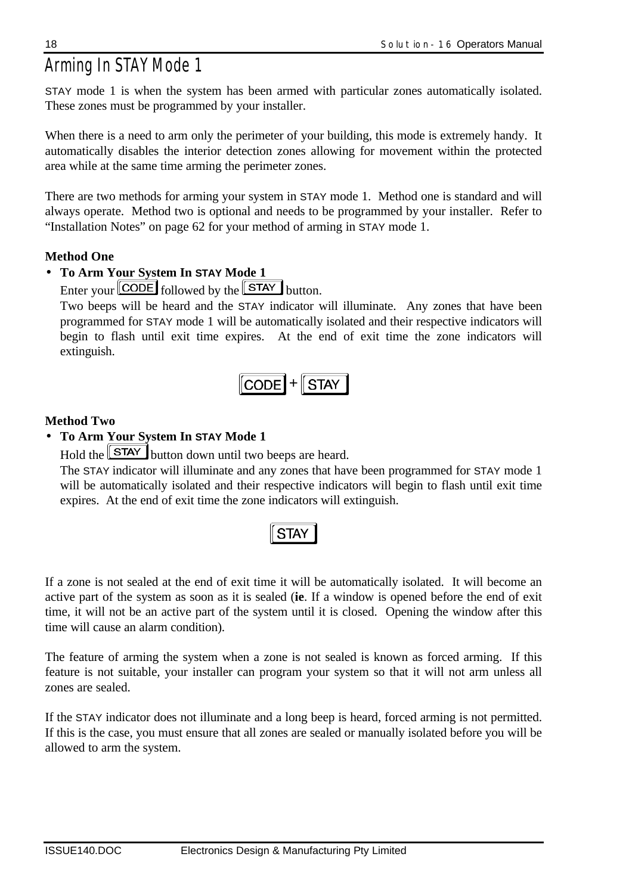# *Arming In STAY Mode 1*

STAY mode 1 is when the system has been armed with particular zones automatically isolated. These zones must be programmed by your installer.

When there is a need to arm only the perimeter of your building, this mode is extremely handy. It automatically disables the interior detection zones allowing for movement within the protected area while at the same time arming the perimeter zones.

There are two methods for arming your system in STAY mode 1. Method one is standard and will always operate. Method two is optional and needs to be programmed by your installer. Refer to "Installation Notes" on page 62 for your method of arming in STAY mode 1.

## **Method One**

## • **To Arm Your System In STAY Mode 1**

Enter your  $\boxed{\text{CODE}}$  followed by the  $\boxed{\text{STAT}}$  button.

Two beeps will be heard and the STAY indicator will illuminate. Any zones that have been programmed for STAY mode 1 will be automatically isolated and their respective indicators will begin to flash until exit time expires. At the end of exit time the zone indicators will extinguish.

$$
\fbox{CODE} + \fbox{STAT}
$$

## **Method Two**

## • **To Arm Your System In STAY Mode 1**

Hold the  $\boxed{\text{STAT}}$  button down until two beeps are heard.

The STAY indicator will illuminate and any zones that have been programmed for STAY mode 1 will be automatically isolated and their respective indicators will begin to flash until exit time expires. At the end of exit time the zone indicators will extinguish.

# **STAY**

If a zone is not sealed at the end of exit time it will be automatically isolated. It will become an active part of the system as soon as it is sealed (**ie**. If a window is opened before the end of exit time, it will not be an active part of the system until it is closed. Opening the window after this time will cause an alarm condition).

The feature of arming the system when a zone is not sealed is known as forced arming. If this feature is not suitable, your installer can program your system so that it will not arm unless all zones are sealed.

If the STAY indicator does not illuminate and a long beep is heard, forced arming is not permitted. If this is the case, you must ensure that all zones are sealed or manually isolated before you will be allowed to arm the system.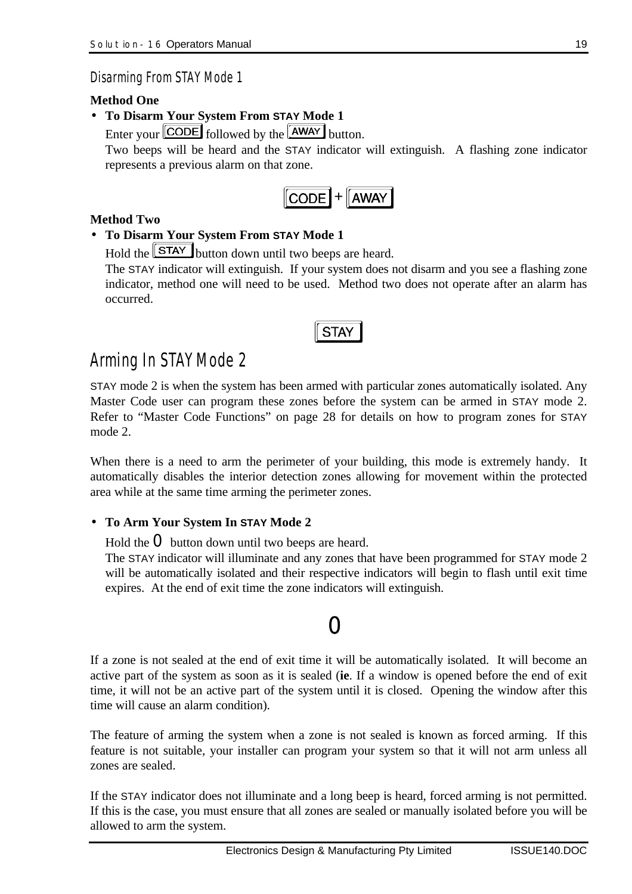*Disarming From STAY Mode 1*

### **Method One**

• **To Disarm Your System From STAY Mode 1**

Enter your  $\boxed{\text{CODE}}$  followed by the  $\boxed{\text{AWAY}}$  button.

Two beeps will be heard and the STAY indicator will extinguish. A flashing zone indicator represents a previous alarm on that zone.



## **Method Two**

## • **To Disarm Your System From STAY Mode 1**

Hold the **STAY** button down until two beeps are heard.

The STAY indicator will extinguish. If your system does not disarm and you see a flashing zone indicator, method one will need to be used. Method two does not operate after an alarm has occurred.



## *Arming In STAYMode 2*

STAY mode 2 is when the system has been armed with particular zones automatically isolated. Any Master Code user can program these zones before the system can be armed in STAY mode 2. Refer to "Master Code Functions" on page 28 for details on how to program zones for STAY mode 2.

When there is a need to arm the perimeter of your building, this mode is extremely handy. It automatically disables the interior detection zones allowing for movement within the protected area while at the same time arming the perimeter zones.

## • **To Arm Your System In STAY Mode 2**

Hold the  $\bf{O}$  button down until two beeps are heard.

The STAY indicator will illuminate and any zones that have been programmed for STAY mode 2 will be automatically isolated and their respective indicators will begin to flash until exit time expires. At the end of exit time the zone indicators will extinguish.

# 0

If a zone is not sealed at the end of exit time it will be automatically isolated. It will become an active part of the system as soon as it is sealed (**ie**. If a window is opened before the end of exit time, it will not be an active part of the system until it is closed. Opening the window after this time will cause an alarm condition).

The feature of arming the system when a zone is not sealed is known as forced arming. If this feature is not suitable, your installer can program your system so that it will not arm unless all zones are sealed.

If the STAY indicator does not illuminate and a long beep is heard, forced arming is not permitted. If this is the case, you must ensure that all zones are sealed or manually isolated before you will be allowed to arm the system.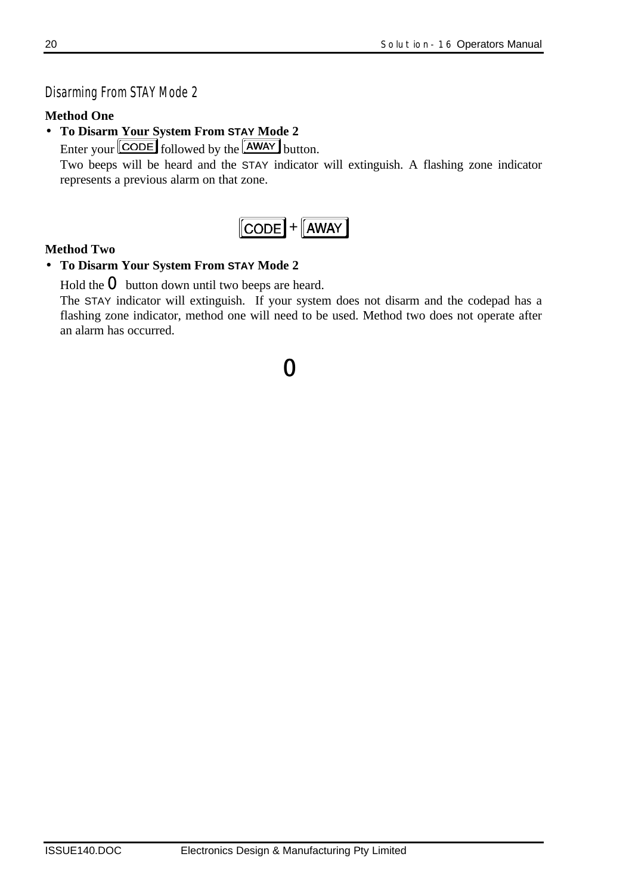## *Disarming From STAY Mode 2*

## **Method One**

- **To Disarm Your System From STAY Mode 2**
	- Enter your  $\boxed{\text{CODE}}$  followed by the  $\boxed{\text{AWAY}}$  button.

Two beeps will be heard and the STAY indicator will extinguish. A flashing zone indicator represents a previous alarm on that zone.



## **Method Two**

## • **To Disarm Your System From STAY Mode 2**

Hold the  $\bf{O}$  button down until two beeps are heard.

The STAY indicator will extinguish. If your system does not disarm and the codepad has a flashing zone indicator, method one will need to be used. Method two does not operate after an alarm has occurred.

0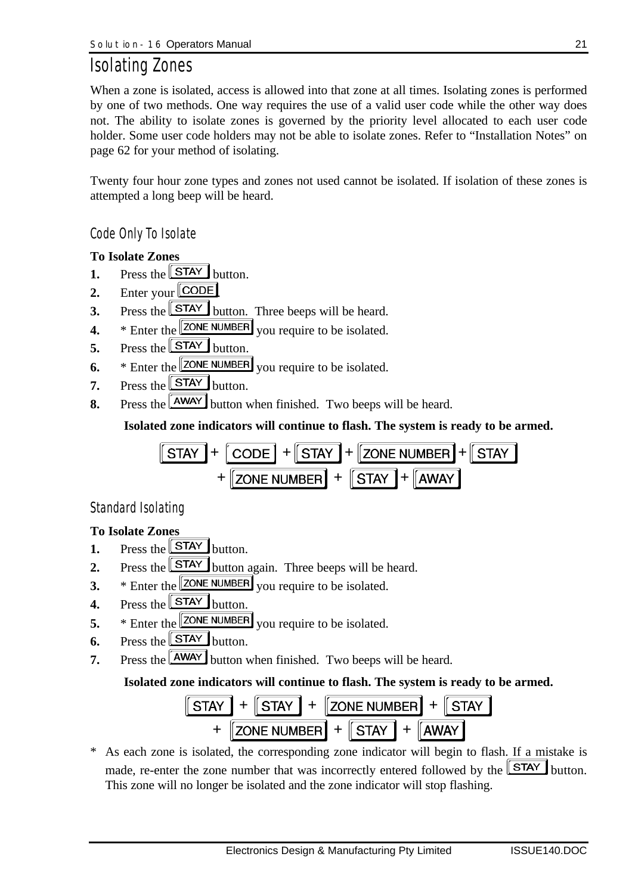## *Isolating Zones*

When a zone is isolated, access is allowed into that zone at all times. Isolating zones is performed by one of two methods. One way requires the use of a valid user code while the other way does not. The ability to isolate zones is governed by the priority level allocated to each user code holder. Some user code holders may not be able to isolate zones. Refer to "Installation Notes" on page 62 for your method of isolating.

Twenty four hour zone types and zones not used cannot be isolated. If isolation of these zones is attempted a long beep will be heard.

## *Code Only To Isolate*

## **To Isolate Zones**

- **1.** Press the  $STAY$  button.
- **2.** Enter your **CODE**
- **3.** Press the  $\boxed{\text{STAT}}$  button. Three beeps will be heard.
- **4.** \* Enter the **ZONE NUMBER** you require to be isolated.
- **5.** Press the  $\boxed{\text{STAT}}$  button.
- **6.** \* Enter the  $\boxed{\text{ZONE NUMBER}}$  you require to be isolated.
- **7.** Press the  $\boxed{\text{STAT}}$  button.
- **8.** Press the **AWAY** button when finished. Two beeps will be heard.

### **Isolated zone indicators will continue to flash. The system is ready to be armed.**

$$
\boxed{\text{STAY}} + \boxed{\text{CODE}} + \boxed{\text{STAY}} + \boxed{\text{ZONE NUMBER}} + \boxed{\text{STAY}} + \boxed{\text{STAY}}
$$

$$
+ \boxed{\text{ZONE NUMBER}} + \boxed{\text{STAY}}
$$

## *Standard Isolating*

## **To Isolate Zones**

- **1.** Press the  $STAY$  button.
- **2.** Press the **STAY** button again. Three beeps will be heard.
- **3.** \* Enter the **ZONE NUMBER** you require to be isolated.
- **4.** Press the  $\boxed{\text{STAT}}$  button.
- **5.** \* Enter the **ZONE NUMBER** you require to be isolated.
- **6.** Press the  $\boxed{\text{STAT}}$  button.
- **7.** Press the **AWAY** button when finished. Two beeps will be heard.

## **Isolated zone indicators will continue to flash. The system is ready to be armed.**



\* As each zone is isolated, the corresponding zone indicator will begin to flash. If a mistake is made, re-enter the zone number that was incorrectly entered followed by the  $STAY$  button. This zone will no longer be isolated and the zone indicator will stop flashing.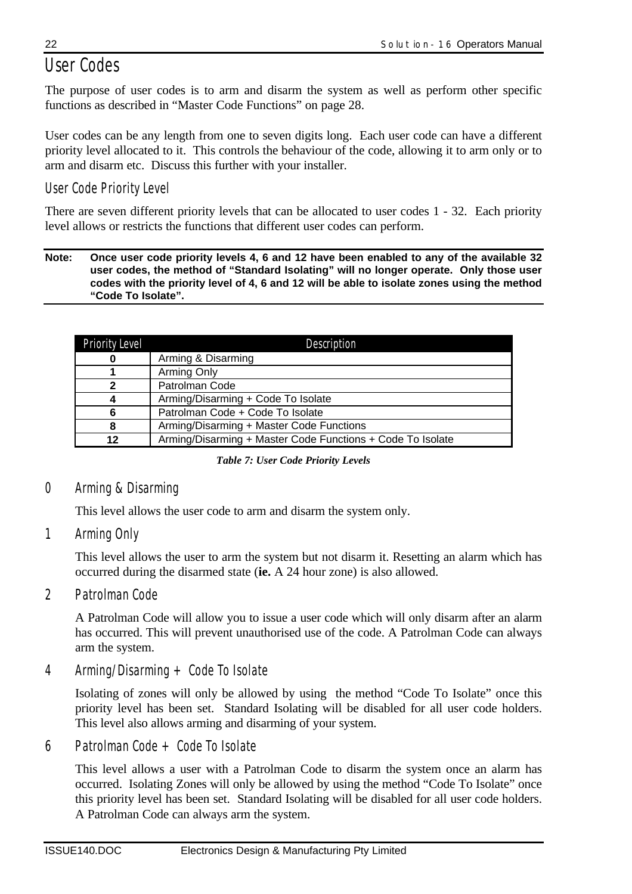# *User Codes*

The purpose of user codes is to arm and disarm the system as well as perform other specific functions as described in "Master Code Functions" on page 28.

User codes can be any length from one to seven digits long. Each user code can have a different priority level allocated to it. This controls the behaviour of the code, allowing it to arm only or to arm and disarm etc. Discuss this further with your installer.

## *User Code Priority Level*

There are seven different priority levels that can be allocated to user codes 1 - 32. Each priority level allows or restricts the functions that different user codes can perform.

#### **Note: Once user code priority levels 4, 6 and 12 have been enabled to any of the available 32 user codes, the method of "Standard Isolating" will no longer operate. Only those user codes with the priority level of 4, 6 and 12 will be able to isolate zones using the method "Code To Isolate".**

| <b>Priority Level</b> | Description                                                |
|-----------------------|------------------------------------------------------------|
| 0                     | Arming & Disarming                                         |
|                       | Arming Only                                                |
| $\mathbf{2}$          | Patrolman Code                                             |
| 4                     | Arming/Disarming + Code To Isolate                         |
| 6                     | Patrolman Code + Code To Isolate                           |
| 8                     | Arming/Disarming + Master Code Functions                   |
| 12                    | Arming/Disarming + Master Code Functions + Code To Isolate |

*Table 7: User Code Priority Levels*

## *0 Arming & Disarming*

This level allows the user code to arm and disarm the system only.

*1 Arming Only*

This level allows the user to arm the system but not disarm it. Resetting an alarm which has occurred during the disarmed state (**ie.** A 24 hour zone) is also allowed.

*2 Patrolman Code*

A Patrolman Code will allow you to issue a user code which will only disarm after an alarm has occurred. This will prevent unauthorised use of the code. A Patrolman Code can always arm the system.

*4 Arming/Disarming + Code To Isolate*

Isolating of zones will only be allowed by using the method "Code To Isolate" once this priority level has been set. Standard Isolating will be disabled for all user code holders. This level also allows arming and disarming of your system.

*6 Patrolman Code + Code To Isolate*

This level allows a user with a Patrolman Code to disarm the system once an alarm has occurred. Isolating Zones will only be allowed by using the method "Code To Isolate" once this priority level has been set. Standard Isolating will be disabled for all user code holders. A Patrolman Code can always arm the system.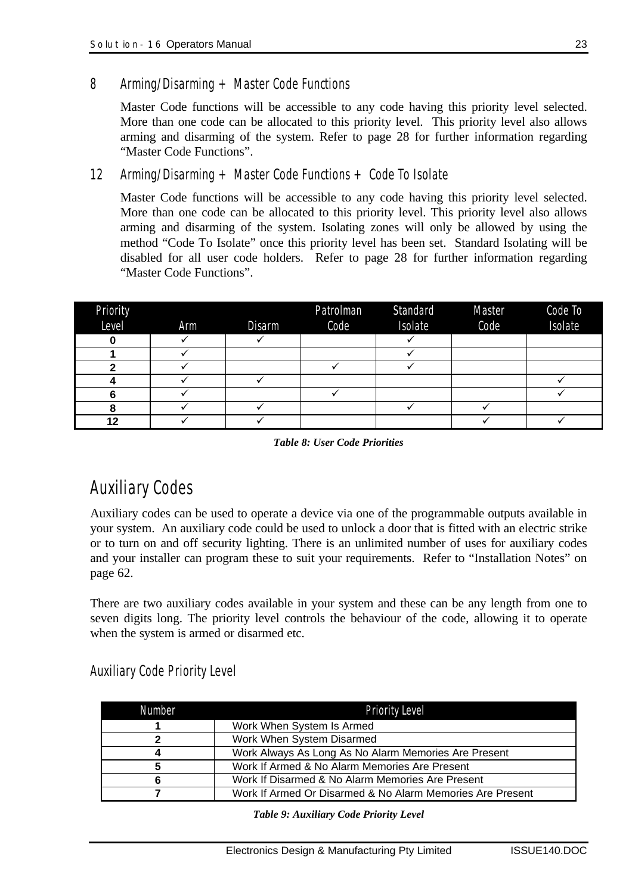Master Code functions will be accessible to any code having this priority level selected. More than one code can be allocated to this priority level. This priority level also allows arming and disarming of the system. Refer to page 28 for further information regarding "Master Code Functions".

*12 Arming/Disarming + Master Code Functions + Code To Isolate*

Master Code functions will be accessible to any code having this priority level selected. More than one code can be allocated to this priority level. This priority level also allows arming and disarming of the system. Isolating zones will only be allowed by using the method "Code To Isolate" once this priority level has been set. Standard Isolating will be disabled for all user code holders. Refer to page 28 for further information regarding "Master Code Functions".

| <b>Priority</b><br>Level | Arm | Disarm | Patrolman<br>Code | Standard<br>Isolate | Master<br>Code | Code To<br>Isolate |
|--------------------------|-----|--------|-------------------|---------------------|----------------|--------------------|
|                          |     |        |                   |                     |                |                    |
|                          |     |        |                   |                     |                |                    |
|                          |     |        |                   |                     |                |                    |
|                          |     |        |                   |                     |                |                    |
|                          |     |        |                   |                     |                |                    |
|                          |     |        |                   |                     |                |                    |
| 12                       |     |        |                   |                     |                |                    |

*Table 8: User Code Priorities*

# *Auxiliary Codes*

Auxiliary codes can be used to operate a device via one of the programmable outputs available in your system. An auxiliary code could be used to unlock a door that is fitted with an electric strike or to turn on and off security lighting. There is an unlimited number of uses for auxiliary codes and your installer can program these to suit your requirements. Refer to "Installation Notes" on page 62.

There are two auxiliary codes available in your system and these can be any length from one to seven digits long. The priority level controls the behaviour of the code, allowing it to operate when the system is armed or disarmed etc.

*Auxiliary Code Priority Level*

| Number | <b>Priority Level</b>                                     |
|--------|-----------------------------------------------------------|
|        | Work When System Is Armed                                 |
|        | Work When System Disarmed                                 |
|        | Work Always As Long As No Alarm Memories Are Present      |
|        | Work If Armed & No Alarm Memories Are Present             |
|        | Work If Disarmed & No Alarm Memories Are Present          |
|        | Work If Armed Or Disarmed & No Alarm Memories Are Present |

*Table 9: Auxiliary Code Priority Level*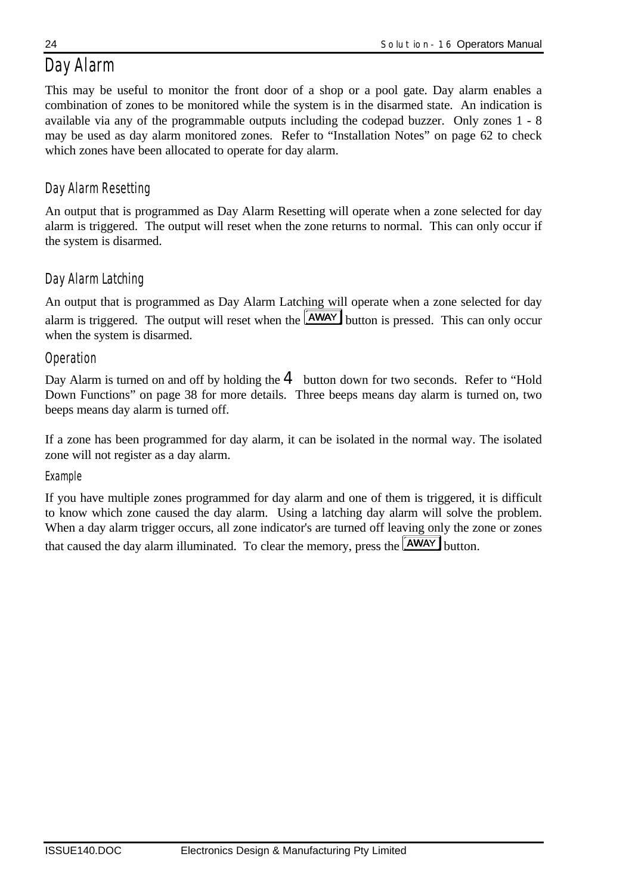# *Day Alarm*

This may be useful to monitor the front door of a shop or a pool gate. Day alarm enables a combination of zones to be monitored while the system is in the disarmed state. An indication is available via any of the programmable outputs including the codepad buzzer. Only zones 1 - 8 may be used as day alarm monitored zones. Refer to "Installation Notes" on page 62 to check which zones have been allocated to operate for day alarm.

## *Day Alarm Resetting*

An output that is programmed as Day Alarm Resetting will operate when a zone selected for day alarm is triggered. The output will reset when the zone returns to normal. This can only occur if the system is disarmed.

## *Day Alarm Latching*

An output that is programmed as Day Alarm Latching will operate when a zone selected for day alarm is triggered. The output will reset when the  $\sqrt{\text{AWAY}}$  button is pressed. This can only occur when the system is disarmed.

## *Operation*

Day Alarm is turned on and off by holding the  $4$  button down for two seconds. Refer to "Hold" Down Functions" on page 38 for more details. Three beeps means day alarm is turned on, two beeps means day alarm is turned off.

If a zone has been programmed for day alarm, it can be isolated in the normal way. The isolated zone will not register as a day alarm.

## *Example*

If you have multiple zones programmed for day alarm and one of them is triggered, it is difficult to know which zone caused the day alarm. Using a latching day alarm will solve the problem. When a day alarm trigger occurs, all zone indicator's are turned off leaving only the zone or zones that caused the day alarm illuminated. To clear the memory, press the  $\overline{\text{AWAY}}$  button.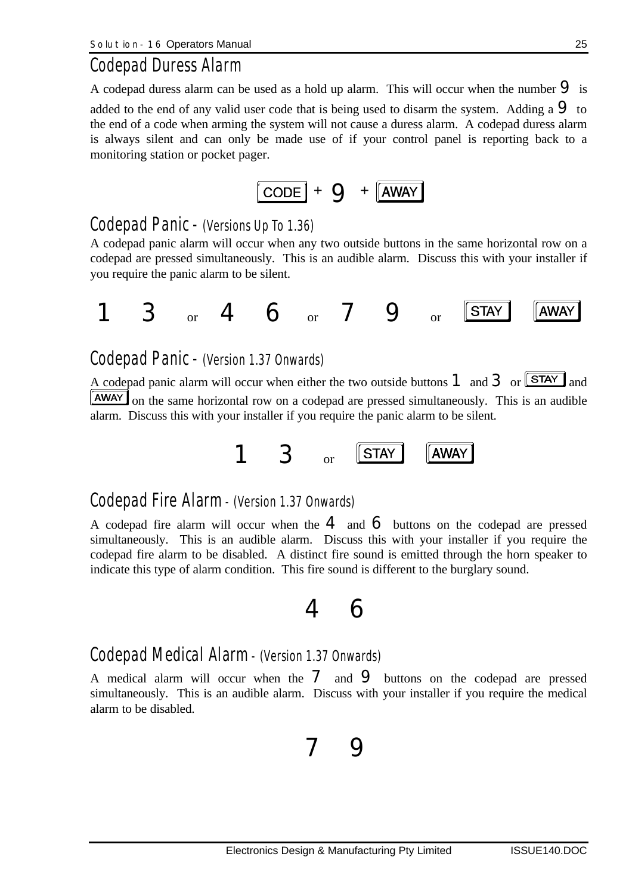## *Codepad Duress Alarm*

A codepad duress alarm can be used as a hold up alarm. This will occur when the number  $\Theta$  is added to the end of any valid user code that is being used to disarm the system. Adding a  $\mathbf 9$  to the end of a code when arming the system will not cause a duress alarm. A codepad duress alarm is always silent and can only be made use of if your control panel is reporting back to a monitoring station or pocket pager.

$$
[\text{CODE}] + \text{Q} + [\overline{\text{AWAY}}]
$$

## *Codepad Panic - (Versions Up To 1.36)*

A codepad panic alarm will occur when any two outside buttons in the same horizontal row on a codepad are pressed simultaneously. This is an audible alarm. Discuss this with your installer if you require the panic alarm to be silent.

$$
1 \quad 3 \quad \text{or} \quad 4 \quad 6 \quad \text{or} \quad 7 \quad 9 \quad \text{or} \quad \boxed{\text{STAT}} \quad \boxed{\text{AWAY}}
$$

## *Codepad Panic - (Version 1.37 Onwards)*

A codepad panic alarm will occur when either the two outside buttons  $1$  and  $3$  or  $\sqrt{\text{STAY}}$  and **AWAY** on the same horizontal row on a codepad are pressed simultaneously. This is an audible alarm. Discuss this with your installer if you require the panic alarm to be silent.

$$
1 \quad 3 \quad \text{or} \quad \boxed{\text{STAT}} \quad \boxed{\text{AWAY}}
$$

## *Codepad Fire Alarm - (Version 1.37 Onwards)*

A codepad fire alarm will occur when the  $\bf{4}$  and  $\bf{6}$  buttons on the codepad are pressed simultaneously. This is an audible alarm. Discuss this with your installer if you require the codepad fire alarm to be disabled. A distinct fire sound is emitted through the horn speaker to indicate this type of alarm condition. This fire sound is different to the burglary sound.

# 4 6

## *Codepad Medical Alarm - (Version 1.37 Onwards)*

A medical alarm will occur when the  $\overline{7}$  and  $\overline{9}$  buttons on the codepad are pressed simultaneously. This is an audible alarm. Discuss with your installer if you require the medical alarm to be disabled.

7 9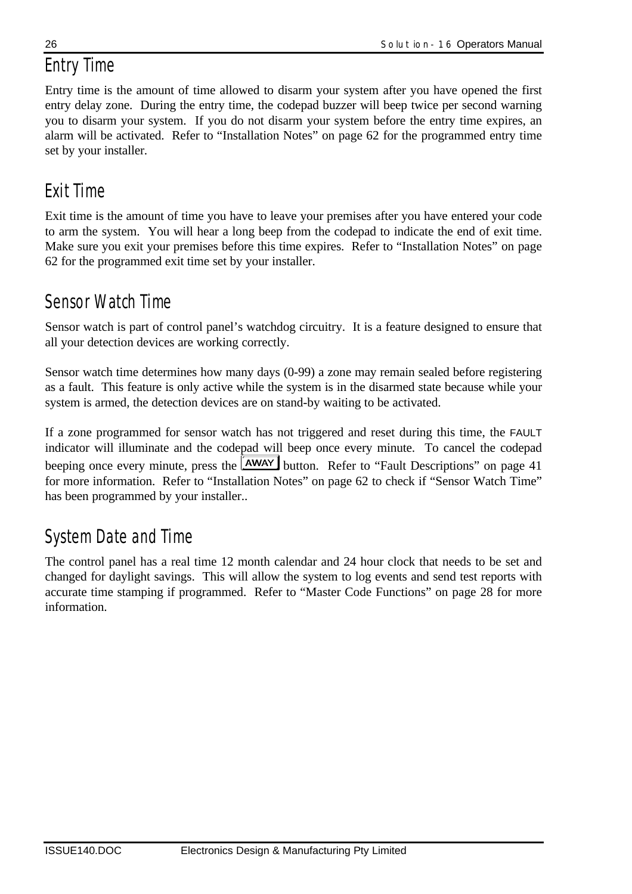## *Entry Time*

Entry time is the amount of time allowed to disarm your system after you have opened the first entry delay zone. During the entry time, the codepad buzzer will beep twice per second warning you to disarm your system. If you do not disarm your system before the entry time expires, an alarm will be activated. Refer to "Installation Notes" on page 62 for the programmed entry time set by your installer.

# *Exit Time*

Exit time is the amount of time you have to leave your premises after you have entered your code to arm the system. You will hear a long beep from the codepad to indicate the end of exit time. Make sure you exit your premises before this time expires. Refer to "Installation Notes" on page 62 for the programmed exit time set by your installer.

## *Sensor Watch Time*

Sensor watch is part of control panel's watchdog circuitry. It is a feature designed to ensure that all your detection devices are working correctly.

Sensor watch time determines how many days (0-99) a zone may remain sealed before registering as a fault. This feature is only active while the system is in the disarmed state because while your system is armed, the detection devices are on stand-by waiting to be activated.

If a zone programmed for sensor watch has not triggered and reset during this time, the FAULT indicator will illuminate and the codepad will beep once every minute. To cancel the codepad beeping once every minute, press the **AWAY** button. Refer to "Fault Descriptions" on page 41 for more information. Refer to "Installation Notes" on page 62 to check if "Sensor Watch Time" has been programmed by your installer..

# *System Date and Time*

The control panel has a real time 12 month calendar and 24 hour clock that needs to be set and changed for daylight savings. This will allow the system to log events and send test reports with accurate time stamping if programmed. Refer to "Master Code Functions" on page 28 for more information.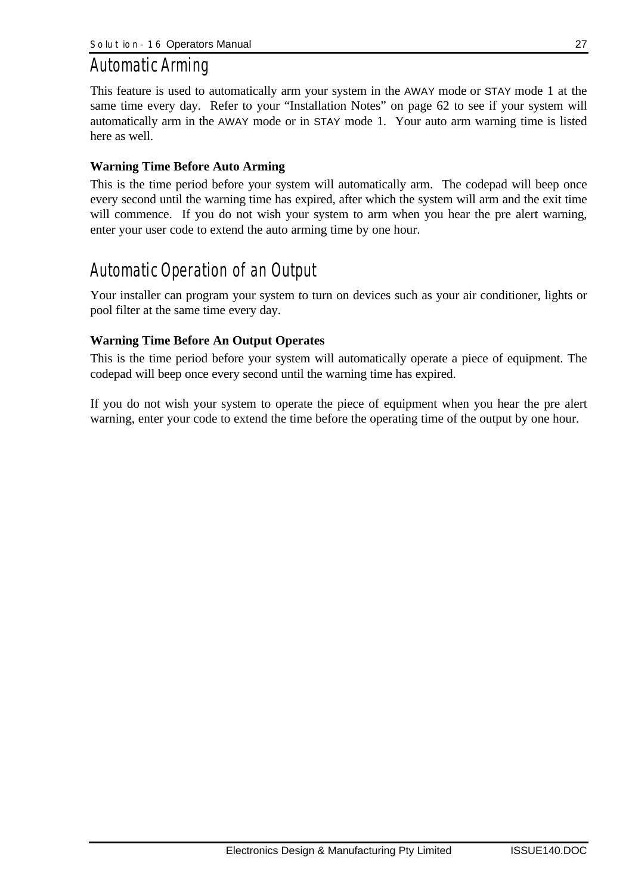## *Automatic Arming*

This feature is used to automatically arm your system in the AWAY mode or STAY mode 1 at the same time every day. Refer to your "Installation Notes" on page 62 to see if your system will automatically arm in the AWAY mode or in STAY mode 1. Your auto arm warning time is listed here as well.

#### **Warning Time Before Auto Arming**

This is the time period before your system will automatically arm. The codepad will beep once every second until the warning time has expired, after which the system will arm and the exit time will commence. If you do not wish your system to arm when you hear the pre alert warning, enter your user code to extend the auto arming time by one hour.

## *Automatic Operation of an Output*

Your installer can program your system to turn on devices such as your air conditioner, lights or pool filter at the same time every day.

#### **Warning Time Before An Output Operates**

This is the time period before your system will automatically operate a piece of equipment. The codepad will beep once every second until the warning time has expired.

If you do not wish your system to operate the piece of equipment when you hear the pre alert warning, enter your code to extend the time before the operating time of the output by one hour.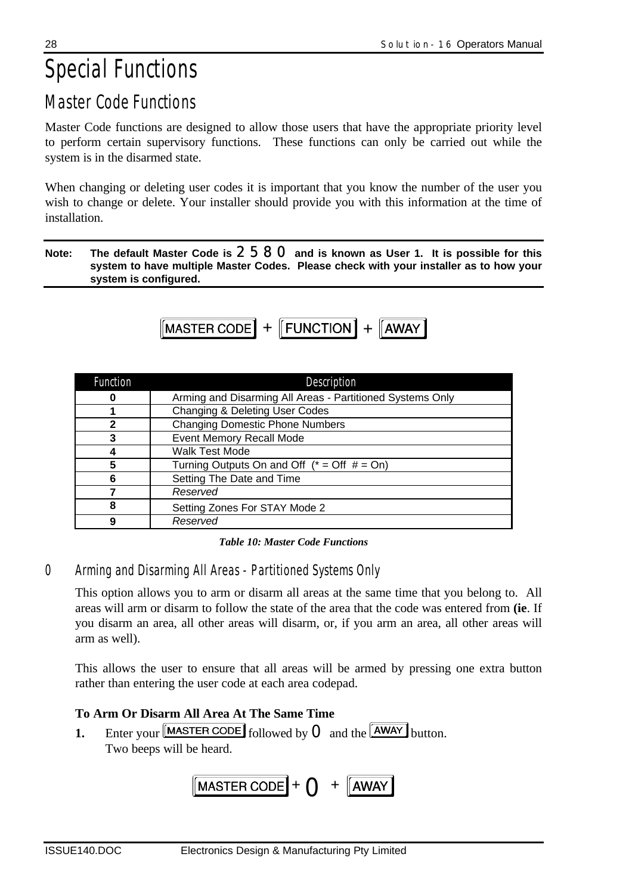# *Special Functions*

# *Master Code Functions*

Master Code functions are designed to allow those users that have the appropriate priority level to perform certain supervisory functions. These functions can only be carried out while the system is in the disarmed state.

When changing or deleting user codes it is important that you know the number of the user you wish to change or delete. Your installer should provide you with this information at the time of installation.

#### **Note: The default Master Code is** 2580 **and is known as User 1. It is possible for this system to have multiple Master Codes. Please check with your installer as to how your system is configured.**

$$
[MASTER CODE] + [FUNCTION] + [AWAY]
$$

| <b>Function</b> | Description                                               |
|-----------------|-----------------------------------------------------------|
| O               | Arming and Disarming All Areas - Partitioned Systems Only |
|                 | Changing & Deleting User Codes                            |
| 2               | <b>Changing Domestic Phone Numbers</b>                    |
| 3               | <b>Event Memory Recall Mode</b>                           |
|                 | <b>Walk Test Mode</b>                                     |
| 5               | Turning Outputs On and Off $(* = Off # = On)$             |
| 6               | Setting The Date and Time                                 |
|                 | Reserved                                                  |
| 8               | Setting Zones For STAY Mode 2                             |
| 9               | Reserved                                                  |

*Table 10: Master Code Functions*

*0 Arming and Disarming All Areas - Partitioned Systems Only*

This option allows you to arm or disarm all areas at the same time that you belong to. All areas will arm or disarm to follow the state of the area that the code was entered from **(ie**. If you disarm an area, all other areas will disarm, or, if you arm an area, all other areas will arm as well).

This allows the user to ensure that all areas will be armed by pressing one extra button rather than entering the user code at each area codepad.

## **To Arm Or Disarm All Area At The Same Time**

**1.** Enter your  $\boxed{\text{MASTER CODE}}$  followed by  $\boxed{\text{O}}$  and the  $\boxed{\text{AWAY}}$  button. Two beeps will be heard.

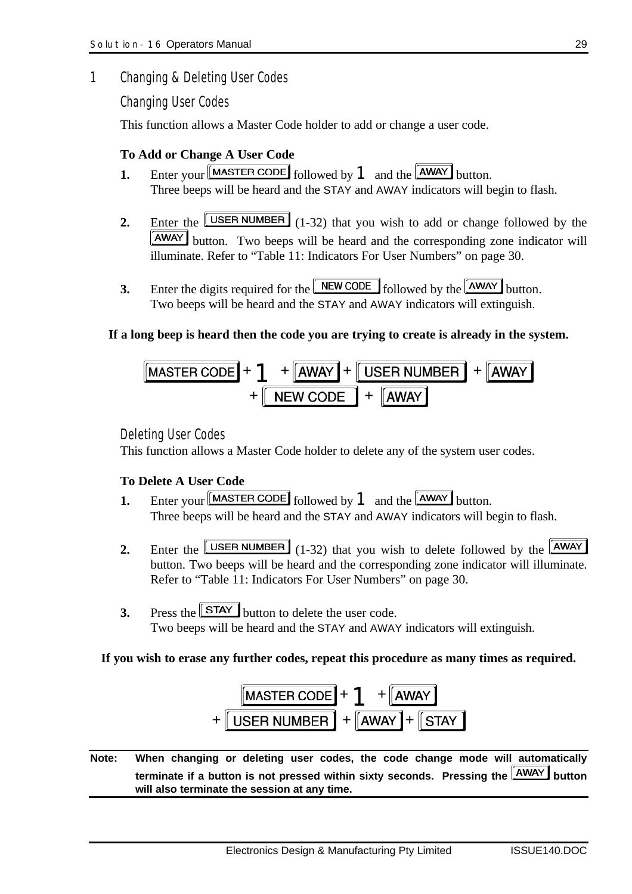### *1 Changing & Deleting User Codes*

*Changing User Codes*

This function allows a Master Code holder to add or change a user code.

### **To Add or Change A User Code**

- **1.** Enter your  $\begin{bmatrix} \text{MASTER CODE} \end{bmatrix}$  followed by  $\begin{bmatrix} 1 \end{bmatrix}$  and the  $\begin{bmatrix} \overline{\text{AWAY}} \end{bmatrix}$  button. Three beeps will be heard and the STAY and AWAY indicators will begin to flash.
- **2.** Enter the  $\boxed{\text{USER NUMBER}}$  (1-32) that you wish to add or change followed by the **AWAY** button. Two beeps will be heard and the corresponding zone indicator will illuminate. Refer to "Table 11: Indicators For User Numbers" on page 30.
- **3.** Enter the digits required for the **NEW CODE** followed by the **AWAY** button. Two beeps will be heard and the STAY and AWAY indicators will extinguish.

#### **If a long beep is heard then the code you are trying to create is already in the system.**

$$
\frac{\boxed{\text{MASTER CODE}} + 1 + \boxed{\text{AWAY}} + \boxed{\text{USER NUMBER}} + \boxed{\text{AWAY}}}{\boxed{\text{NEW CODE}}} + \boxed{\boxed{\text{AWAY}}}
$$

#### *Deleting User Codes*

This function allows a Master Code holder to delete any of the system user codes.

#### **To Delete A User Code**

- **1.** Enter your MASTER CODE followed by **1** and the **AWAY** button. Three beeps will be heard and the STAY and AWAY indicators will begin to flash.
- **2.** Enter the  $\boxed{\text{USER NUMBER}}$  (1-32) that you wish to delete followed by the  $\boxed{\text{AWAY}}$ button. Two beeps will be heard and the corresponding zone indicator will illuminate. Refer to "Table 11: Indicators For User Numbers" on page 30.
- **3.** Press the **STAY** button to delete the user code. Two beeps will be heard and the STAY and AWAY indicators will extinguish.

#### **If you wish to erase any further codes, repeat this procedure as many times as required.**



**Note: When changing or deleting user codes, the code change mode will automatically** terminate if a button is not pressed within sixty seconds. Pressing the **AWAY** button **will also terminate the session at any time.**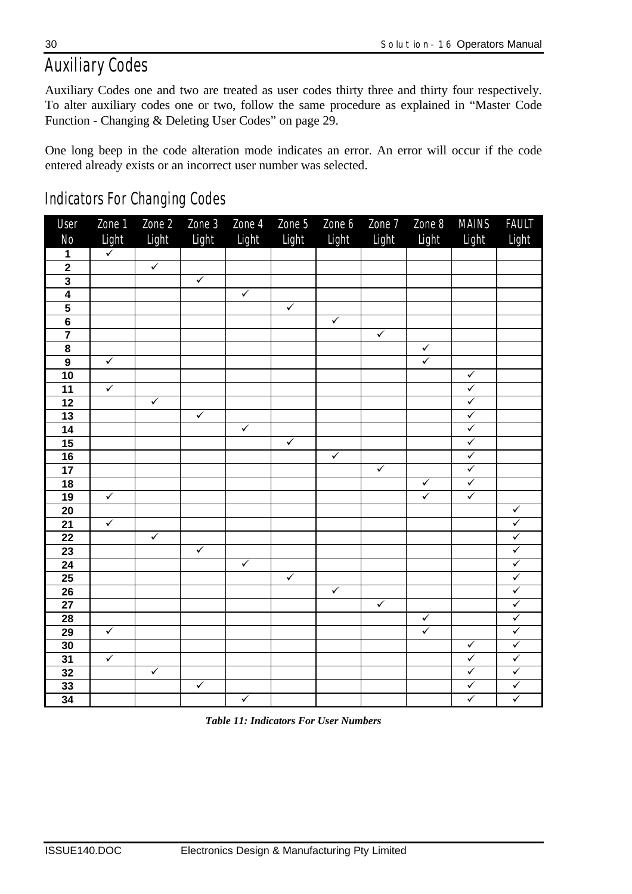# *Auxiliary Codes*

Auxiliary Codes one and two are treated as user codes thirty three and thirty four respectively. To alter auxiliary codes one or two, follow the same procedure as explained in "Master Code Function - Changing & Deleting User Codes" on page 29.

One long beep in the code alteration mode indicates an error. An error will occur if the code entered already exists or an incorrect user number was selected.

| User                    | Zone 1                  | Zone 2       | Zone 3                  | Zone 4       | Zone 5       | Zone 6       | Zone 7       | Zone 8                  | MAINS                   | <b>FAULT</b>            |
|-------------------------|-------------------------|--------------|-------------------------|--------------|--------------|--------------|--------------|-------------------------|-------------------------|-------------------------|
| N <sub>O</sub>          | Light                   | Light        | Light                   | Light        | Light        | Light        | Light        | Light                   | Light                   | Light                   |
| 1                       | $\checkmark$            |              |                         |              |              |              |              |                         |                         |                         |
| $\overline{2}$          |                         | $\checkmark$ |                         |              |              |              |              |                         |                         |                         |
| $\overline{\mathbf{3}}$ |                         |              | $\overline{\checkmark}$ |              |              |              |              |                         |                         |                         |
| $\overline{4}$          |                         |              |                         | $\checkmark$ |              |              |              |                         |                         |                         |
| $\overline{\mathbf{5}}$ |                         |              |                         |              | $\checkmark$ |              |              |                         |                         |                         |
| $\overline{\mathbf{6}}$ |                         |              |                         |              |              | $\checkmark$ |              |                         |                         |                         |
| $\overline{\mathbf{7}}$ |                         |              |                         |              |              |              | $\checkmark$ |                         |                         |                         |
| $\overline{\mathbf{8}}$ |                         |              |                         |              |              |              |              | $\checkmark$            |                         |                         |
| $\overline{9}$          | $\checkmark$            |              |                         |              |              |              |              | $\overline{\checkmark}$ |                         |                         |
| 10                      |                         |              |                         |              |              |              |              |                         | $\checkmark$            |                         |
| $\overline{11}$         | $\checkmark$            |              |                         |              |              |              |              |                         | $\checkmark$            |                         |
| 12                      |                         | $\checkmark$ |                         |              |              |              |              |                         | $\checkmark$            |                         |
| $\overline{13}$         |                         |              | $\checkmark$            |              |              |              |              |                         | $\checkmark$            |                         |
| $\overline{14}$         |                         |              |                         | $\checkmark$ |              |              |              |                         | $\checkmark$            |                         |
| 15                      |                         |              |                         |              | $\checkmark$ |              |              |                         | $\checkmark$            |                         |
| 16                      |                         |              |                         |              |              | $\checkmark$ |              |                         | $\checkmark$            |                         |
| $\overline{17}$         |                         |              |                         |              |              |              | $\checkmark$ |                         | $\checkmark$            |                         |
| $\overline{18}$         |                         |              |                         |              |              |              |              | $\checkmark$            | $\checkmark$            |                         |
| 19                      | $\checkmark$            |              |                         |              |              |              |              | $\overline{\checkmark}$ | $\overline{\checkmark}$ |                         |
| 20                      |                         |              |                         |              |              |              |              |                         |                         | $\checkmark$            |
| $\overline{21}$         | $\overline{\checkmark}$ |              |                         |              |              |              |              |                         |                         | $\checkmark$            |
| 22                      |                         | $\checkmark$ |                         |              |              |              |              |                         |                         | $\checkmark$            |
| 23                      |                         |              | $\checkmark$            |              |              |              |              |                         |                         | $\overline{\checkmark}$ |
| $\overline{24}$         |                         |              |                         | $\checkmark$ |              |              |              |                         |                         | $\overline{\checkmark}$ |
| $\overline{25}$         |                         |              |                         |              | $\checkmark$ |              |              |                         |                         | $\checkmark$            |
| 26                      |                         |              |                         |              |              | $\checkmark$ |              |                         |                         | $\checkmark$            |
| $\overline{27}$         |                         |              |                         |              |              |              | $\checkmark$ |                         |                         | $\checkmark$            |
| 28                      |                         |              |                         |              |              |              |              | $\checkmark$            |                         | $\overline{\checkmark}$ |
| 29                      | $\checkmark$            |              |                         |              |              |              |              | $\overline{\checkmark}$ |                         | $\overline{\checkmark}$ |
| 30                      |                         |              |                         |              |              |              |              |                         | $\overline{\checkmark}$ | $\overline{\checkmark}$ |
| $\overline{31}$         | $\checkmark$            |              |                         |              |              |              |              |                         | $\checkmark$            | $\checkmark$            |
| 32                      |                         | $\checkmark$ |                         |              |              |              |              |                         | $\overline{\checkmark}$ | $\overline{\checkmark}$ |
| 33                      |                         |              | $\checkmark$            |              |              |              |              |                         | $\checkmark$            | $\checkmark$            |
| $\overline{34}$         |                         |              |                         | $\checkmark$ |              |              |              |                         | $\checkmark$            | $\checkmark$            |

*Indicators For Changing Codes*

*Table 11: Indicators For User Numbers*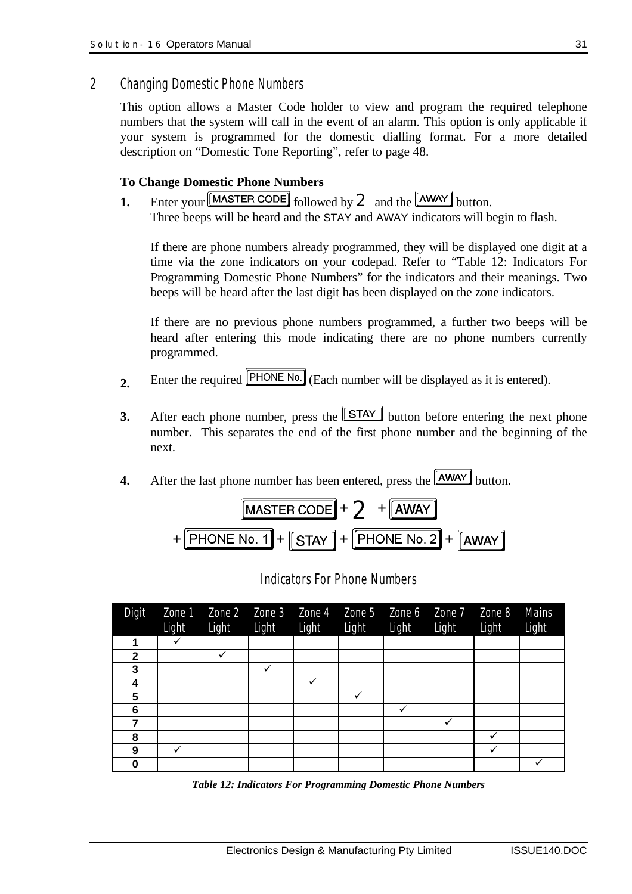*2 Changing Domestic Phone Numbers*

This option allows a Master Code holder to view and program the required telephone numbers that the system will call in the event of an alarm. This option is only applicable if your system is programmed for the domestic dialling format. For a more detailed description on "Domestic Tone Reporting", refer to page 48.

#### **To Change Domestic Phone Numbers**

**1.** Enter your  $\begin{bmatrix} \text{MASTER CODE} \\ \text{followed by } 2 \end{bmatrix}$  and the  $\begin{bmatrix} \overline{\text{AWAY}} \\ \text{button.} \end{bmatrix}$ Three beeps will be heard and the STAY and AWAY indicators will begin to flash.

If there are phone numbers already programmed, they will be displayed one digit at a time via the zone indicators on your codepad. Refer to "Table 12: Indicators For Programming Domestic Phone Numbers" for the indicators and their meanings. Two beeps will be heard after the last digit has been displayed on the zone indicators.

If there are no previous phone numbers programmed, a further two beeps will be heard after entering this mode indicating there are no phone numbers currently programmed.

- 2. Enter the required **PHONE No.** (Each number will be displayed as it is entered).
- **3.** After each phone number, press the  $STAY$  button before entering the next phone number. This separates the end of the first phone number and the beginning of the next.
- **4.** After the last phone number has been entered, press the **AWAY** button.



| Digit       | Light | Light | Light | Light | Zone 1 $\overline{Z}$ one 2 $\overline{Z}$ one 3 $\overline{Z}$ one 4 $\overline{Z}$ one 5 $\overline{Z}$ one 6 $\overline{Z}$ one 7 $\overline{Z}$ one 8<br>Light | Light | Light | Light | Mains<br>Light |
|-------------|-------|-------|-------|-------|--------------------------------------------------------------------------------------------------------------------------------------------------------------------|-------|-------|-------|----------------|
|             | ✓     |       |       |       |                                                                                                                                                                    |       |       |       |                |
| $\mathbf 2$ |       |       |       |       |                                                                                                                                                                    |       |       |       |                |
| 3           |       |       |       |       |                                                                                                                                                                    |       |       |       |                |
| 4           |       |       |       |       |                                                                                                                                                                    |       |       |       |                |
| 5           |       |       |       |       | ✓                                                                                                                                                                  |       |       |       |                |
| 6           |       |       |       |       |                                                                                                                                                                    | ✓     |       |       |                |
| 7           |       |       |       |       |                                                                                                                                                                    |       | ✓     |       |                |
| 8           |       |       |       |       |                                                                                                                                                                    |       |       |       |                |
| 9           | ✓     |       |       |       |                                                                                                                                                                    |       |       |       |                |
| 0           |       |       |       |       |                                                                                                                                                                    |       |       |       |                |

*Indicators For Phone Numbers*

*Table 12: Indicators For Programming Domestic Phone Numbers*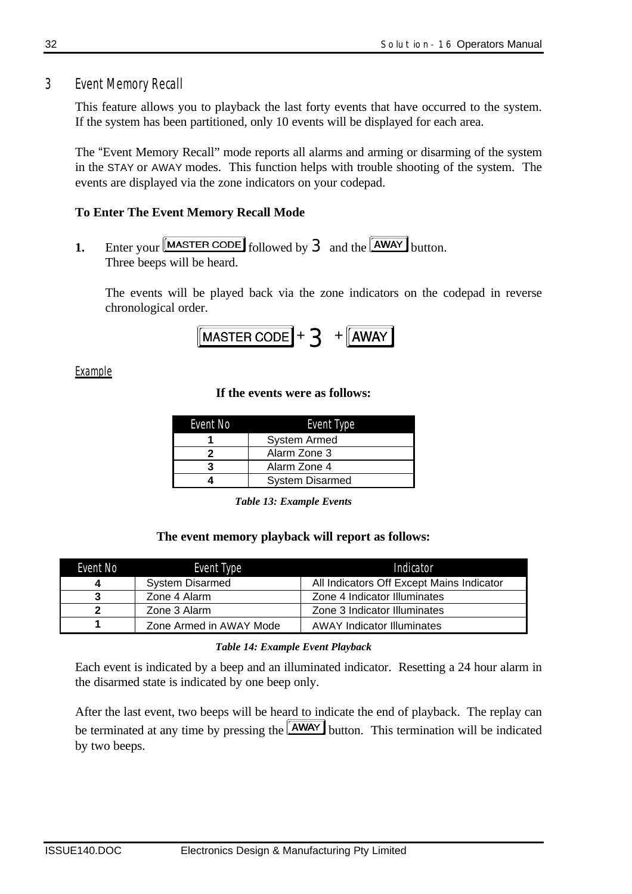*3 Event Memory Recall*

This feature allows you to playback the last forty events that have occurred to the system. If the system has been partitioned, only 10 events will be displayed for each area.

The "Event Memory Recall" mode reports all alarms and arming or disarming of the system in the STAY or AWAY modes. This function helps with trouble shooting of the system. The events are displayed via the zone indicators on your codepad.

### **To Enter The Event Memory Recall Mode**

**1.** Enter your  $\boxed{\text{MASTER CODE}}$  followed by **3** and the  $\boxed{\text{AWAY}}$  button. Three beeps will be heard.

The events will be played back via the zone indicators on the codepad in reverse chronological order.

$$
[\text{MASTER CODE}] + 3 + [\text{AWAY}]
$$

*Example*

#### **If the events were as follows:**

| Event No | Event Type             |
|----------|------------------------|
|          | System Armed           |
|          | Alarm Zone 3           |
|          | Alarm Zone 4           |
|          | <b>System Disarmed</b> |

*Table 13: Example Events*

#### **The event memory playback will report as follows:**

| Event No | Event Type              | Indicator                                 |
|----------|-------------------------|-------------------------------------------|
|          | <b>System Disarmed</b>  | All Indicators Off Except Mains Indicator |
|          | Zone 4 Alarm            | Zone 4 Indicator Illuminates              |
|          | Zone 3 Alarm            | Zone 3 Indicator Illuminates              |
|          | Zone Armed in AWAY Mode | <b>AWAY Indicator Illuminates</b>         |

#### *Table 14: Example Event Playback*

Each event is indicated by a beep and an illuminated indicator. Resetting a 24 hour alarm in the disarmed state is indicated by one beep only.

After the last event, two beeps will be heard to indicate the end of playback. The replay can be terminated at any time by pressing the  $\sqrt{\text{AWAY}}$  button. This termination will be indicated by two beeps.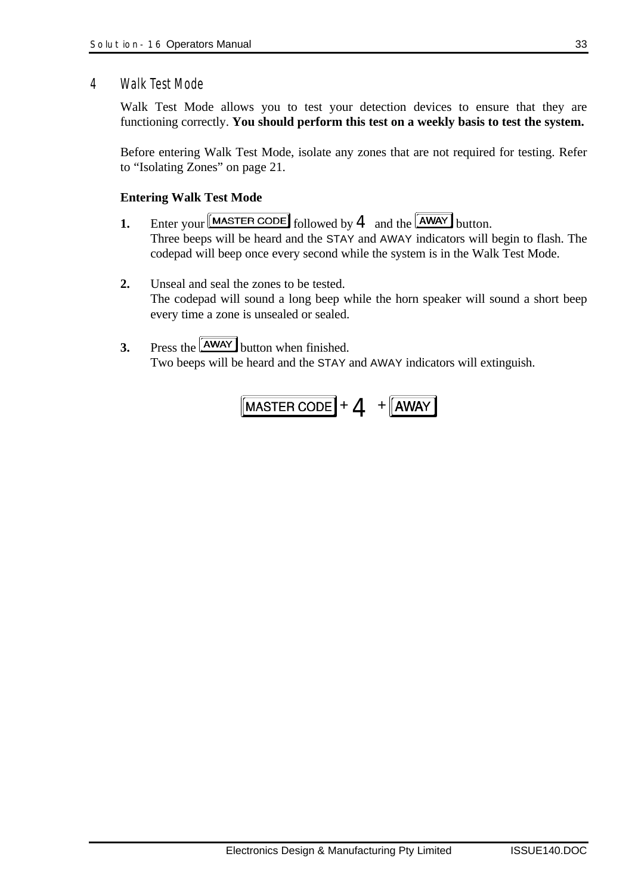### *4 Walk Test Mode*

Walk Test Mode allows you to test your detection devices to ensure that they are functioning correctly. **You should perform this test on a weekly basis to test the system.**

Before entering Walk Test Mode, isolate any zones that are not required for testing. Refer to "Isolating Zones" on page 21.

#### **Entering Walk Test Mode**

**1.** Enter your  $\boxed{\text{MASTER CODE}}$  followed by **4** and the  $\boxed{\text{AWAY}}$  button.

Three beeps will be heard and the STAY and AWAY indicators will begin to flash. The codepad will beep once every second while the system is in the Walk Test Mode.

- **2.** Unseal and seal the zones to be tested. The codepad will sound a long beep while the horn speaker will sound a short beep every time a zone is unsealed or sealed.
- **3.** Press the  $\sqrt{\text{AWAY}}$  button when finished. Two beeps will be heard and the STAY and AWAY indicators will extinguish.

$$
\boxed{\text{MASTER CODE}} + 4 + \boxed{\text{AWAY}}
$$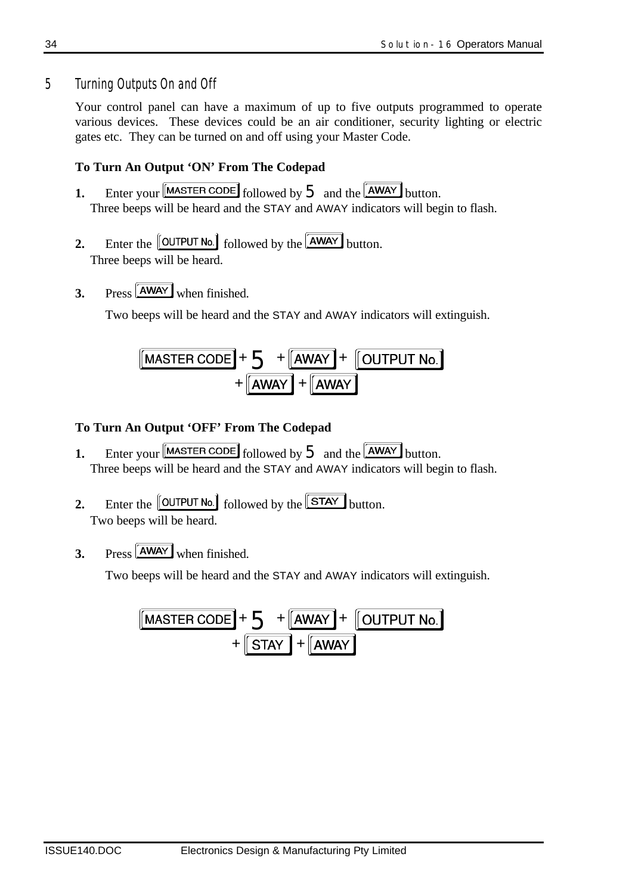## *5 Turning Outputs On and Off*

Your control panel can have a maximum of up to five outputs programmed to operate various devices. These devices could be an air conditioner, security lighting or electric gates etc. They can be turned on and off using your Master Code.

## **To Turn An Output 'ON' From The Codepad**

- **1.** Enter your  $\begin{bmatrix} \text{MASTER CODE} \end{bmatrix}$  followed by  $\overline{5}$  and the  $\begin{bmatrix} \overline{\text{AWAY}} \end{bmatrix}$  button. Three beeps will be heard and the STAY and AWAY indicators will begin to flash.
- **2.** Enter the  $\left[\frac{\text{OUTPUT No.}}{\text{followed by the}}\right]$  button. Three beeps will be heard.
- **3.** Press  $\begin{bmatrix} \overrightarrow{A}WAY \\ \overrightarrow{W}PQ \end{bmatrix}$  when finished.

Two beeps will be heard and the STAY and AWAY indicators will extinguish.

$$
\frac{\boxed{\text{MASTER CODE}} + \sum + \boxed{\text{AWAY}} + \boxed{\text{OUTPUT No.}}}{\boxed{\text{AWAY}}} + \boxed{\text{AWAY}}
$$

## **To Turn An Output 'OFF' From The Codepad**

- **1.** Enter your  $\boxed{\text{MASTER CODE}}$  followed by  $5$  and the  $\boxed{\text{AWAY}}$  button. Three beeps will be heard and the STAY and AWAY indicators will begin to flash.
- **2.** Enter the  $\left[\frac{\text{OUTPUT No.}}{\text{followed by the }}\right]$  button. Two beeps will be heard.
- **3.** Press **AWAY** when finished

Two beeps will be heard and the STAY and AWAY indicators will extinguish.

$$
\frac{\boxed{\text{MASTER CODE}} + \sum + \boxed{\text{AWAY}} + \boxed{\text{OUTPUT No.}}}{\boxed{\text{STAT}}} + \boxed{\text{AWAY}}
$$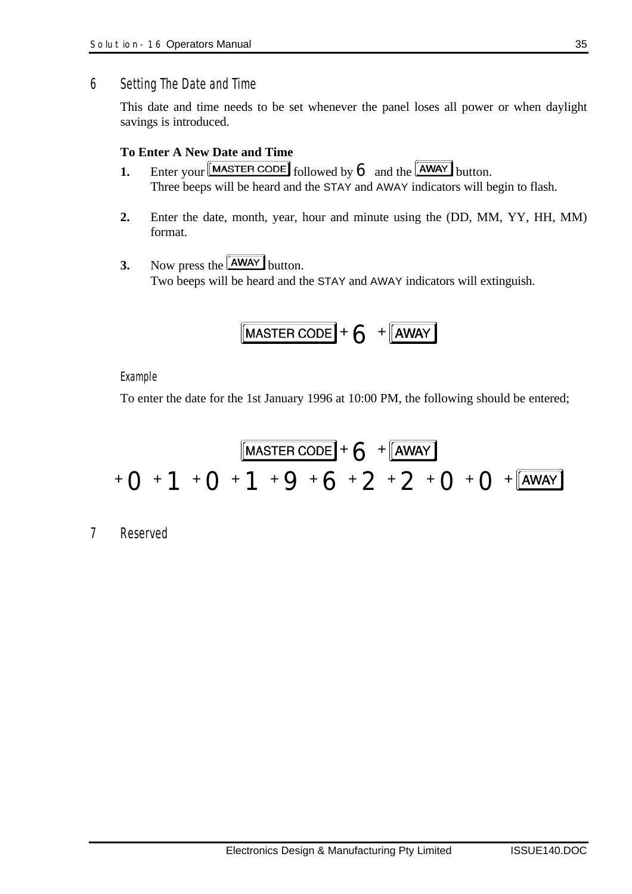### *6 Setting The Date and Time*

This date and time needs to be set whenever the panel loses all power or when daylight savings is introduced.

### **To Enter A New Date and Time**

- **1.** Enter your  $\begin{bmatrix} \text{MASTER CODE} \end{bmatrix}$  followed by  $\bigodot$  and the  $\begin{bmatrix} \overline{\text{AWAY}} \end{bmatrix}$  button. Three beeps will be heard and the STAY and AWAY indicators will begin to flash.
- **2.** Enter the date, month, year, hour and minute using the (DD, MM, YY, HH, MM) format.
- **3.** Now press the  $\boxed{\overline{\text{AWAY}}}$  button. Two beeps will be heard and the STAY and AWAY indicators will extinguish.

$$
\boxed{\text{MASTER CODE}} + \bigodot + \boxed{\text{AWAY}}
$$

#### *Example*

To enter the date for the 1st January 1996 at 10:00 PM, the following should be entered;

$$
\boxed{\text{MASTER CODE}} + 6 + \boxed{\text{AWAY}}
$$
  
+ O + 1 + O + 1 + 9 + 6 + 2 + 2 + O + O + \boxed{\text{AWAY}}

*7 Reserved*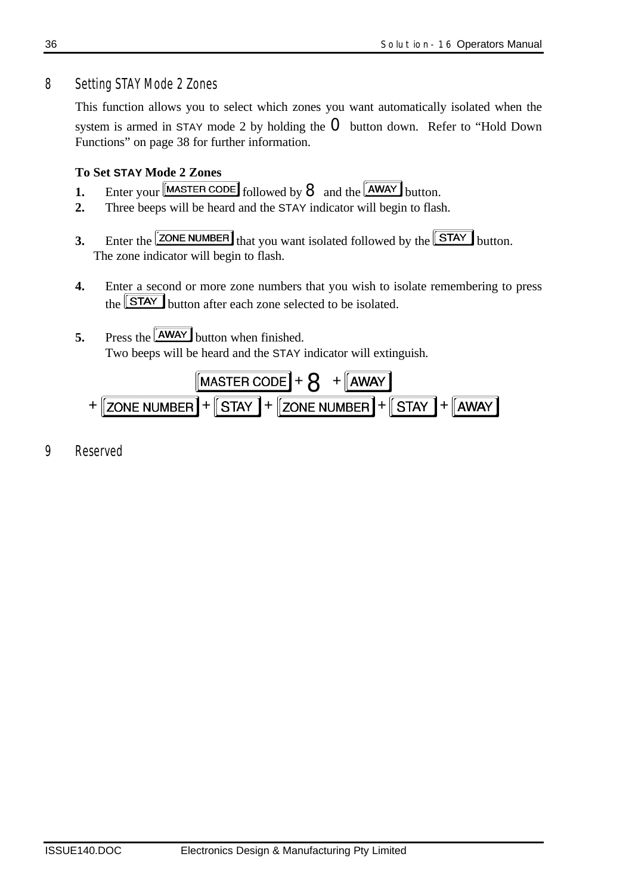## *8 Setting STAY Mode 2 Zones*

This function allows you to select which zones you want automatically isolated when the system is armed in STAY mode 2 by holding the  $\Omega$  button down. Refer to "Hold Down" Functions" on page 38 for further information.

## **To Set STAY Mode 2 Zones**

- **1.** Enter your  $\boxed{\text{MASTER CODE}}$  followed by  $\bf{8}$  and the  $\boxed{\text{AWAY}}$  button.
- **2.** Three beeps will be heard and the STAY indicator will begin to flash.
- **3.** Enter the  $\boxed{\text{ZONE NUMBER}}$  that you want isolated followed by the  $\boxed{\text{STAT}}$  button. The zone indicator will begin to flash.
- **4.** Enter a second or more zone numbers that you wish to isolate remembering to press the  $STAY$  button after each zone selected to be isolated.
- **5.** Press the **AWAY** button when finished. Two beeps will be heard and the STAY indicator will extinguish.

$$
\boxed{\text{MASTER CODE}} + \text{S} + \boxed{\text{AWAY}}
$$
  
+ 
$$
\boxed{\text{ZONE NUMBER}} + \boxed{\text{STAY}} + \boxed{\text{ZONE NUMBER}} + \boxed{\text{STAY}}
$$

*9 Reserved*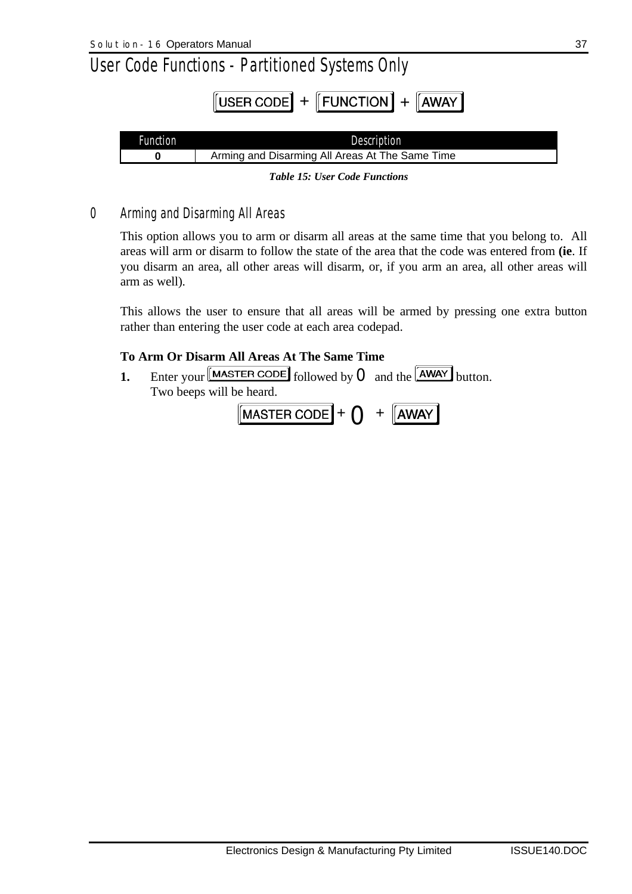| <b>Function</b> | <b>Description</b>                              |
|-----------------|-------------------------------------------------|
|                 | Arming and Disarming All Areas At The Same Time |
|                 |                                                 |

*Table 15: User Code Functions*

## *0 Arming and Disarming All Areas*

This option allows you to arm or disarm all areas at the same time that you belong to. All areas will arm or disarm to follow the state of the area that the code was entered from **(ie**. If you disarm an area, all other areas will disarm, or, if you arm an area, all other areas will arm as well).

This allows the user to ensure that all areas will be armed by pressing one extra button rather than entering the user code at each area codepad.

## **To Arm Or Disarm All Areas At The Same Time**

**1.** Enter your  $\boxed{\text{MASTER CODE}}$  followed by  $\boxed{\text{O}}$  and the  $\boxed{\text{AWAY}}$  button. Two beeps will be heard.

$$
[\text{MASTER CODE}] + \bigodot + [\overline{\text{AWAY}}]
$$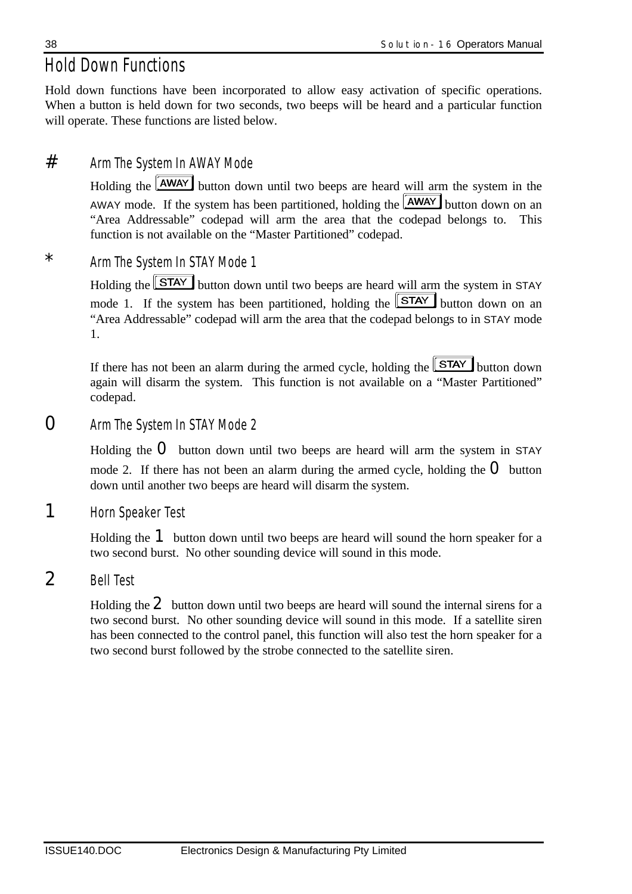## *Hold Down Functions*

Hold down functions have been incorporated to allow easy activation of specific operations. When a button is held down for two seconds, two beeps will be heard and a particular function will operate. These functions are listed below.

## # *Arm The System In AWAY Mode*

Holding the **AWAY** button down until two beeps are heard will arm the system in the AWAY mode. If the system has been partitioned, holding the  $\overline{\text{AWAY}}$  button down on an "Area Addressable" codepad will arm the area that the codepad belongs to. This function is not available on the "Master Partitioned" codepad.

## \* *Arm The System In STAY Mode 1*

Holding the **STAY** button down until two beeps are heard will arm the system in STAY mode 1. If the system has been partitioned, holding the  $\boxed{\text{STAT}}$  button down on an "Area Addressable" codepad will arm the area that the codepad belongs to in STAY mode 1.

If there has not been an alarm during the armed cycle, holding the  $STAY$  button down again will disarm the system. This function is not available on a "Master Partitioned" codepad.

0 *Arm The System In STAY Mode 2*

Holding the  $O$  button down until two beeps are heard will arm the system in STAY mode 2. If there has not been an alarm during the armed cycle, holding the  $O$  button down until another two beeps are heard will disarm the system.

## 1 *Horn Speaker Test*

Holding the <sup>1</sup> button down until two beeps are heard will sound the horn speaker for a two second burst. No other sounding device will sound in this mode.

## 2 *Bell Test*

Holding the  $2$  button down until two beeps are heard will sound the internal sirens for a two second burst. No other sounding device will sound in this mode. If a satellite siren has been connected to the control panel, this function will also test the horn speaker for a two second burst followed by the strobe connected to the satellite siren.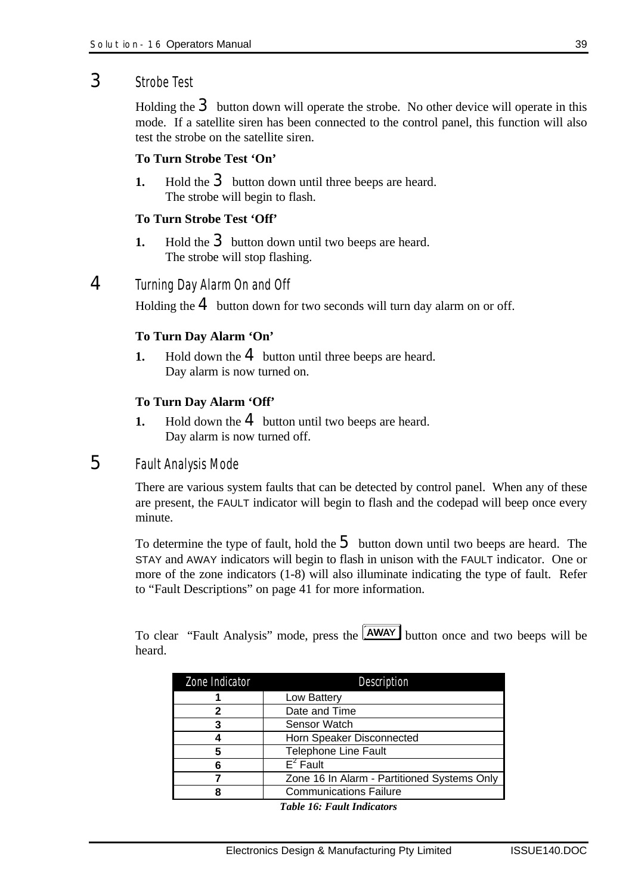## 3 *Strobe Test*

Holding the  $3$  button down will operate the strobe. No other device will operate in this mode. If a satellite siren has been connected to the control panel, this function will also test the strobe on the satellite siren.

#### **To Turn Strobe Test 'On'**

**1.** Hold the **3** button down until three beeps are heard. The strobe will begin to flash.

#### **To Turn Strobe Test 'Off'**

**1.** Hold the **3** button down until two beeps are heard. The strobe will stop flashing.

## 4 *Turning Day Alarm On and Off*

Holding the  $4$  button down for two seconds will turn day alarm on or off.

#### **To Turn Day Alarm 'On'**

**1.** Hold down the **4** button until three beeps are heard. Day alarm is now turned on.

#### **To Turn Day Alarm 'Off'**

**1.** Hold down the **4** button until two beeps are heard. Day alarm is now turned off.

## 5 *Fault Analysis Mode*

There are various system faults that can be detected by control panel. When any of these are present, the FAULT indicator will begin to flash and the codepad will beep once every minute.

To determine the type of fault, hold the  $\overline{5}$  button down until two beeps are heard. The STAY and AWAY indicators will begin to flash in unison with the FAULT indicator. One or more of the zone indicators (1-8) will also illuminate indicating the type of fault. Refer to "Fault Descriptions" on page 41 for more information.

To clear "Fault Analysis" mode, press the **AWAY** button once and two beeps will be heard.

| Zone Indicator | <b>Description</b>                          |
|----------------|---------------------------------------------|
|                | Low Battery                                 |
| 2              | Date and Time                               |
|                | Sensor Watch                                |
|                | Horn Speaker Disconnected                   |
| 5              | <b>Telephone Line Fault</b>                 |
|                | $E^2$ Fault                                 |
|                | Zone 16 In Alarm - Partitioned Systems Only |
|                | <b>Communications Failure</b>               |

*Table 16: Fault Indicators*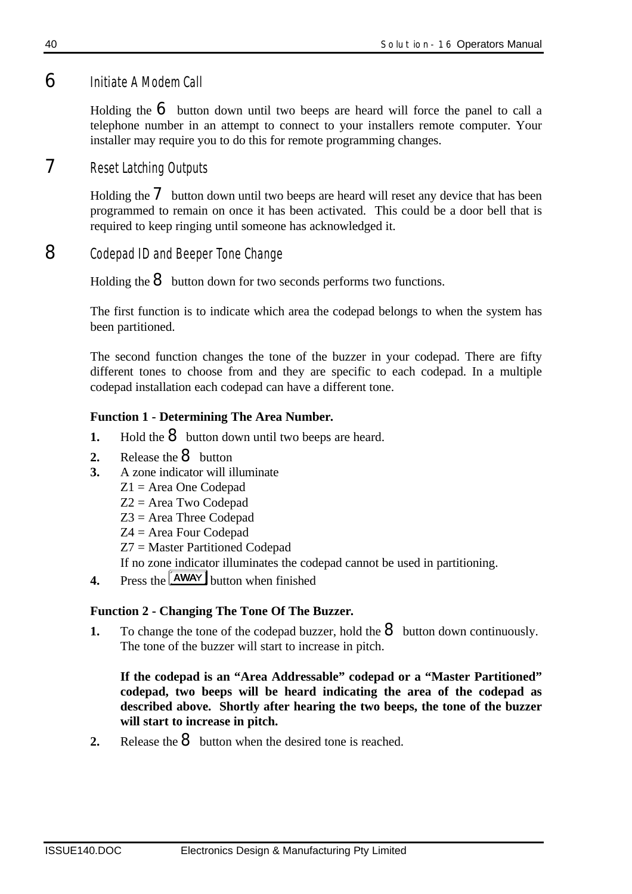## 6 *Initiate A Modem Call*

Holding the  $\epsilon$  button down until two beeps are heard will force the panel to call a telephone number in an attempt to connect to your installers remote computer. Your installer may require you to do this for remote programming changes.

## 7 *Reset Latching Outputs*

Holding the  $\overline{\mathbf{7}}$  button down until two beeps are heard will reset any device that has been programmed to remain on once it has been activated. This could be a door bell that is required to keep ringing until someone has acknowledged it.

## 8 *Codepad ID and Beeper Tone Change*

Holding the  $\Theta$  button down for two seconds performs two functions.

The first function is to indicate which area the codepad belongs to when the system has been partitioned.

The second function changes the tone of the buzzer in your codepad. There are fifty different tones to choose from and they are specific to each codepad. In a multiple codepad installation each codepad can have a different tone.

## **Function 1 - Determining The Area Number***.*

- **1.** Hold the  $\Theta$  button down until two beeps are heard.
- 2. Release the **8** button
- **3.** A zone indicator will illuminate
	- Z1 = Area One Codepad
	- Z2 = Area Two Codepad
	- Z3 = Area Three Codepad
	- Z4 = Area Four Codepad
	- Z7 = Master Partitioned Codepad

If no zone indicator illuminates the codepad cannot be used in partitioning.

**4.** Press the **AWAY** button when finished

## **Function 2 - Changing The Tone Of The Buzzer***.*

**1.** To change the tone of the codepad buzzer, hold the  $\mathbf{8}$  button down continuously. The tone of the buzzer will start to increase in pitch.

### **If the codepad is an "Area Addressable" codepad or a "Master Partitioned" codepad, two beeps will be heard indicating the area of the codepad as described above. Shortly after hearing the two beeps, the tone of the buzzer will start to increase in pitch.**

**2.** Release the **8** button when the desired tone is reached.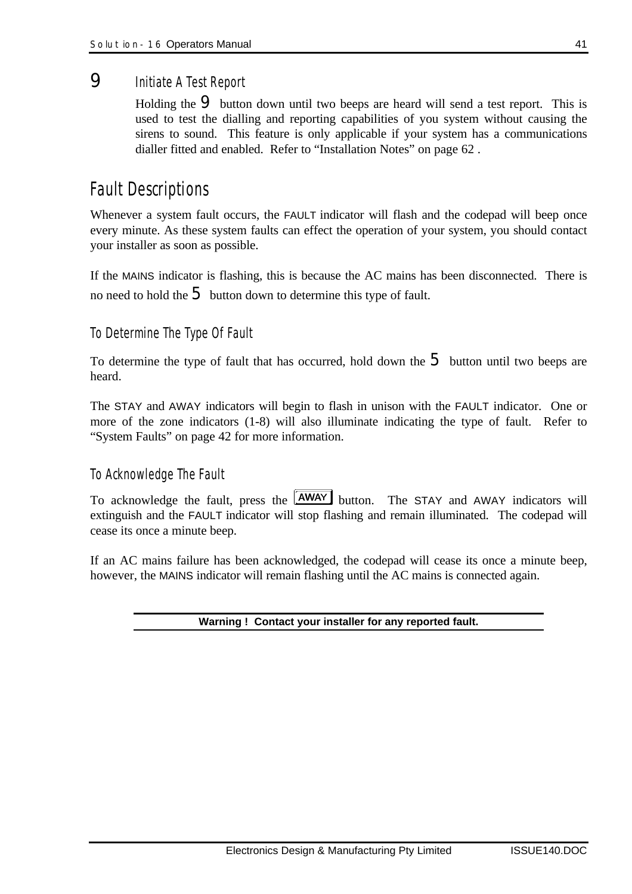## 9 *Initiate A Test Report*

Holding the  $\Theta$  button down until two beeps are heard will send a test report. This is used to test the dialling and reporting capabilities of you system without causing the sirens to sound. This feature is only applicable if your system has a communications dialler fitted and enabled. Refer to "Installation Notes" on page 62 .

## *Fault Descriptions*

Whenever a system fault occurs, the FAULT indicator will flash and the codepad will beep once every minute. As these system faults can effect the operation of your system, you should contact your installer as soon as possible.

If the MAINS indicator is flashing, this is because the AC mains has been disconnected. There is no need to hold the  $\overline{5}$  button down to determine this type of fault.

## *To Determine The Type Of Fault*

To determine the type of fault that has occurred, hold down the  $\overline{5}$  button until two beeps are heard.

The STAY and AWAY indicators will begin to flash in unison with the FAULT indicator. One or more of the zone indicators (1-8) will also illuminate indicating the type of fault. Refer to "System Faults" on page 42 for more information.

## *To Acknowledge The Fault*

To acknowledge the fault, press the **AWAY** button. The STAY and AWAY indicators will extinguish and the FAULT indicator will stop flashing and remain illuminated. The codepad will cease its once a minute beep.

If an AC mains failure has been acknowledged, the codepad will cease its once a minute beep, however, the MAINS indicator will remain flashing until the AC mains is connected again.

#### **Warning ! Contact your installer for any reported fault.**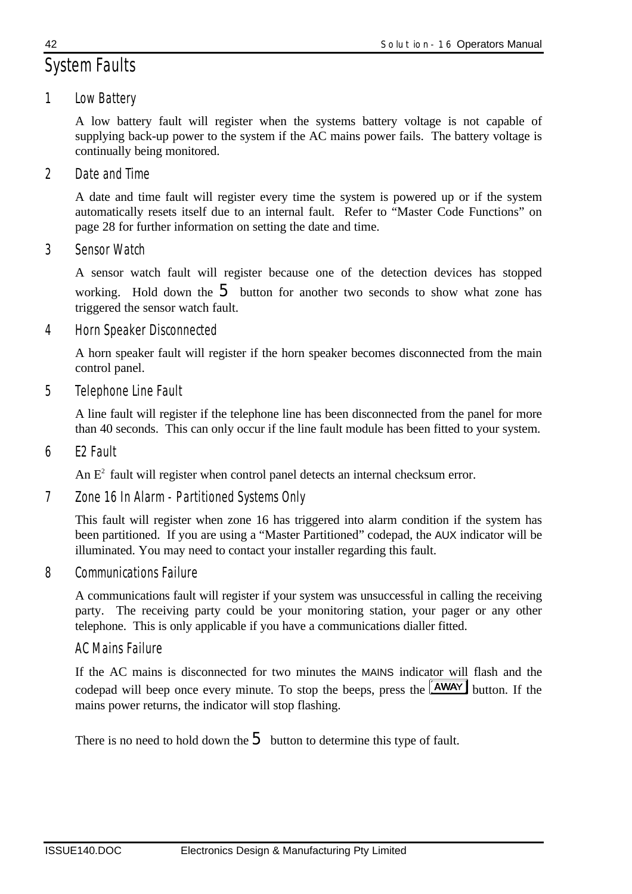# *System Faults*

*1 Low Battery*

A low battery fault will register when the systems battery voltage is not capable of supplying back-up power to the system if the AC mains power fails. The battery voltage is continually being monitored.

*2 Date and Time*

A date and time fault will register every time the system is powered up or if the system automatically resets itself due to an internal fault. Refer to "Master Code Functions" on page 28 for further information on setting the date and time.

*3 Sensor Watch*

A sensor watch fault will register because one of the detection devices has stopped working. Hold down the  $\overline{5}$  button for another two seconds to show what zone has triggered the sensor watch fault.

*4 Horn Speaker Disconnected*

A horn speaker fault will register if the horn speaker becomes disconnected from the main control panel.

*5 Telephone Line Fault*

A line fault will register if the telephone line has been disconnected from the panel for more than 40 seconds. This can only occur if the line fault module has been fitted to your system.

*6 E2 Fault*

An  $E<sup>2</sup>$  fault will register when control panel detects an internal checksum error.

*7 Zone 16 In Alarm - Partitioned Systems Only*

This fault will register when zone 16 has triggered into alarm condition if the system has been partitioned. If you are using a "Master Partitioned" codepad, the AUX indicator will be illuminated. You may need to contact your installer regarding this fault.

*8 Communications Failure*

A communications fault will register if your system was unsuccessful in calling the receiving party. The receiving party could be your monitoring station, your pager or any other telephone. This is only applicable if you have a communications dialler fitted.

## *AC Mains Failure*

If the AC mains is disconnected for two minutes the MAINS indicator will flash and the codepad will beep once every minute. To stop the beeps, press the **AWAY** button. If the mains power returns, the indicator will stop flashing.

There is no need to hold down the  $\overline{5}$  button to determine this type of fault.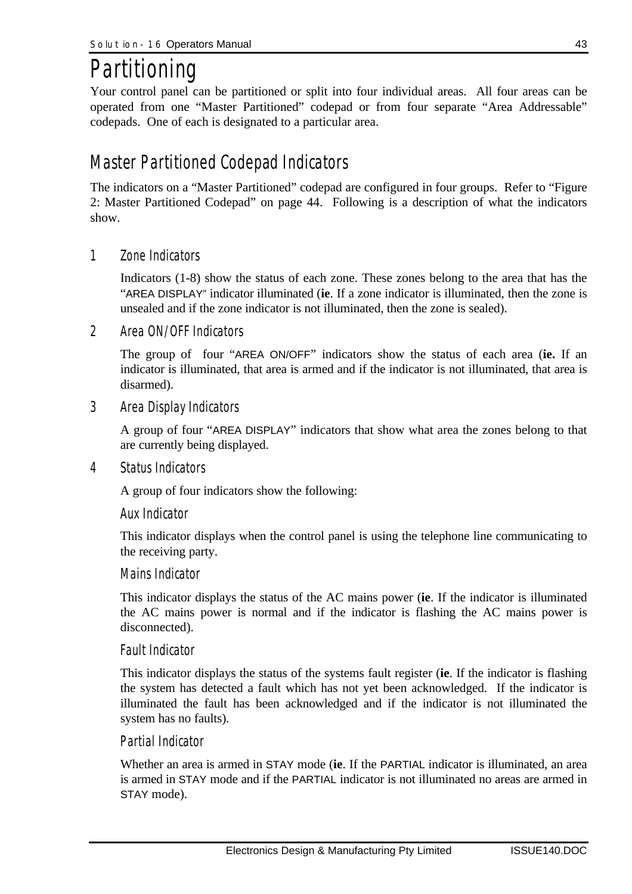# *Partitioning*

Your control panel can be partitioned or split into four individual areas. All four areas can be operated from one "Master Partitioned" codepad or from four separate "Area Addressable" codepads. One of each is designated to a particular area.

## *Master Partitioned Codepad Indicators*

The indicators on a "Master Partitioned" codepad are configured in four groups. Refer to "Figure 2: Master Partitioned Codepad" on page 44. Following is a description of what the indicators show.

*1 Zone Indicators*

Indicators (1-8) show the status of each zone. These zones belong to the area that has the "AREA DISPLAY" indicator illuminated (**ie**. If a zone indicator is illuminated, then the zone is unsealed and if the zone indicator is not illuminated, then the zone is sealed).

*2 Area ON/OFF Indicators*

The group of four "AREA ON/OFF" indicators show the status of each area (**ie.** If an indicator is illuminated, that area is armed and if the indicator is not illuminated, that area is disarmed).

*3 Area Display Indicators*

A group of four "AREA DISPLAY" indicators that show what area the zones belong to that are currently being displayed.

*4 Status Indicators*

A group of four indicators show the following:

#### *Aux Indicator*

This indicator displays when the control panel is using the telephone line communicating to the receiving party.

#### *Mains Indicator*

This indicator displays the status of the AC mains power (**ie**. If the indicator is illuminated the AC mains power is normal and if the indicator is flashing the AC mains power is disconnected).

## *Fault Indicator*

This indicator displays the status of the systems fault register (**ie**. If the indicator is flashing the system has detected a fault which has not yet been acknowledged. If the indicator is illuminated the fault has been acknowledged and if the indicator is not illuminated the system has no faults).

#### *Partial Indicator*

Whether an area is armed in STAY mode (**ie**. If the PARTIAL indicator is illuminated, an area is armed in STAY mode and if the PARTIAL indicator is not illuminated no areas are armed in STAY mode).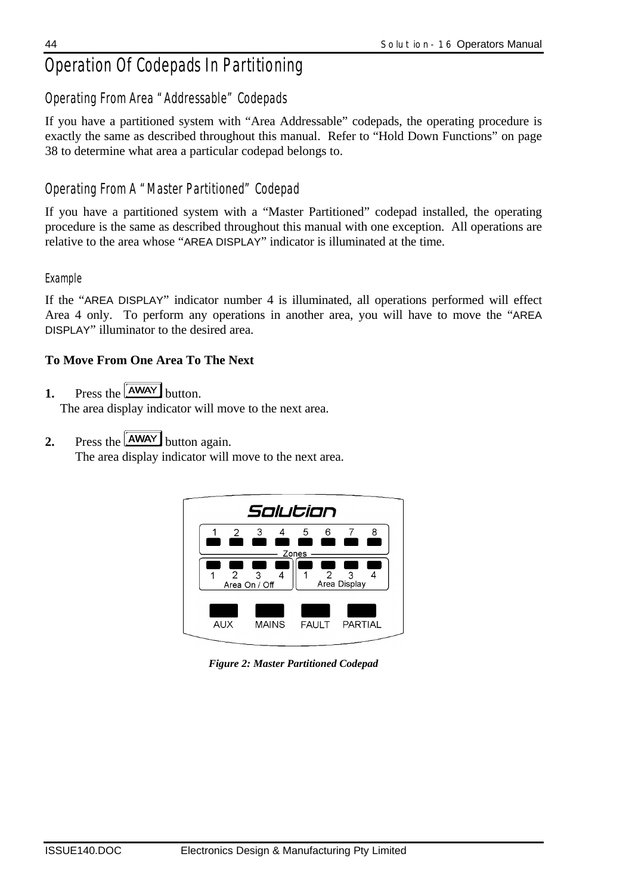# *Operation Of Codepads In Partitioning*

## *Operating From Area "Addressable" Codepads*

If you have a partitioned system with "Area Addressable" codepads, the operating procedure is exactly the same as described throughout this manual. Refer to "Hold Down Functions" on page 38 to determine what area a particular codepad belongs to.

## *Operating From A "Master Partitioned" Codepad*

If you have a partitioned system with a "Master Partitioned" codepad installed, the operating procedure is the same as described throughout this manual with one exception. All operations are relative to the area whose "AREA DISPLAY" indicator is illuminated at the time.

## *Example*

If the "AREA DISPLAY" indicator number 4 is illuminated, all operations performed will effect Area 4 only. To perform any operations in another area, you will have to move the "AREA DISPLAY" illuminator to the desired area.

## **To Move From One Area To The Next**

**1.** Press the **AWAY** button.

The area display indicator will move to the next area.

**2.** Press the  $\sqrt{\text{AWAY}}$  button again.

The area display indicator will move to the next area.



*Figure 2: Master Partitioned Codepad*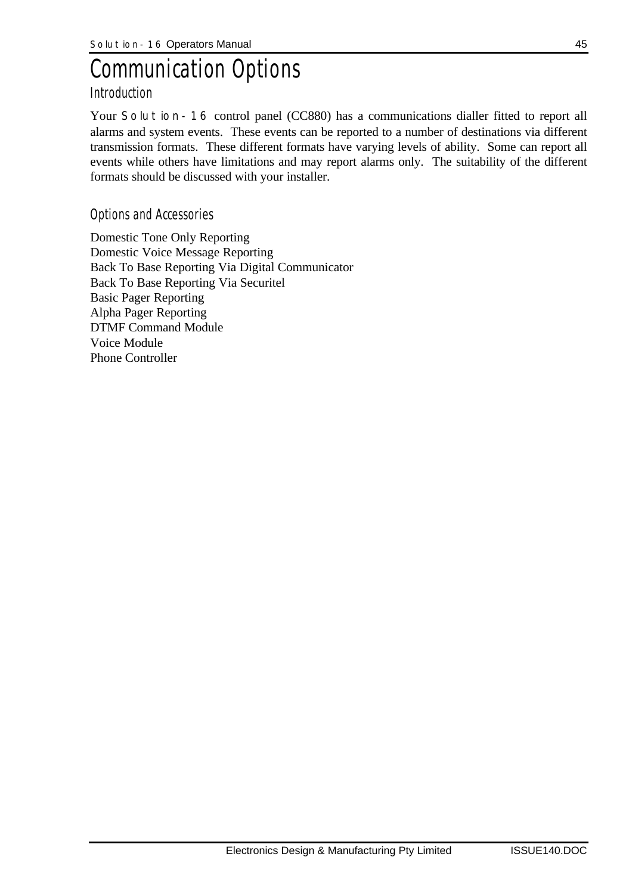# *Communication Options*

## *Introduction*

Your **Solution-16** control panel (CC880) has a communications dialler fitted to report all alarms and system events. These events can be reported to a number of destinations via different transmission formats. These different formats have varying levels of ability. Some can report all events while others have limitations and may report alarms only. The suitability of the different formats should be discussed with your installer.

## *Options and Accessories*

Domestic Tone Only Reporting Domestic Voice Message Reporting Back To Base Reporting Via Digital Communicator Back To Base Reporting Via Securitel Basic Pager Reporting Alpha Pager Reporting DTMF Command Module Voice Module Phone Controller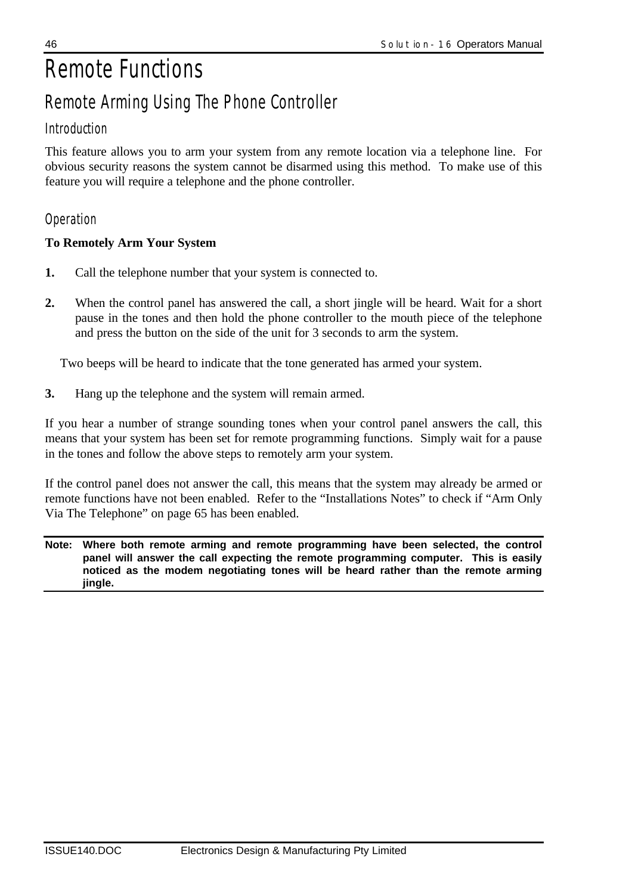# *Remote Functions Remote Arming Using The Phone Controller*

## *Introduction*

This feature allows you to arm your system from any remote location via a telephone line. For obvious security reasons the system cannot be disarmed using this method. To make use of this feature you will require a telephone and the phone controller.

## *Operation*

## **To Remotely Arm Your System**

- **1.** Call the telephone number that your system is connected to.
- **2.** When the control panel has answered the call, a short jingle will be heard. Wait for a short pause in the tones and then hold the phone controller to the mouth piece of the telephone and press the button on the side of the unit for 3 seconds to arm the system.

Two beeps will be heard to indicate that the tone generated has armed your system.

**3.** Hang up the telephone and the system will remain armed.

If you hear a number of strange sounding tones when your control panel answers the call, this means that your system has been set for remote programming functions. Simply wait for a pause in the tones and follow the above steps to remotely arm your system.

If the control panel does not answer the call, this means that the system may already be armed or remote functions have not been enabled. Refer to the "Installations Notes" to check if "Arm Only Via The Telephone" on page 65 has been enabled.

**Note: Where both remote arming and remote programming have been selected, the control panel will answer the call expecting the remote programming computer. This is easily noticed as the modem negotiating tones will be heard rather than the remote arming jingle.**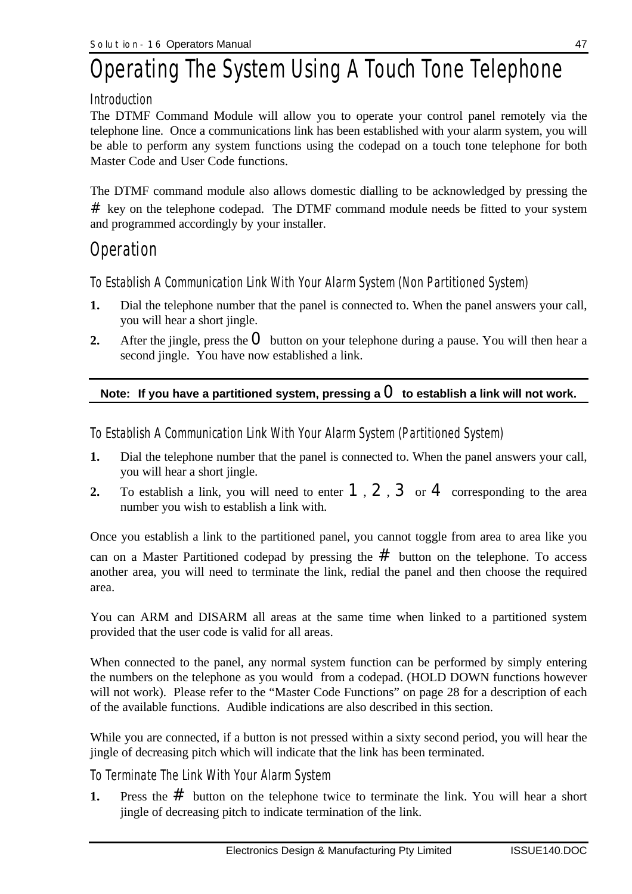# *Operating The System Using A Touch Tone Telephone*

## *Introduction*

The DTMF Command Module will allow you to operate your control panel remotely via the telephone line. Once a communications link has been established with your alarm system, you will be able to perform any system functions using the codepad on a touch tone telephone for both Master Code and User Code functions.

The DTMF command module also allows domestic dialling to be acknowledged by pressing the  $#$  key on the telephone codepad. The DTMF command module needs be fitted to your system and programmed accordingly by your installer.

## *Operation*

*To Establish A Communication Link With Your Alarm System (Non Partitioned System)*

- **1.** Dial the telephone number that the panel is connected to. When the panel answers your call, you will hear a short jingle.
- **2.** After the jingle, press the  $\bf{O}$  button on your telephone during a pause. You will then hear a second jingle. You have now established a link.

## Note: If you have a partitioned system, pressing a  $\mathbf O$  to establish a link will not work.

*To Establish A Communication Link With Your Alarm System (Partitioned System)*

- **1.** Dial the telephone number that the panel is connected to. When the panel answers your call, you will hear a short jingle.
- **2.** To establish a link, you will need to enter  $1, 2, 3$  or  $4$  corresponding to the area number you wish to establish a link with.

Once you establish a link to the partitioned panel, you cannot toggle from area to area like you can on a Master Partitioned codepad by pressing the  $#$  button on the telephone. To access another area, you will need to terminate the link, redial the panel and then choose the required area.

You can ARM and DISARM all areas at the same time when linked to a partitioned system provided that the user code is valid for all areas.

When connected to the panel, any normal system function can be performed by simply entering the numbers on the telephone as you would from a codepad. (HOLD DOWN functions however will not work). Please refer to the "Master Code Functions" on page 28 for a description of each of the available functions. Audible indications are also described in this section.

While you are connected, if a button is not pressed within a sixty second period, you will hear the jingle of decreasing pitch which will indicate that the link has been terminated.

## *To Terminate The Link With Your Alarm System*

**1.** Press the  $#$  button on the telephone twice to terminate the link. You will hear a short jingle of decreasing pitch to indicate termination of the link.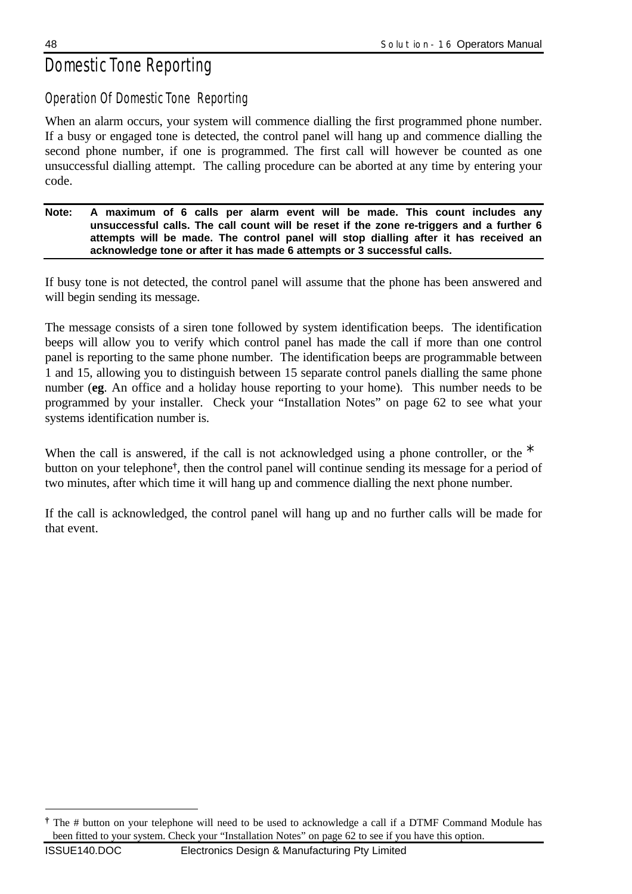# *Domestic Tone Reporting*

## *Operation Of Domestic Tone Reporting*

When an alarm occurs, your system will commence dialling the first programmed phone number. If a busy or engaged tone is detected, the control panel will hang up and commence dialling the second phone number, if one is programmed. The first call will however be counted as one unsuccessful dialling attempt. The calling procedure can be aborted at any time by entering your code.

#### **Note: A maximum of 6 calls per alarm event will be made. This count includes any unsuccessful calls. The call count will be reset if the zone re-triggers and a further 6 attempts will be made. The control panel will stop dialling after it has received an acknowledge tone or after it has made 6 attempts or 3 successful calls.**

If busy tone is not detected, the control panel will assume that the phone has been answered and will begin sending its message.

The message consists of a siren tone followed by system identification beeps. The identification beeps will allow you to verify which control panel has made the call if more than one control panel is reporting to the same phone number. The identification beeps are programmable between 1 and 15, allowing you to distinguish between 15 separate control panels dialling the same phone number (**eg**. An office and a holiday house reporting to your home). This number needs to be programmed by your installer. Check your "Installation Notes" on page 62 to see what your systems identification number is.

When the call is answered, if the call is not acknowledged using a phone controller, or the  $*$ button on your telephone**†** , then the control panel will continue sending its message for a period of two minutes, after which time it will hang up and commence dialling the next phone number.

If the call is acknowledged, the control panel will hang up and no further calls will be made for that event.

 $\overline{a}$ 

**<sup>†</sup>** The # button on your telephone will need to be used to acknowledge a call if a DTMF Command Module has been fitted to your system. Check your "Installation Notes" on page 62 to see if you have this option.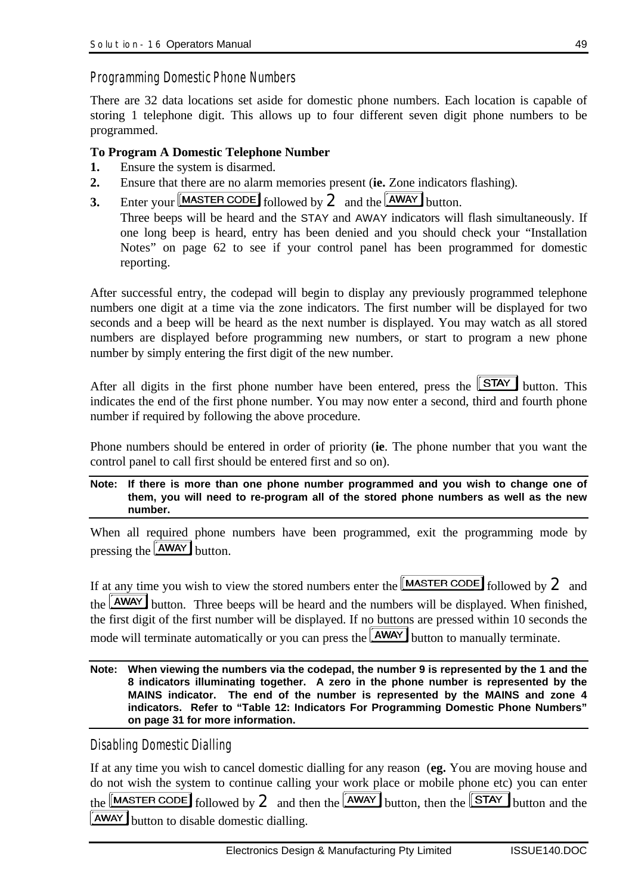#### *Programming Domestic Phone Numbers*

There are 32 data locations set aside for domestic phone numbers. Each location is capable of storing 1 telephone digit. This allows up to four different seven digit phone numbers to be programmed.

#### **To Program A Domestic Telephone Number**

- **1.** Ensure the system is disarmed.
- **2.** Ensure that there are no alarm memories present (**ie.** Zone indicators flashing).
- **3.** Enter your  $\boxed{\text{MASTER CODE}}$  followed by  $2$  and the  $\boxed{\text{AWAY}}$  button.

Three beeps will be heard and the STAY and AWAY indicators will flash simultaneously. If one long beep is heard, entry has been denied and you should check your "Installation Notes" on page 62 to see if your control panel has been programmed for domestic reporting.

After successful entry, the codepad will begin to display any previously programmed telephone numbers one digit at a time via the zone indicators. The first number will be displayed for two seconds and a beep will be heard as the next number is displayed. You may watch as all stored numbers are displayed before programming new numbers, or start to program a new phone number by simply entering the first digit of the new number.

After all digits in the first phone number have been entered, press the  $STAY$  button. This indicates the end of the first phone number. You may now enter a second, third and fourth phone number if required by following the above procedure.

Phone numbers should be entered in order of priority (**ie**. The phone number that you want the control panel to call first should be entered first and so on).

**Note: If there is more than one phone number programmed and you wish to change one of them, you will need to re-program all of the stored phone numbers as well as the new number.**

When all required phone numbers have been programmed, exit the programming mode by pressing the  $AWAY$  button.

If at any time you wish to view the stored numbers enter the  $[MASTER CODE]$  followed by  $2$  and the **AWAY** button. Three beeps will be heard and the numbers will be displayed. When finished, the first digit of the first number will be displayed. If no buttons are pressed within 10 seconds the mode will terminate automatically or you can press the **AWAY** button to manually terminate.

**Note: When viewing the numbers via the codepad, the number 9 is represented by the 1 and the 8 indicators illuminating together. A zero in the phone number is represented by the MAINS indicator. The end of the number is represented by the MAINS and zone 4 indicators. Refer to "Table 12: Indicators For Programming Domestic Phone Numbers" on page 31 for more information.**

*Disabling Domestic Dialling*

If at any time you wish to cancel domestic dialling for any reason (**eg.** You are moving house and do not wish the system to continue calling your work place or mobile phone etc) you can enter the  $\sqrt{\frac{MASTERCODE}{\text{followed by 2}}}$  and then the  $\sqrt{\frac{AMAX}{\text{bottom}}}$  button, then the  $\sqrt{\frac{STAT}{\text{bottom}}}$  button and the **AWAY** button to disable domestic dialling.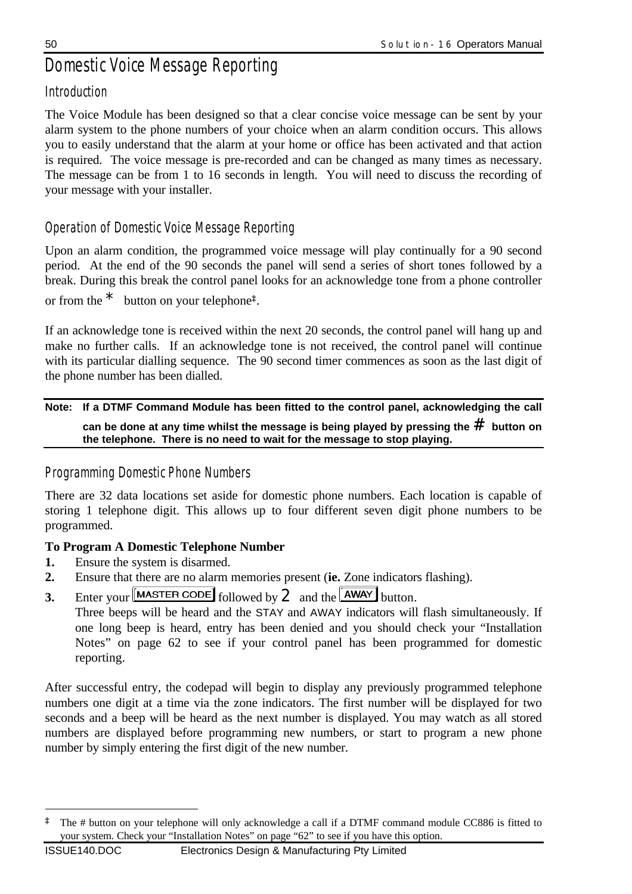# *Domestic Voice Message Reporting*

## *Introduction*

The Voice Module has been designed so that a clear concise voice message can be sent by your alarm system to the phone numbers of your choice when an alarm condition occurs. This allows you to easily understand that the alarm at your home or office has been activated and that action is required. The voice message is pre-recorded and can be changed as many times as necessary. The message can be from 1 to 16 seconds in length. You will need to discuss the recording of your message with your installer.

## *Operation of Domestic Voice Message Reporting*

Upon an alarm condition, the programmed voice message will play continually for a 90 second period. At the end of the 90 seconds the panel will send a series of short tones followed by a break. During this break the control panel looks for an acknowledge tone from a phone controller or from the \* button on your telephone**‡** .

If an acknowledge tone is received within the next 20 seconds, the control panel will hang up and make no further calls. If an acknowledge tone is not received, the control panel will continue with its particular dialling sequence. The 90 second timer commences as soon as the last digit of the phone number has been dialled.

**Note: If a DTMF Command Module has been fitted to the control panel, acknowledging the call can be done at any time whilst the message is being played by pressing the** # **button on the telephone. There is no need to wait for the message to stop playing.**

## *Programming Domestic Phone Numbers*

There are 32 data locations set aside for domestic phone numbers. Each location is capable of storing 1 telephone digit. This allows up to four different seven digit phone numbers to be programmed.

## **To Program A Domestic Telephone Number**

**1.** Ensure the system is disarmed.

 $\overline{a}$ 

- **2.** Ensure that there are no alarm memories present (**ie.** Zone indicators flashing).
- **3.** Enter your  $\boxed{\text{MASTER CODE}}$  followed by  $2$  and the  $\boxed{\text{AWAY}}$  button.

Three beeps will be heard and the STAY and AWAY indicators will flash simultaneously. If one long beep is heard, entry has been denied and you should check your "Installation Notes" on page 62 to see if your control panel has been programmed for domestic reporting.

After successful entry, the codepad will begin to display any previously programmed telephone numbers one digit at a time via the zone indicators. The first number will be displayed for two seconds and a beep will be heard as the next number is displayed. You may watch as all stored numbers are displayed before programming new numbers, or start to program a new phone number by simply entering the first digit of the new number.

**<sup>‡</sup>** The # button on your telephone will only acknowledge a call if a DTMF command module CC886 is fitted to your system. Check your "Installation Notes" on page "62" to see if you have this option.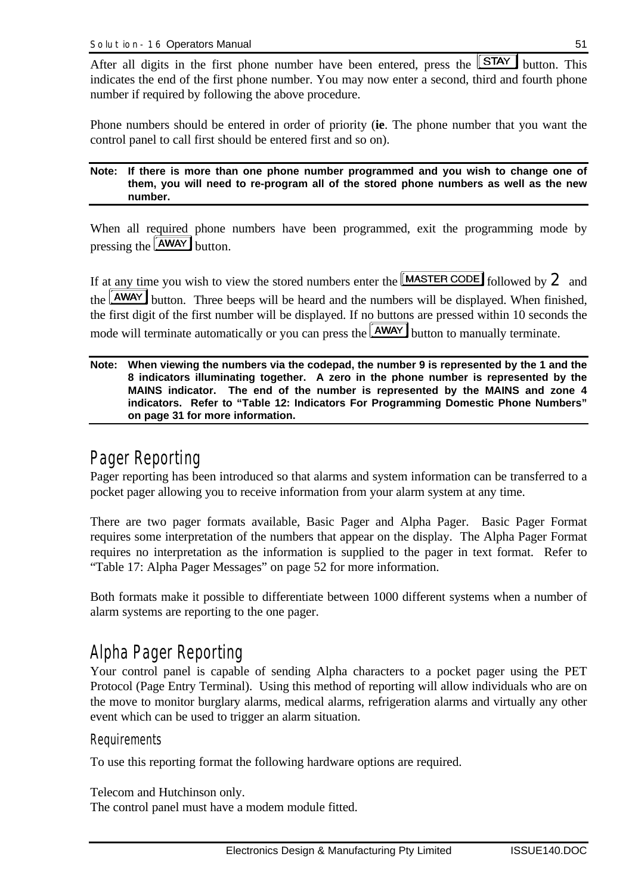After all digits in the first phone number have been entered, press the  $STAY$  button. This indicates the end of the first phone number. You may now enter a second, third and fourth phone number if required by following the above procedure.

Phone numbers should be entered in order of priority (**ie**. The phone number that you want the control panel to call first should be entered first and so on).

#### **Note: If there is more than one phone number programmed and you wish to change one of them, you will need to re-program all of the stored phone numbers as well as the new number.**

When all required phone numbers have been programmed, exit the programming mode by pressing the **AWAY** button.

If at any time you wish to view the stored numbers enter the  $[MASTER CODE]$  followed by  $2$  and the **AWAY** button. Three beeps will be heard and the numbers will be displayed. When finished, the first digit of the first number will be displayed. If no buttons are pressed within 10 seconds the mode will terminate automatically or you can press the **AWAY** button to manually terminate.

**Note: When viewing the numbers via the codepad, the number 9 is represented by the 1 and the 8 indicators illuminating together. A zero in the phone number is represented by the MAINS indicator. The end of the number is represented by the MAINS and zone 4 indicators. Refer to "Table 12: Indicators For Programming Domestic Phone Numbers" on page 31 for more information.**

## *Pager Reporting*

Pager reporting has been introduced so that alarms and system information can be transferred to a pocket pager allowing you to receive information from your alarm system at any time.

There are two pager formats available, Basic Pager and Alpha Pager. Basic Pager Format requires some interpretation of the numbers that appear on the display. The Alpha Pager Format requires no interpretation as the information is supplied to the pager in text format. Refer to "Table 17: Alpha Pager Messages" on page 52 for more information.

Both formats make it possible to differentiate between 1000 different systems when a number of alarm systems are reporting to the one pager.

## *Alpha Pager Reporting*

Your control panel is capable of sending Alpha characters to a pocket pager using the PET Protocol (Page Entry Terminal). Using this method of reporting will allow individuals who are on the move to monitor burglary alarms, medical alarms, refrigeration alarms and virtually any other event which can be used to trigger an alarm situation.

## *Requirements*

To use this reporting format the following hardware options are required.

#### Telecom and Hutchinson only.

The control panel must have a modem module fitted.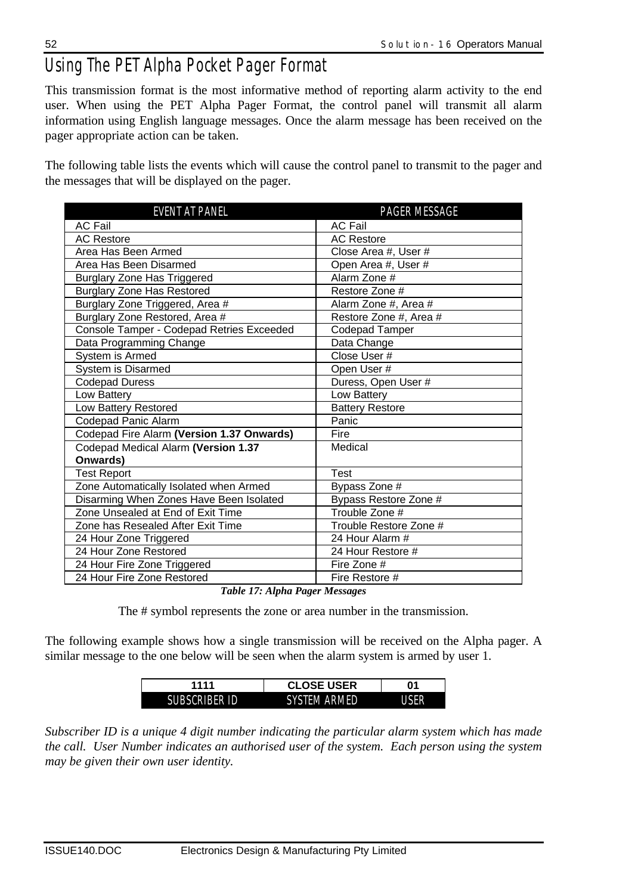# *Using The PET Alpha Pocket Pager Format*

This transmission format is the most informative method of reporting alarm activity to the end user. When using the PET Alpha Pager Format, the control panel will transmit all alarm information using English language messages. Once the alarm message has been received on the pager appropriate action can be taken.

The following table lists the events which will cause the control panel to transmit to the pager and the messages that will be displayed on the pager.

| PAGER MESSAGE          |
|------------------------|
| <b>AC Fail</b>         |
| <b>AC Restore</b>      |
| Close Area #, User #   |
| Open Area #, User #    |
| Alarm Zone #           |
| Restore Zone #         |
| Alarm Zone #, Area #   |
| Restore Zone #, Area # |
| <b>Codepad Tamper</b>  |
| Data Change            |
| Close User #           |
| Open User #            |
| Duress, Open User #    |
| Low Battery            |
| <b>Battery Restore</b> |
| Panic                  |
| Fire                   |
| Medical                |
|                        |
| <b>Test</b>            |
| Bypass Zone #          |
| Bypass Restore Zone #  |
| Trouble Zone #         |
| Trouble Restore Zone # |
| 24 Hour Alarm #        |
| 24 Hour Restore #      |
| Fire Zone #            |
| Fire Restore #         |
|                        |

*Table 17: Alpha Pager Messages*

The # symbol represents the zone or area number in the transmission.

The following example shows how a single transmission will be received on the Alpha pager. A similar message to the one below will be seen when the alarm system is armed by user 1.

| 1111          | <b>CLOSE USER</b>   | 01           |
|---------------|---------------------|--------------|
| SUBSCRIBER ID | <b>SYSTEM ARMED</b> | <b>IISFR</b> |

*Subscriber ID is a unique 4 digit number indicating the particular alarm system which has made the call. User Number indicates an authorised user of the system. Each person using the system may be given their own user identity.*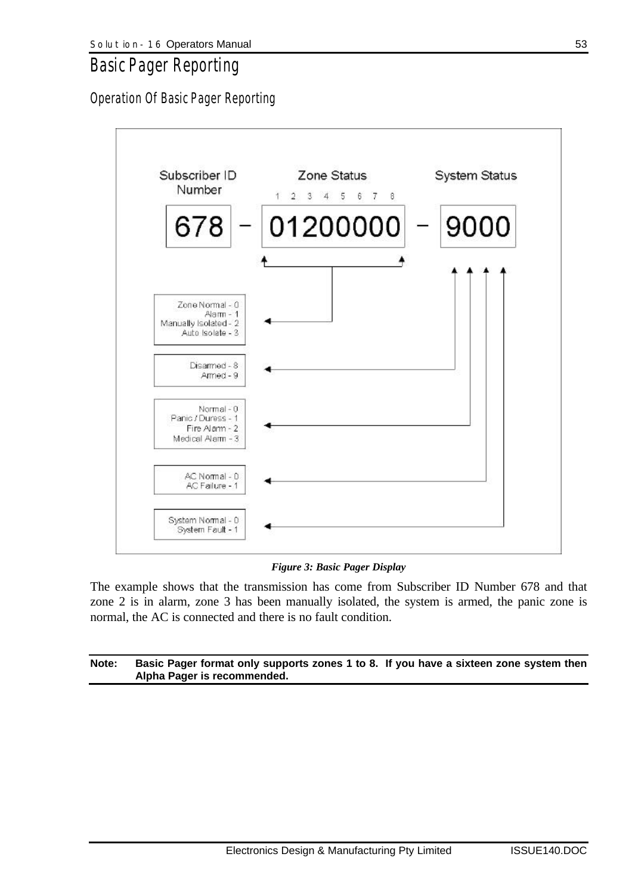## *Basic Pager Reporting*

*Operation Of Basic Pager Reporting*



#### *Figure 3: Basic Pager Display*

The example shows that the transmission has come from Subscriber ID Number 678 and that zone 2 is in alarm, zone 3 has been manually isolated, the system is armed, the panic zone is normal, the AC is connected and there is no fault condition.

#### **Note: Basic Pager format only supports zones 1 to 8. If you have a sixteen zone system then Alpha Pager is recommended.**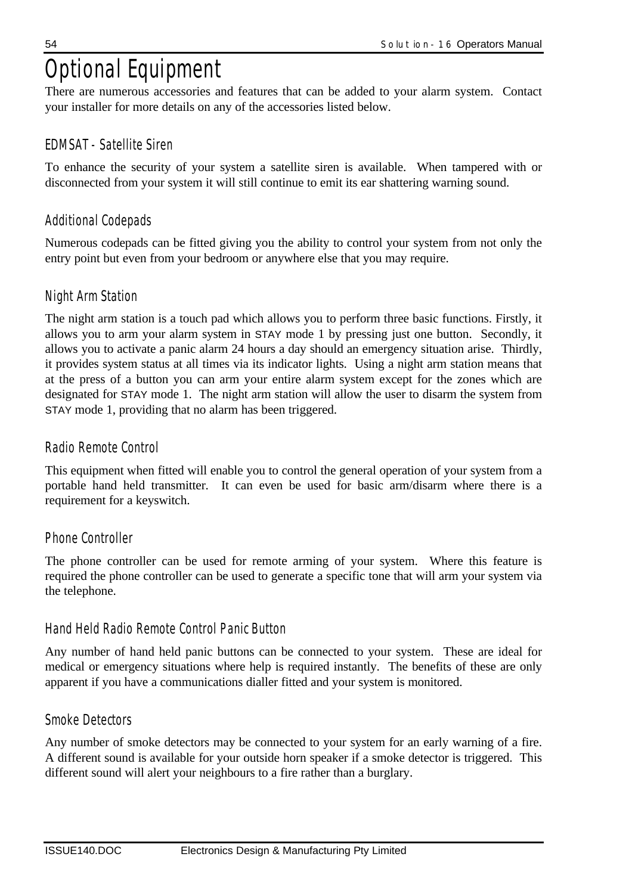# *Optional Equipment*

There are numerous accessories and features that can be added to your alarm system. Contact your installer for more details on any of the accessories listed below.

## *EDMSAT - Satellite Siren*

To enhance the security of your system a satellite siren is available. When tampered with or disconnected from your system it will still continue to emit its ear shattering warning sound.

## *Additional Codepads*

Numerous codepads can be fitted giving you the ability to control your system from not only the entry point but even from your bedroom or anywhere else that you may require.

## *Night Arm Station*

The night arm station is a touch pad which allows you to perform three basic functions. Firstly, it allows you to arm your alarm system in STAY mode 1 by pressing just one button. Secondly, it allows you to activate a panic alarm 24 hours a day should an emergency situation arise. Thirdly, it provides system status at all times via its indicator lights. Using a night arm station means that at the press of a button you can arm your entire alarm system except for the zones which are designated for STAY mode 1. The night arm station will allow the user to disarm the system from STAY mode 1, providing that no alarm has been triggered.

## *Radio Remote Control*

This equipment when fitted will enable you to control the general operation of your system from a portable hand held transmitter. It can even be used for basic arm/disarm where there is a requirement for a keyswitch.

## *Phone Controller*

The phone controller can be used for remote arming of your system. Where this feature is required the phone controller can be used to generate a specific tone that will arm your system via the telephone.

## *Hand Held Radio Remote Control Panic Button*

Any number of hand held panic buttons can be connected to your system. These are ideal for medical or emergency situations where help is required instantly. The benefits of these are only apparent if you have a communications dialler fitted and your system is monitored.

## *Smoke Detectors*

Any number of smoke detectors may be connected to your system for an early warning of a fire. A different sound is available for your outside horn speaker if a smoke detector is triggered. This different sound will alert your neighbours to a fire rather than a burglary.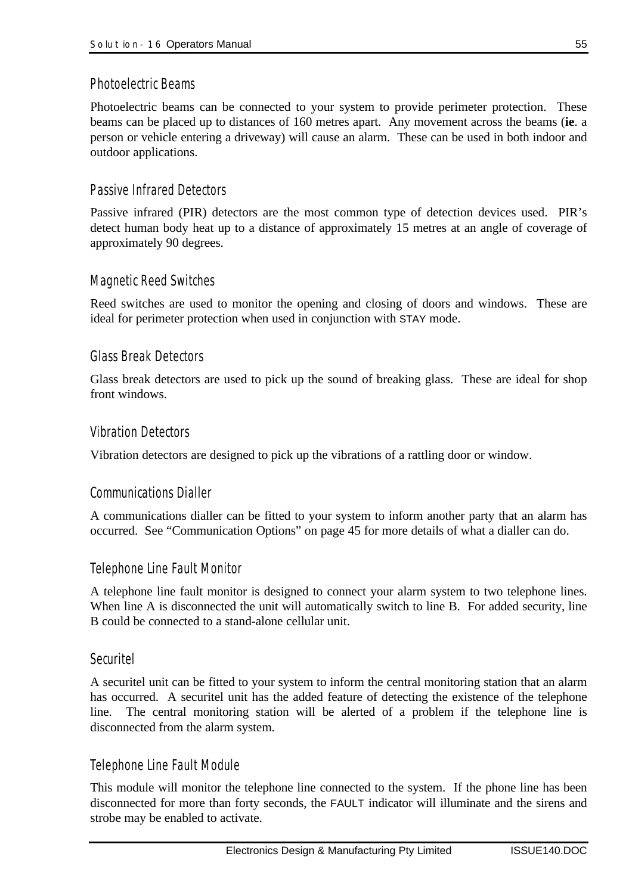### *Photoelectric Beams*

Photoelectric beams can be connected to your system to provide perimeter protection. These beams can be placed up to distances of 160 metres apart. Any movement across the beams (**ie**. a person or vehicle entering a driveway) will cause an alarm. These can be used in both indoor and outdoor applications.

## *Passive Infrared Detectors*

Passive infrared (PIR) detectors are the most common type of detection devices used. PIR's detect human body heat up to a distance of approximately 15 metres at an angle of coverage of approximately 90 degrees.

### *Magnetic Reed Switches*

Reed switches are used to monitor the opening and closing of doors and windows. These are ideal for perimeter protection when used in conjunction with STAY mode.

### *Glass Break Detectors*

Glass break detectors are used to pick up the sound of breaking glass. These are ideal for shop front windows.

### *Vibration Detectors*

Vibration detectors are designed to pick up the vibrations of a rattling door or window.

#### *Communications Dialler*

A communications dialler can be fitted to your system to inform another party that an alarm has occurred. See "Communication Options" on page 45 for more details of what a dialler can do.

#### *Telephone Line Fault Monitor*

A telephone line fault monitor is designed to connect your alarm system to two telephone lines. When line A is disconnected the unit will automatically switch to line B. For added security, line B could be connected to a stand-alone cellular unit.

#### *Securitel*

A securitel unit can be fitted to your system to inform the central monitoring station that an alarm has occurred. A securitel unit has the added feature of detecting the existence of the telephone line. The central monitoring station will be alerted of a problem if the telephone line is disconnected from the alarm system.

#### *Telephone Line Fault Module*

This module will monitor the telephone line connected to the system. If the phone line has been disconnected for more than forty seconds, the FAULT indicator will illuminate and the sirens and strobe may be enabled to activate.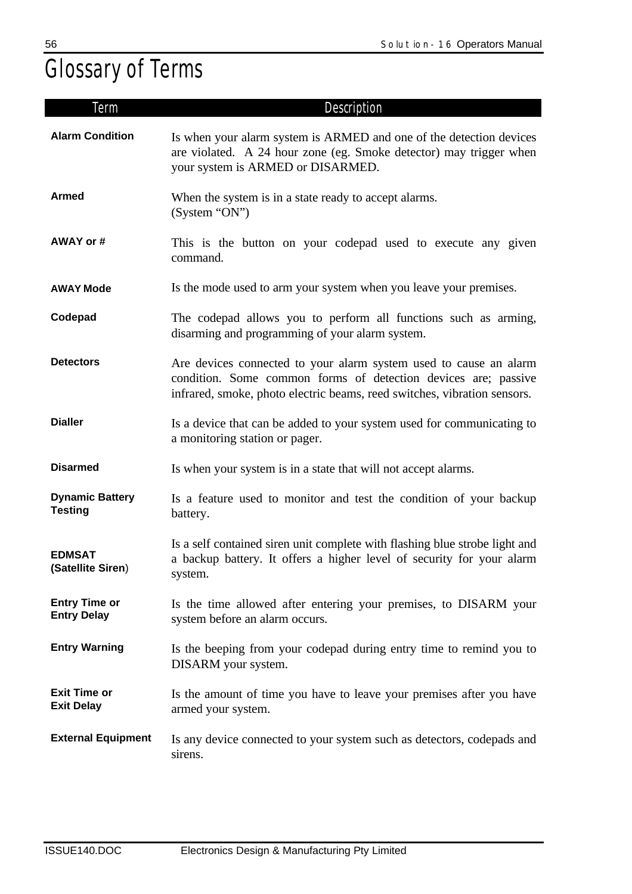# *Glossary of Terms*

| Term                                       | Description                                                                                                                                                                                                     |
|--------------------------------------------|-----------------------------------------------------------------------------------------------------------------------------------------------------------------------------------------------------------------|
| <b>Alarm Condition</b>                     | Is when your alarm system is ARMED and one of the detection devices<br>are violated. A 24 hour zone (eg. Smoke detector) may trigger when<br>your system is ARMED or DISARMED.                                  |
| <b>Armed</b>                               | When the system is in a state ready to accept alarms.<br>(System "ON")                                                                                                                                          |
| AWAY or #                                  | This is the button on your codepad used to execute any given<br>command.                                                                                                                                        |
| <b>AWAY Mode</b>                           | Is the mode used to arm your system when you leave your premises.                                                                                                                                               |
| Codepad                                    | The codepad allows you to perform all functions such as arming,<br>disarming and programming of your alarm system.                                                                                              |
| <b>Detectors</b>                           | Are devices connected to your alarm system used to cause an alarm<br>condition. Some common forms of detection devices are; passive<br>infrared, smoke, photo electric beams, reed switches, vibration sensors. |
| <b>Dialler</b>                             | Is a device that can be added to your system used for communicating to<br>a monitoring station or pager.                                                                                                        |
| <b>Disarmed</b>                            | Is when your system is in a state that will not accept alarms.                                                                                                                                                  |
| <b>Dynamic Battery</b><br><b>Testing</b>   | Is a feature used to monitor and test the condition of your backup<br>battery.                                                                                                                                  |
| <b>EDMSAT</b><br>(Satellite Siren)         | Is a self contained siren unit complete with flashing blue strobe light and<br>a backup battery. It offers a higher level of security for your alarm<br>system.                                                 |
| <b>Entry Time or</b><br><b>Entry Delay</b> | Is the time allowed after entering your premises, to DISARM your<br>system before an alarm occurs.                                                                                                              |
| <b>Entry Warning</b>                       | Is the beeping from your codepad during entry time to remind you to<br>DISARM your system.                                                                                                                      |
| <b>Exit Time or</b><br><b>Exit Delay</b>   | Is the amount of time you have to leave your premises after you have<br>armed your system.                                                                                                                      |
| <b>External Equipment</b>                  | Is any device connected to your system such as detectors, codepads and<br>sirens.                                                                                                                               |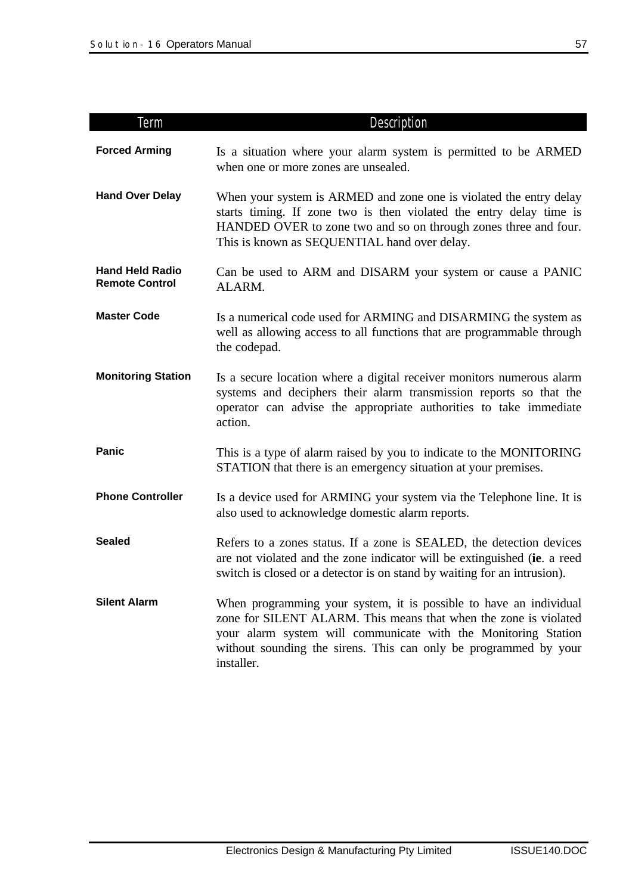| Term                                            | Description                                                                                                                                                                                                                                                                                |
|-------------------------------------------------|--------------------------------------------------------------------------------------------------------------------------------------------------------------------------------------------------------------------------------------------------------------------------------------------|
| <b>Forced Arming</b>                            | Is a situation where your alarm system is permitted to be ARMED<br>when one or more zones are unsealed.                                                                                                                                                                                    |
| <b>Hand Over Delay</b>                          | When your system is ARMED and zone one is violated the entry delay<br>starts timing. If zone two is then violated the entry delay time is<br>HANDED OVER to zone two and so on through zones three and four.<br>This is known as SEQUENTIAL hand over delay.                               |
| <b>Hand Held Radio</b><br><b>Remote Control</b> | Can be used to ARM and DISARM your system or cause a PANIC<br>ALARM.                                                                                                                                                                                                                       |
| <b>Master Code</b>                              | Is a numerical code used for ARMING and DISARMING the system as<br>well as allowing access to all functions that are programmable through<br>the codepad.                                                                                                                                  |
| <b>Monitoring Station</b>                       | Is a secure location where a digital receiver monitors numerous alarm<br>systems and deciphers their alarm transmission reports so that the<br>operator can advise the appropriate authorities to take immediate<br>action.                                                                |
| Panic                                           | This is a type of alarm raised by you to indicate to the MONITORING<br>STATION that there is an emergency situation at your premises.                                                                                                                                                      |
| <b>Phone Controller</b>                         | Is a device used for ARMING your system via the Telephone line. It is<br>also used to acknowledge domestic alarm reports.                                                                                                                                                                  |
| <b>Sealed</b>                                   | Refers to a zones status. If a zone is SEALED, the detection devices<br>are not violated and the zone indicator will be extinguished (ie. a reed<br>switch is closed or a detector is on stand by waiting for an intrusion).                                                               |
| <b>Silent Alarm</b>                             | When programming your system, it is possible to have an individual<br>zone for SILENT ALARM. This means that when the zone is violated<br>your alarm system will communicate with the Monitoring Station<br>without sounding the sirens. This can only be programmed by your<br>installer. |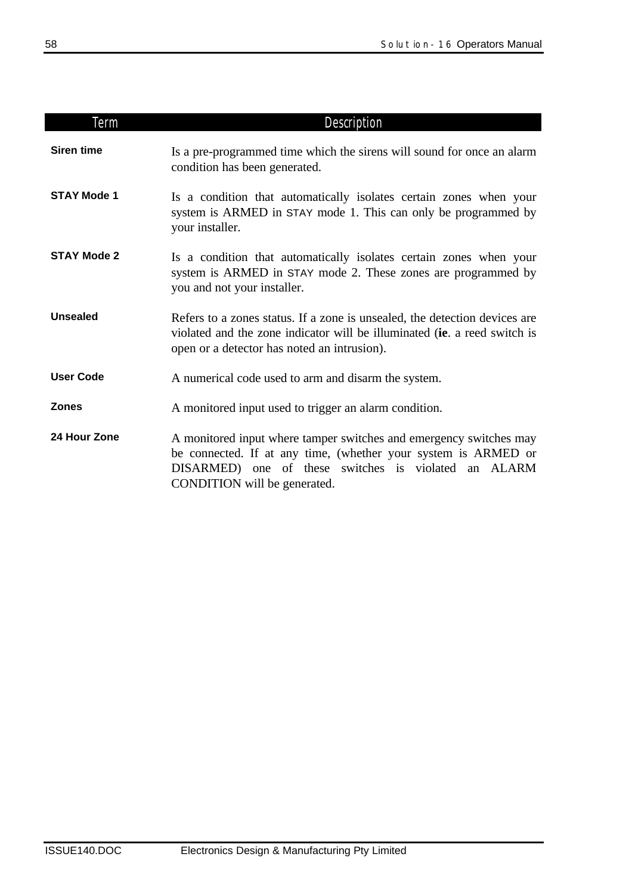| Term               | <b>Description</b>                                                                                                                                                                                                           |  |  |  |  |
|--------------------|------------------------------------------------------------------------------------------------------------------------------------------------------------------------------------------------------------------------------|--|--|--|--|
| <b>Siren time</b>  | Is a pre-programmed time which the sirens will sound for once an alarm<br>condition has been generated.                                                                                                                      |  |  |  |  |
| <b>STAY Mode 1</b> | Is a condition that automatically isolates certain zones when your<br>system is ARMED in STAY mode 1. This can only be programmed by<br>your installer.                                                                      |  |  |  |  |
| <b>STAY Mode 2</b> | Is a condition that automatically isolates certain zones when your<br>system is ARMED in STAY mode 2. These zones are programmed by<br>you and not your installer.                                                           |  |  |  |  |
| <b>Unsealed</b>    | Refers to a zones status. If a zone is unsealed, the detection devices are<br>violated and the zone indicator will be illuminated (ie. a reed switch is<br>open or a detector has noted an intrusion).                       |  |  |  |  |
| <b>User Code</b>   | A numerical code used to arm and disarm the system.                                                                                                                                                                          |  |  |  |  |
| <b>Zones</b>       | A monitored input used to trigger an alarm condition.                                                                                                                                                                        |  |  |  |  |
| 24 Hour Zone       | A monitored input where tamper switches and emergency switches may<br>be connected. If at any time, (whether your system is ARMED or<br>DISARMED) one of these switches is violated an ALARM<br>CONDITION will be generated. |  |  |  |  |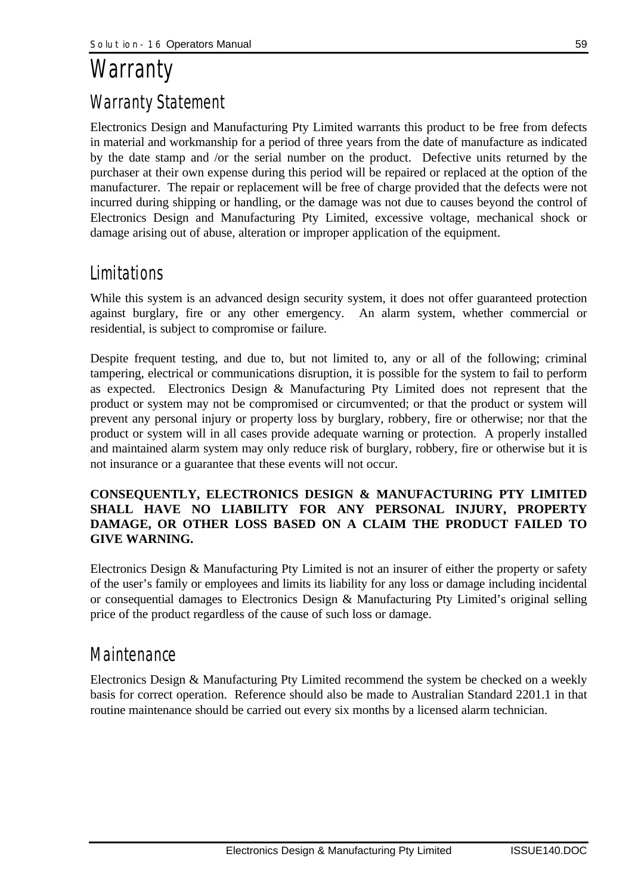# *Warranty Warranty Statement*

Electronics Design and Manufacturing Pty Limited warrants this product to be free from defects in material and workmanship for a period of three years from the date of manufacture as indicated by the date stamp and /or the serial number on the product. Defective units returned by the purchaser at their own expense during this period will be repaired or replaced at the option of the manufacturer. The repair or replacement will be free of charge provided that the defects were not incurred during shipping or handling, or the damage was not due to causes beyond the control of Electronics Design and Manufacturing Pty Limited, excessive voltage, mechanical shock or damage arising out of abuse, alteration or improper application of the equipment.

## *Limitations*

While this system is an advanced design security system, it does not offer guaranteed protection against burglary, fire or any other emergency. An alarm system, whether commercial or residential, is subject to compromise or failure.

Despite frequent testing, and due to, but not limited to, any or all of the following; criminal tampering, electrical or communications disruption, it is possible for the system to fail to perform as expected. Electronics Design & Manufacturing Pty Limited does not represent that the product or system may not be compromised or circumvented; or that the product or system will prevent any personal injury or property loss by burglary, robbery, fire or otherwise; nor that the product or system will in all cases provide adequate warning or protection. A properly installed and maintained alarm system may only reduce risk of burglary, robbery, fire or otherwise but it is not insurance or a guarantee that these events will not occur.

### **CONSEQUENTLY, ELECTRONICS DESIGN & MANUFACTURING PTY LIMITED SHALL HAVE NO LIABILITY FOR ANY PERSONAL INJURY, PROPERTY DAMAGE, OR OTHER LOSS BASED ON A CLAIM THE PRODUCT FAILED TO GIVE WARNING.**

Electronics Design & Manufacturing Pty Limited is not an insurer of either the property or safety of the user's family or employees and limits its liability for any loss or damage including incidental or consequential damages to Electronics Design & Manufacturing Pty Limited's original selling price of the product regardless of the cause of such loss or damage.

## *Maintenance*

Electronics Design & Manufacturing Pty Limited recommend the system be checked on a weekly basis for correct operation. Reference should also be made to Australian Standard 2201.1 in that routine maintenance should be carried out every six months by a licensed alarm technician.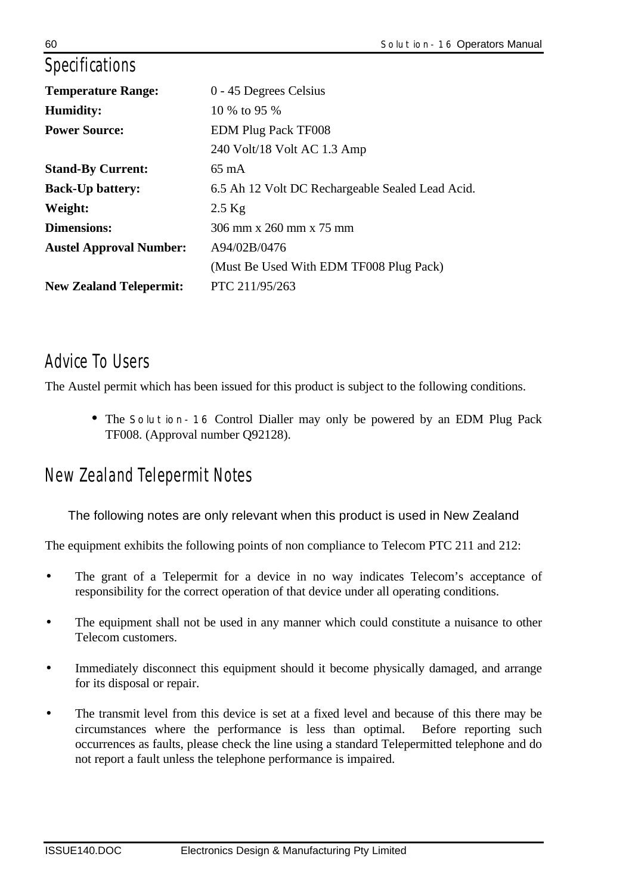## *Specifications*

| <b>Temperature Range:</b>      | 0 - 45 Degrees Celsius                           |
|--------------------------------|--------------------------------------------------|
| <b>Humidity:</b>               | 10 \% to 95 \%                                   |
| <b>Power Source:</b>           | <b>EDM Plug Pack TF008</b>                       |
|                                | 240 Volt/18 Volt AC 1.3 Amp                      |
| <b>Stand-By Current:</b>       | $65 \text{ mA}$                                  |
| <b>Back-Up battery:</b>        | 6.5 Ah 12 Volt DC Rechargeable Sealed Lead Acid. |
| Weight:                        | $2.5$ Kg                                         |
| <b>Dimensions:</b>             | 306 mm x 260 mm x 75 mm                          |
| <b>Austel Approval Number:</b> | A94/02B/0476                                     |
|                                | (Must Be Used With EDM TF008 Plug Pack)          |
| <b>New Zealand Telepermit:</b> | PTC 211/95/263                                   |
|                                |                                                  |

## *Advice To Users*

The Austel permit which has been issued for this product is subject to the following conditions.

• The *Solution-16* Control Dialler may only be powered by an EDM Plug Pack TF008. (Approval number Q92128).

## *New Zealand Telepermit Notes*

The following notes are only relevant when this product is used in New Zealand

The equipment exhibits the following points of non compliance to Telecom PTC 211 and 212:

- The grant of a Telepermit for a device in no way indicates Telecom's acceptance of responsibility for the correct operation of that device under all operating conditions.
- The equipment shall not be used in any manner which could constitute a nuisance to other Telecom customers.
- Immediately disconnect this equipment should it become physically damaged, and arrange for its disposal or repair.
- The transmit level from this device is set at a fixed level and because of this there may be circumstances where the performance is less than optimal. Before reporting such occurrences as faults, please check the line using a standard Telepermitted telephone and do not report a fault unless the telephone performance is impaired.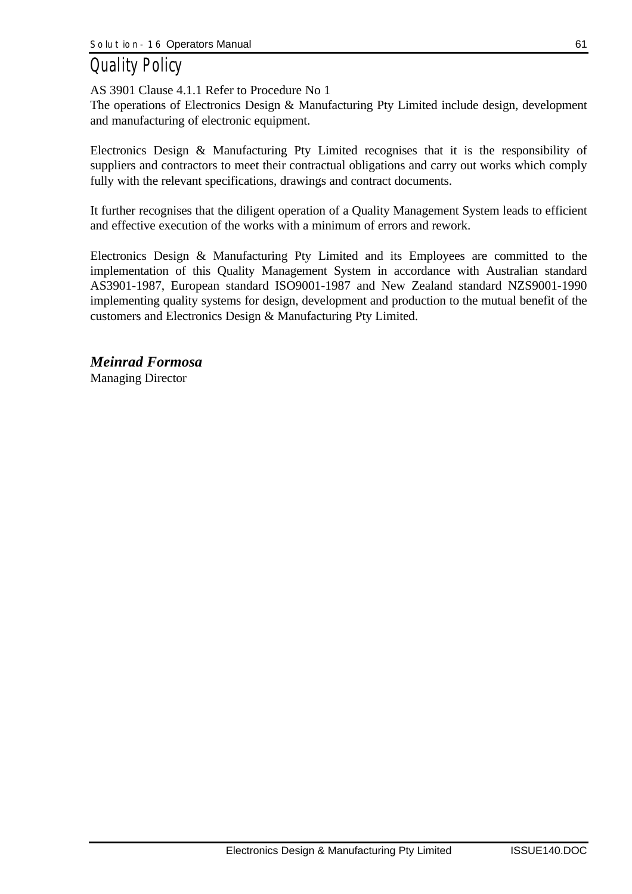# *Quality Policy*

AS 3901 Clause 4.1.1 Refer to Procedure No 1

The operations of Electronics Design & Manufacturing Pty Limited include design, development and manufacturing of electronic equipment.

Electronics Design & Manufacturing Pty Limited recognises that it is the responsibility of suppliers and contractors to meet their contractual obligations and carry out works which comply fully with the relevant specifications, drawings and contract documents.

It further recognises that the diligent operation of a Quality Management System leads to efficient and effective execution of the works with a minimum of errors and rework.

Electronics Design & Manufacturing Pty Limited and its Employees are committed to the implementation of this Quality Management System in accordance with Australian standard AS3901-1987, European standard ISO9001-1987 and New Zealand standard NZS9001-1990 implementing quality systems for design, development and production to the mutual benefit of the customers and Electronics Design & Manufacturing Pty Limited.

*Meinrad Formosa* Managing Director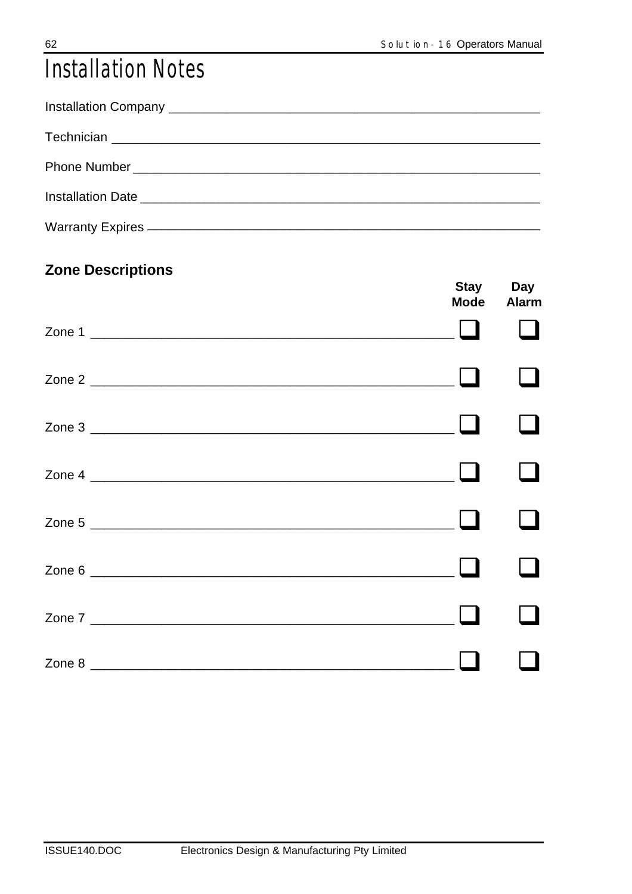# **Installation Notes**

## **Zone Descriptions**

|        | Mode | Stay Day<br>Alarm |
|--------|------|-------------------|
| Zone 1 |      |                   |
|        |      |                   |
|        |      |                   |
|        |      |                   |
|        |      |                   |
|        |      |                   |
|        |      |                   |
|        |      |                   |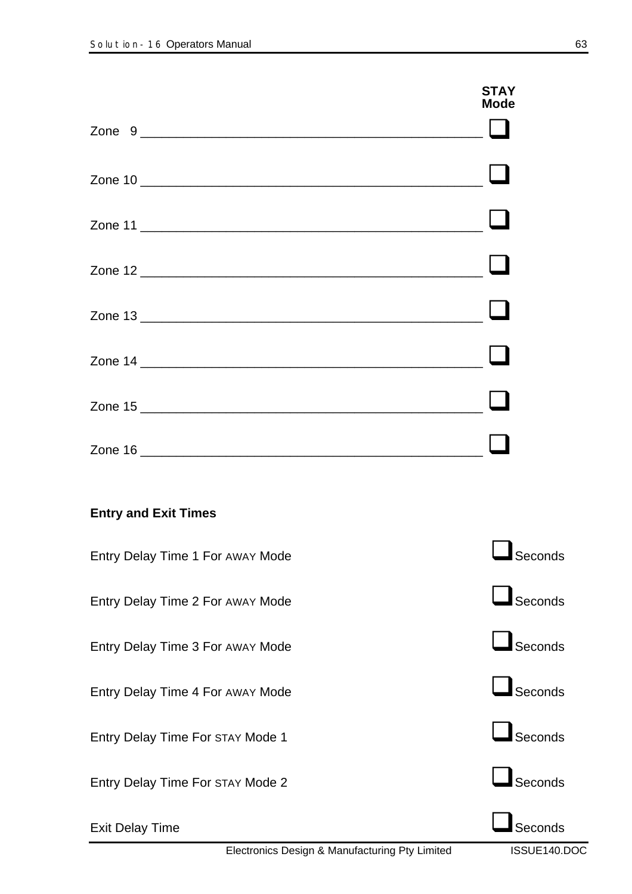|                                         | <b>STAY</b><br><b>Mode</b> |
|-----------------------------------------|----------------------------|
|                                         |                            |
|                                         |                            |
|                                         |                            |
|                                         |                            |
|                                         |                            |
|                                         |                            |
|                                         |                            |
| <b>Entry and Exit Times</b>             |                            |
| Entry Delay Time 1 For AWAY Mode        | Seconds                    |
| Entry Delay Time 2 For AWAY Mode        | $\Box$ Seconds             |
| Entry Delay Time 3 For AWAY Mode        | $\Box$ Seconds             |
| Entry Delay Time 4 For AWAY Mode        | $\Box$ Seconds             |
| Entry Delay Time For STAY Mode 1        | $\Box$ Seconds             |
| <b>Entry Delay Time For STAY Mode 2</b> | $\Box$ Seconds             |
| <b>Exit Delay Time</b>                  | Seconds                    |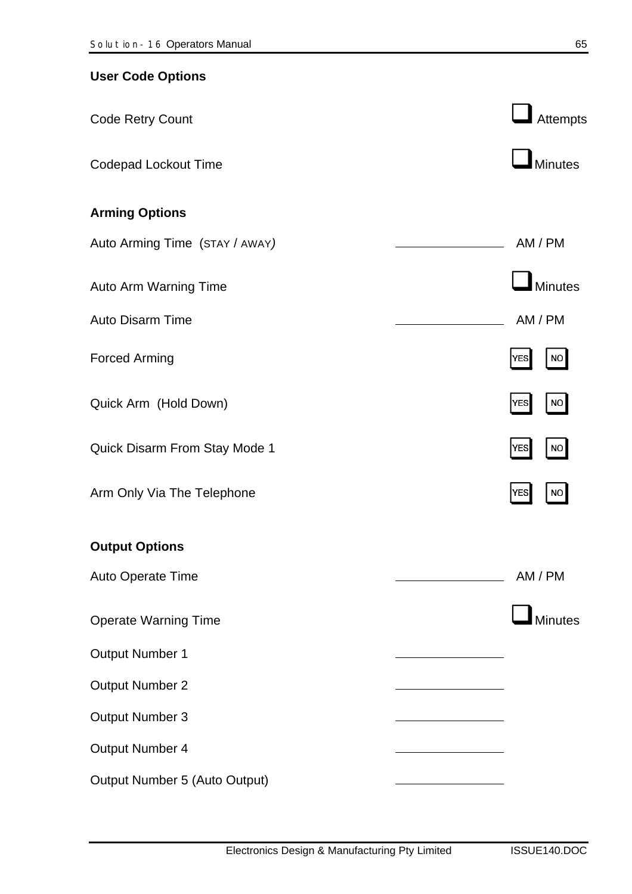| <b>User Code Options</b>       |                         |
|--------------------------------|-------------------------|
| <b>Code Retry Count</b>        | Attempts                |
| <b>Codepad Lockout Time</b>    | Minutes                 |
| <b>Arming Options</b>          |                         |
| Auto Arming Time (STAY / AWAY) | AM / PM                 |
| Auto Arm Warning Time          | Minutes                 |
| <b>Auto Disarm Time</b>        | AM / PM                 |
| <b>Forced Arming</b>           | <b>YES</b><br><b>NO</b> |
| Quick Arm (Hold Down)          | YES<br><b>NO</b>        |
| Quick Disarm From Stay Mode 1  | <b>YES</b><br><b>NO</b> |
| Arm Only Via The Telephone     | <b>YES</b><br><b>NO</b> |
| <b>Output Options</b>          |                         |
| Auto Operate Time              | AM / PM                 |
| <b>Operate Warning Time</b>    | <b>Minutes</b>          |
| <b>Output Number 1</b>         |                         |
| <b>Output Number 2</b>         |                         |
| <b>Output Number 3</b>         |                         |
| <b>Output Number 4</b>         |                         |
| Output Number 5 (Auto Output)  |                         |
|                                |                         |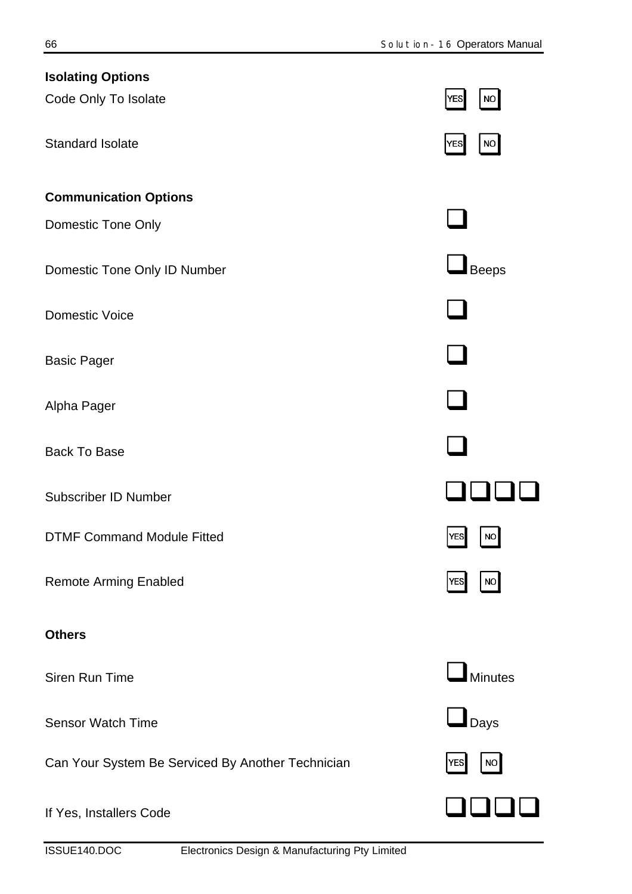| <b>Isolating Options</b>                          |                            |
|---------------------------------------------------|----------------------------|
| Code Only To Isolate                              | NO<br><b>YES</b>           |
| <b>Standard Isolate</b>                           | YES<br>$NO$                |
| <b>Communication Options</b>                      |                            |
| Domestic Tone Only                                |                            |
| Domestic Tone Only ID Number                      | Beeps                      |
| <b>Domestic Voice</b>                             |                            |
| <b>Basic Pager</b>                                |                            |
| Alpha Pager                                       |                            |
| <b>Back To Base</b>                               |                            |
| <b>Subscriber ID Number</b>                       |                            |
| <b>DTMF Command Module Fitted</b>                 | $ {\sf yes} $<br><b>NO</b> |
| <b>Remote Arming Enabled</b>                      | NO<br> YES                 |
| <b>Others</b>                                     |                            |
| <b>Siren Run Time</b>                             | Minutes                    |
| <b>Sensor Watch Time</b>                          | $\blacksquare$ Days        |
| Can Your System Be Serviced By Another Technician | <b>NO</b><br><b>YES</b>    |
| If Yes, Installers Code                           |                            |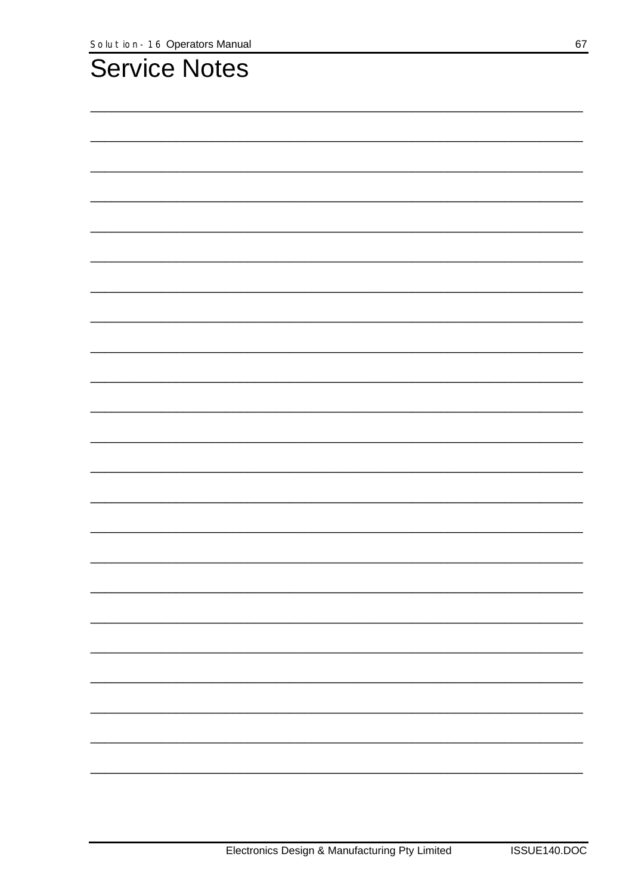| <b>Service Notes</b> |  |  |
|----------------------|--|--|
|                      |  |  |
|                      |  |  |
|                      |  |  |
|                      |  |  |
|                      |  |  |
|                      |  |  |
|                      |  |  |
|                      |  |  |
|                      |  |  |
|                      |  |  |
|                      |  |  |
|                      |  |  |
|                      |  |  |
|                      |  |  |
|                      |  |  |
|                      |  |  |
|                      |  |  |
|                      |  |  |